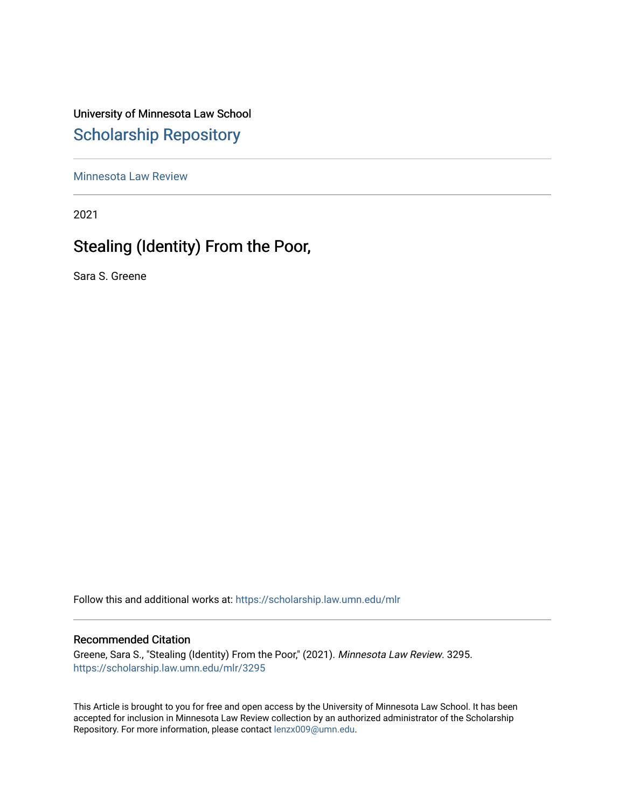University of Minnesota Law School [Scholarship Repository](https://scholarship.law.umn.edu/) 

[Minnesota Law Review](https://scholarship.law.umn.edu/mlr) 

2021

# Stealing (Identity) From the Poor,

Sara S. Greene

Follow this and additional works at: [https://scholarship.law.umn.edu/mlr](https://scholarship.law.umn.edu/mlr?utm_source=scholarship.law.umn.edu%2Fmlr%2F3295&utm_medium=PDF&utm_campaign=PDFCoverPages)

# Recommended Citation

Greene, Sara S., "Stealing (Identity) From the Poor," (2021). Minnesota Law Review. 3295. [https://scholarship.law.umn.edu/mlr/3295](https://scholarship.law.umn.edu/mlr/3295?utm_source=scholarship.law.umn.edu%2Fmlr%2F3295&utm_medium=PDF&utm_campaign=PDFCoverPages)

This Article is brought to you for free and open access by the University of Minnesota Law School. It has been accepted for inclusion in Minnesota Law Review collection by an authorized administrator of the Scholarship Repository. For more information, please contact [lenzx009@umn.edu.](mailto:lenzx009@umn.edu)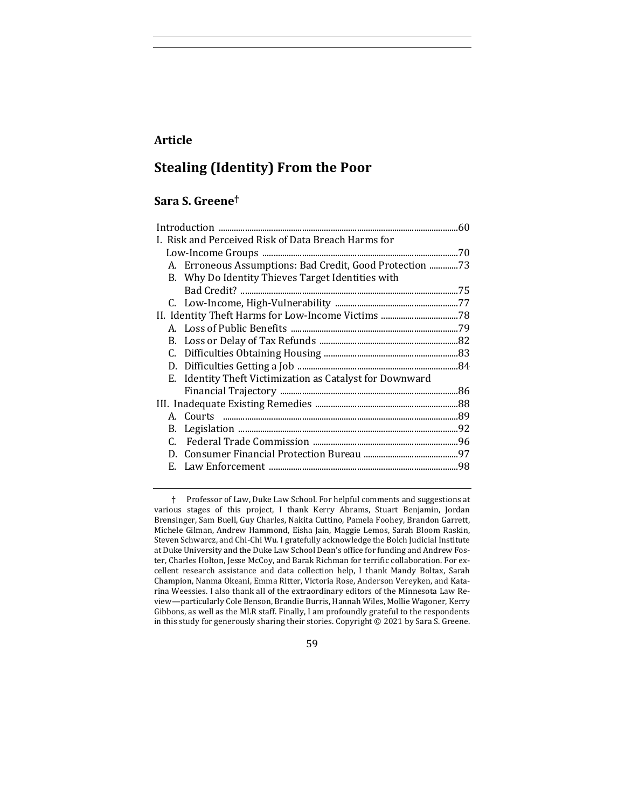# **Article**

# **Stealing (Identity) From the Poor**

# **Sara S. Greene†**

|                                                          | .60 |
|----------------------------------------------------------|-----|
| I. Risk and Perceived Risk of Data Breach Harms for      |     |
|                                                          |     |
| A. Erroneous Assumptions: Bad Credit, Good Protection 73 |     |
| B. Why Do Identity Thieves Target Identities with        |     |
|                                                          |     |
|                                                          |     |
|                                                          |     |
|                                                          |     |
|                                                          |     |
| C.                                                       |     |
|                                                          |     |
| E. Identity Theft Victimization as Catalyst for Downward |     |
|                                                          |     |
|                                                          |     |
|                                                          |     |
|                                                          |     |
|                                                          |     |
|                                                          |     |
|                                                          |     |
|                                                          |     |

† Professor of Law, Duke Law School. For helpful comments and suggestions at various stages of this project, I thank Kerry Abrams, Stuart Benjamin, Jordan Brensinger, Sam Buell, Guy Charles, Nakita Cuttino, Pamela Foohey, Brandon Garrett, Michele Gilman, Andrew Hammond, Eisha Jain, Maggie Lemos, Sarah Bloom Raskin, Steven Schwarcz, and Chi-Chi Wu. I gratefully acknowledge the Bolch Judicial Institute at Duke University and the Duke Law School Dean's office for funding and Andrew Foster, Charles Holton, Jesse McCoy, and Barak Richman for terrific collaboration. For excellent research assistance and data collection help, I thank Mandy Boltax, Sarah Champion, Nanma Okeani, Emma Ritter, Victoria Rose, Anderson Vereyken, and Katarina Weessies. I also thank all of the extraordinary editors of the Minnesota Law Review-particularly Cole Benson, Brandie Burris, Hannah Wiles, Mollie Wagoner, Kerry Gibbons, as well as the MLR staff. Finally, I am profoundly grateful to the respondents in this study for generously sharing their stories. Copyright  $@$  2021 by Sara S. Greene.

59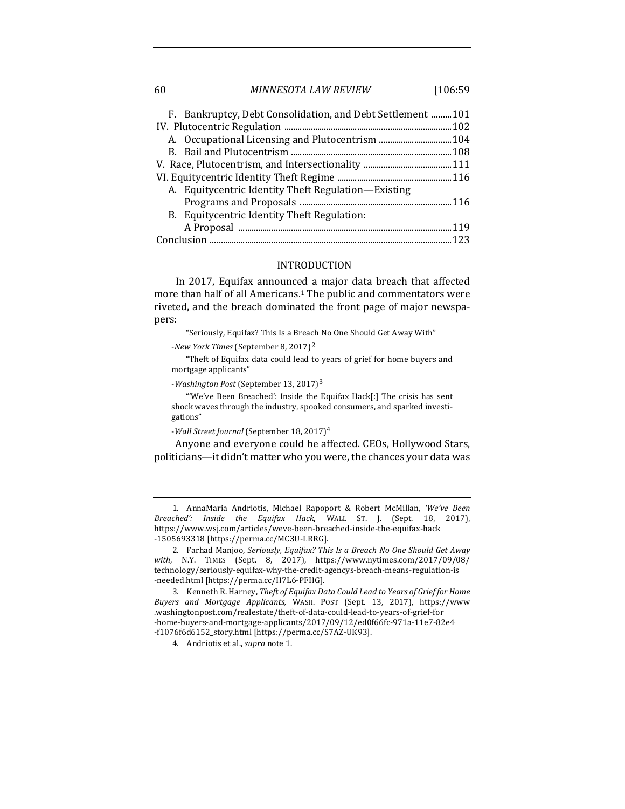# 60 *MINNESOTA LAW REVIEW* [106:59

| F. Bankruptcy, Debt Consolidation, and Debt Settlement  101 |  |
|-------------------------------------------------------------|--|
|                                                             |  |
|                                                             |  |
|                                                             |  |
|                                                             |  |
|                                                             |  |
| A. Equitycentric Identity Theft Regulation—Existing         |  |
|                                                             |  |
| B. Equitycentric Identity Theft Regulation:                 |  |
|                                                             |  |
|                                                             |  |

# INTRODUCTION

In 2017, Equifax announced a major data breach that affected more than half of all Americans.<sup>1</sup> The public and commentators were riveted, and the breach dominated the front page of major newspapers:

"Seriously, Equifax? This Is a Breach No One Should Get Away With"

-*New York Times* (September 8, 2017)<sup>2</sup>

"Theft of Equifax data could lead to years of grief for home buyers and mortgage applicants"

-*Washington Post* (September 13, 2017)<sup>3</sup>

"'We've Been Breached': Inside the Equifax Hack[:] The crisis has sent shock waves through the industry, spooked consumers, and sparked investigations"

-*Wall Street Journal* (September 18, 2017)<sup>4</sup>

Anyone and everyone could be affected. CEOs, Hollywood Stars, politicians—it didn't matter who you were, the chances your data was

1. AnnaMaria Andriotis, Michael Rapoport & Robert McMillan, 'We've Been *Breached': Inside the Equifax Hack*, WALL ST. J. (Sept. 18, 2017), https://www.wsj.com/articles/weve-been-breached-inside-the-equifax-hack -1505693318 [https://perma.cc/MC3U-LRRG].

<sup>2.</sup> Farhad Manjoo, Seriously, Equifax? This Is a Breach No One Should Get Away *with*, N.Y. TIMES (Sept. 8, 2017), https://www.nytimes.com/2017/09/08/ technology/seriously-equifax-why-the-credit-agencys-breach-means-regulation-is -needed.html [https://perma.cc/H7L6-PFHG].

<sup>3.</sup> Kenneth R. Harney, *Theft of Equifax Data Could Lead to Years of Grief for Home Buyers and Mortgage Applicants,*  WASH. POST (Sept. 13, 2017), https://www .washingtonpost.com/realestate/theft-of-data-could-lead-to-years-of-grief-for -home-buyers-and-mortgage-applicants/2017/09/12/ed0f66fc-971a-11e7-82e4 -f1076f6d6152\_story.html [https://perma.cc/S7AZ-UK93].

<sup>4.</sup> Andriotis et al., *supra* note 1.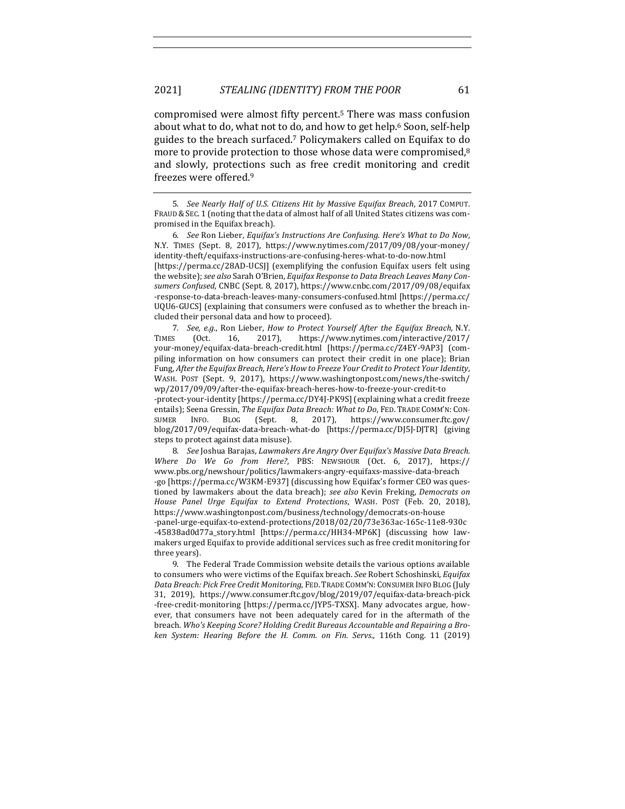compromised were almost fifty percent.<sup>5</sup> There was mass confusion about what to do, what not to do, and how to get help.<sup>6</sup> Soon, self-help guides to the breach surfaced.<sup>7</sup> Policymakers called on Equifax to do more to provide protection to those whose data were compromised, $8$ and slowly, protections such as free credit monitoring and credit freezes were offered.<sup>9</sup>

6. *See* Ron Lieber, *Equifax's Instructions Are Confusing. Here's What to Do Now,* N.Y. TIMES (Sept. 8, 2017), https://www.nytimes.com/2017/09/08/your-money/ identity-theft/equifaxs-instructions-are-confusing-heres-what-to-do-now.html [https://perma.cc/28AD-UCSJ] (exemplifying the confusion Equifax users felt using the website); see also Sarah O'Brien, *Equifax Response to Data Breach Leaves Many Con*sumers Confused, CNBC (Sept. 8, 2017), https://www.cnbc.com/2017/09/08/equifax -response-to-data-breach-leaves-many-consumers-confused.html [https://perma.cc/ UQU6-GUCS] (explaining that consumers were confused as to whether the breach included their personal data and how to proceed).

7. *See, e.g.*, Ron Lieber, *How to Protect Yourself After the Equifax Breach*, N.Y. TIMES (Oct. 16, 2017), https://www.nytimes.com/interactive/2017/ your-money/equifax-data-breach-credit.html [https://perma.cc/Z4EY-9AP3] (compiling information on how consumers can protect their credit in one place); Brian Fung, *After the Equifax Breach, Here's How to Freeze Your Credit to Protect Your Identity*, WASH. POST (Sept. 9, 2017), https://www.washingtonpost.com/news/the-switch/ wp/2017/09/09/after-the-equifax-breach-heres-how-to-freeze-your-credit-to -protect-your-identity [https://perma.cc/DY4J-PK9S] (explaining what a credit freeze

entails); Seena Gressin, *The Equifax Data Breach: What to Do*, FED. TRADE COMM'N: CON-SUMER INFO. BLOG (Sept. 8, 2017), https://www.consumer.ftc.gov/ blog/2017/09/equifax-data-breach-what-do [https://perma.cc/DJ5J-DJTR] (giving steps to protect against data misuse).

8. *See* Joshua Barajas, *Lawmakers Are Angry Over Equifax's Massive Data Breach. Where Do We Go from Here?*, PBS: NEWSHOUR (Oct. 6, 2017), https:// www.pbs.org/newshour/politics/lawmakers-angry-equifaxs-massive-data-breach -go [https://perma.cc/W3KM-E937] (discussing how Equifax's former CEO was questioned by lawmakers about the data breach); see also Kevin Freking, Democrats on *House Panel Urge Equifax to Extend Protections*, WASH. POST (Feb. 20, 2018), https://www.washingtonpost.com/business/technology/democrats-on-house -panel-urge-equifax-to-extend-protections/2018/02/20/73e363ac-165c-11e8-930c -45838ad0d77a\_story.html [https://perma.cc/HH34-MP6K] (discussing how lawmakers urged Equifax to provide additional services such as free credit monitoring for three years).

9. The Federal Trade Commission website details the various options available to consumers who were victims of the Equifax breach. See Robert Schoshinski, *Equifax* Data Breach: Pick Free Credit Monitoring, FED. TRADE COMM'N: CONSUMER INFO BLOG (July 31, 2019), https://www.consumer.ftc.gov/blog/2019/07/equifax-data-breach-pick -free-credit-monitoring [https://perma.cc/JYP5-TXSX]. Many advocates argue, however, that consumers have not been adequately cared for in the aftermath of the breach. Who's Keeping Score? Holding Credit Bureaus Accountable and Repairing a Bro*ken System: Hearing Before the H. Comm. on Fin. Servs.,* 116th Cong. 11 (2019)

<sup>5.</sup> *See Nearly Half of U.S. Citizens Hit by Massive Equifax Breach*, 2017 COMPUT. FRAUD & SEC. 1 (noting that the data of almost half of all United States citizens was compromised in the Equifax breach).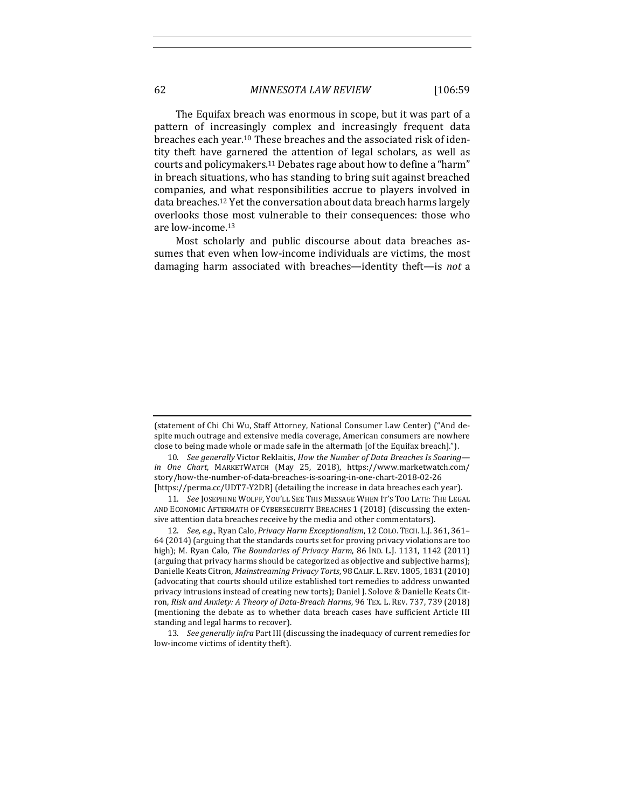The Equifax breach was enormous in scope, but it was part of a pattern of increasingly complex and increasingly frequent data breaches each year.<sup>10</sup> These breaches and the associated risk of identity theft have garnered the attention of legal scholars, as well as courts and policymakers.<sup>11</sup> Debates rage about how to define a "harm" in breach situations, who has standing to bring suit against breached companies, and what responsibilities accrue to players involved in data breaches.<sup>12</sup> Yet the conversation about data breach harms largely overlooks those most vulnerable to their consequences: those who are low-income.<sup>13</sup>

Most scholarly and public discourse about data breaches assumes that even when low-income individuals are victims, the most damaging harm associated with breaches—identity theft—is *not* a

<sup>(</sup>statement of Chi Chi Wu, Staff Attorney, National Consumer Law Center) ("And despite much outrage and extensive media coverage, American consumers are nowhere close to being made whole or made safe in the aftermath [of the Equifax breach].").

<sup>10.</sup> *See generally* Victor Reklaitis, *How the Number of Data Breaches Is Soaringin One Chart*, MARKETWATCH (May 25, 2018), https://www.marketwatch.com/ story/how-the-number-of-data-breaches-is-soaring-in-one-chart-2018-02-26 [https://perma.cc/UDT7-Y2DR] (detailing the increase in data breaches each year).

<sup>11.</sup> See JOSEPHINE WOLFF, YOU'LL SEE THIS MESSAGE WHEN IT'S TOO LATE: THE LEGAL AND ECONOMIC AFTERMATH OF CYBERSECURITY BREACHES 1 (2018) (discussing the extensive attention data breaches receive by the media and other commentators).

<sup>12.</sup> *See, e.g.*, Ryan Calo, *Privacy Harm Exceptionalism*, 12 COLO. TECH. L.J. 361, 361-64 (2014) (arguing that the standards courts set for proving privacy violations are too high); M. Ryan Calo, *The Boundaries of Privacy Harm*, 86 IND. L.J. 1131, 1142 (2011) (arguing that privacy harms should be categorized as objective and subjective harms); Danielle Keats Citron, *Mainstreaming Privacy Torts*, 98 CALIF. L. REV. 1805, 1831 (2010) (advocating that courts should utilize established tort remedies to address unwanted privacy intrusions instead of creating new torts); Daniel J. Solove & Danielle Keats Citron, Risk and Anxiety: A Theory of Data-Breach Harms, 96 TEX. L. REV. 737, 739 (2018) (mentioning the debate as to whether data breach cases have sufficient Article III standing and legal harms to recover).

<sup>13.</sup> *See generally infra* Part III (discussing the inadequacy of current remedies for low-income victims of identity theft).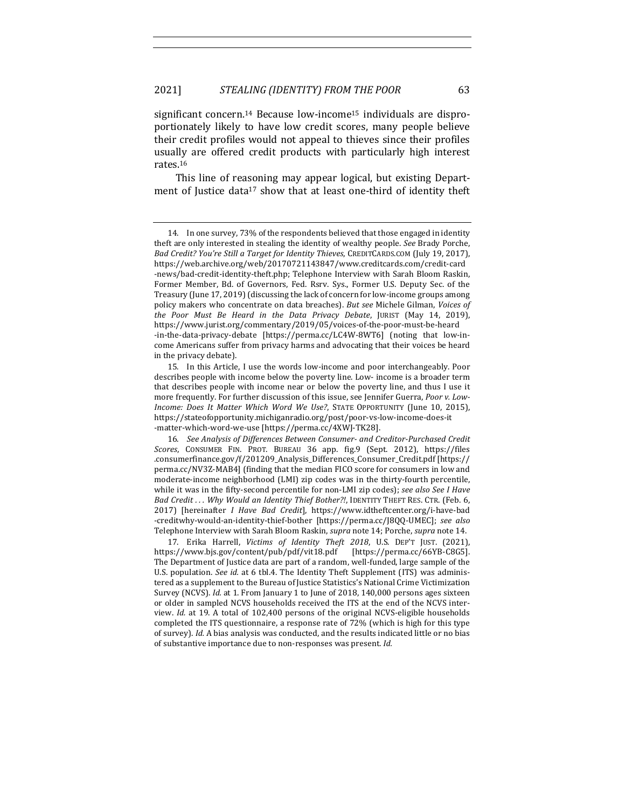significant concern.<sup>14</sup> Because low-income<sup>15</sup> individuals are disproportionately likely to have low credit scores, many people believe their credit profiles would not appeal to thieves since their profiles usually are offered credit products with particularly high interest rates.16

This line of reasoning may appear logical, but existing Department of Justice data<sup>17</sup> show that at least one-third of identity theft

15. In this Article, I use the words low-income and poor interchangeably. Poor describes people with income below the poverty line. Low- income is a broader term that describes people with income near or below the poverty line, and thus I use it more frequently. For further discussion of this issue, see Jennifer Guerra, *Poor v. Low-Income: Does It Matter Which Word We Use?*, STATE OPPORTUNITY (June 10, 2015), https://stateofopportunity.michiganradio.org/post/poor-vs-low-income-does-it -matter-which-word-we-use [https://perma.cc/4XWJ-TK28].

17. Erika Harrell, *Victims of Identity Theft 2018*, U.S. DEP'T JUST. (2021), https://www.bjs.gov/content/pub/pdf/vit18.pdf [https://perma.cc/66YB-C8G5]. The Department of Justice data are part of a random, well-funded, large sample of the U.S. population. *See id.* at 6 tbl.4. The Identity Theft Supplement (ITS) was administered as a supplement to the Bureau of Justice Statistics's National Crime Victimization Survey (NCVS). *Id.* at 1. From January 1 to June of 2018, 140,000 persons ages sixteen or older in sampled NCVS households received the ITS at the end of the NCVS interview. *Id.* at 19. A total of 102,400 persons of the original NCVS-eligible households completed the ITS questionnaire, a response rate of 72% (which is high for this type of survey). *Id.* A bias analysis was conducted, and the results indicated little or no bias of substantive importance due to non-responses was present. *Id.* 

<sup>14.</sup> In one survey, 73% of the respondents believed that those engaged in identity theft are only interested in stealing the identity of wealthy people. See Brady Porche, Bad Credit? You're Still a Target for Identity Thieves, CREDITCARDS.COM (July 19, 2017), https://web.archive.org/web/20170721143847/www.creditcards.com/credit-card -news/bad-credit-identity-theft.php; Telephone Interview with Sarah Bloom Raskin, Former Member, Bd. of Governors, Fed. Rsrv. Sys., Former U.S. Deputy Sec. of the Treasury (June  $17, 2019$ ) (discussing the lack of concern for low-income groups among policy makers who concentrate on data breaches). But see Michele Gilman, Voices of *the Poor Must Be Heard in the Data Privacy Debate*, JURIST (May 14, 2019), https://www.jurist.org/commentary/2019/05/voices-of-the-poor-must-be-heard -in-the-data-privacy-debate [https://perma.cc/LC4W-8WT6] (noting that low-income Americans suffer from privacy harms and advocating that their voices be heard in the privacy debate).

<sup>16.</sup> See Analysis of Differences Between Consumer- and Creditor-Purchased Credit *Scores*, CONSUMER FIN. PROT. BUREAU 36 app. fig.9 (Sept. 2012), https://files .consumerfinance.gov/f/201209\_Analysis\_Differences\_Consumer\_Credit.pdf [https:// perma.cc/NV3Z-MAB4] (finding that the median FICO score for consumers in low and moderate-income neighborhood (LMI) zip codes was in the thirty-fourth percentile, while it was in the fifty-second percentile for non-LMI zip codes); see also See I Have Bad Credit ... Why Would an Identity Thief Bother?!, IDENTITY THEFT RES. CTR. (Feb. 6, 2017) [hereinafter *I Have Bad Credit*], https://www.idtheftcenter.org/i-have-bad -creditwhy-would-an-identity-thief-bother [https://perma.cc/J8QQ-UMEC]; *see also* Telephone Interview with Sarah Bloom Raskin, *supra* note 14; Porche, *supra* note 14.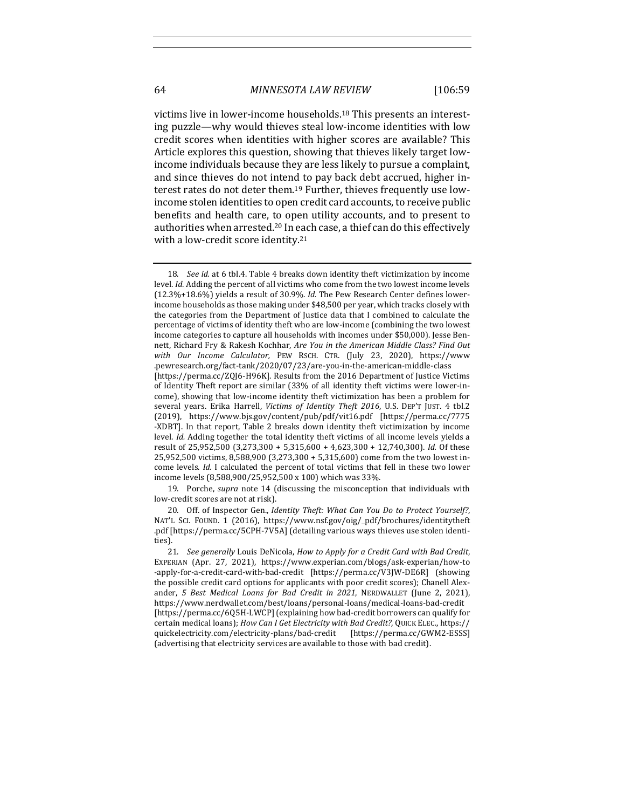victims live in lower-income households.<sup>18</sup> This presents an interesting puzzle—why would thieves steal low-income identities with low credit scores when identities with higher scores are available? This Article explores this question, showing that thieves likely target lowincome individuals because they are less likely to pursue a complaint, and since thieves do not intend to pay back debt accrued, higher interest rates do not deter them.<sup>19</sup> Further, thieves frequently use lowincome stolen identities to open credit card accounts, to receive public benefits and health care, to open utility accounts, and to present to authorities when arrested.<sup>20</sup> In each case, a thief can do this effectively with a low-credit score identity.<sup>21</sup>

19. Porche, *supra* note 14 (discussing the misconception that individuals with low-credit scores are not at risk).

20. Off. of Inspector Gen., *Identity Theft: What Can You Do to Protect Yourself?*, NAT'L SCI. FOUND. 1 (2016), https://www.nsf.gov/oig/\_pdf/brochures/identitytheft .pdf [https://perma.cc/5CPH-7V5A] (detailing various ways thieves use stolen identities).

<sup>18.</sup> *See id.* at 6 tbl.4. Table 4 breaks down identity theft victimization by income level. Id. Adding the percent of all victims who come from the two lowest income levels (12.3%+18.6%) yields a result of 30.9%. *Id.* The Pew Research Center defines lowerincome households as those making under \$48,500 per year, which tracks closely with the categories from the Department of Justice data that I combined to calculate the percentage of victims of identity theft who are low-income (combining the two lowest income categories to capture all households with incomes under \$50,000). Jesse Bennett, Richard Fry & Rakesh Kochhar, *Are You in the American Middle Class? Find Out with Our Income Calculator,*  PEW RSCH. CTR. (July 23, 2020), https://www .pewresearch.org/fact-tank/2020/07/23/are-you-in-the-american-middle-class [https://perma.cc/ZQJ6-H96K]. Results from the 2016 Department of Justice Victims of Identity Theft report are similar (33% of all identity theft victims were lower-income), showing that low-income identity theft victimization has been a problem for several years. Erika Harrell, *Victims of Identity Theft 2016*, U.S. DEP'T JUST. 4 tbl.2 (2019), https://www.bjs.gov/content/pub/pdf/vit16.pdf [https://perma.cc/7775 -XDBT]. In that report, Table 2 breaks down identity theft victimization by income level. *Id.* Adding together the total identity theft victims of all income levels yields a result of 25,952,500 (3,273,300 + 5,315,600 + 4,623,300 + 12,740,300). *Id.* Of these  $25,952,500$  victims,  $8,588,900$   $(3,273,300 + 5,315,600)$  come from the two lowest income levels. *Id.* I calculated the percent of total victims that fell in these two lower income levels (8,588,900/25,952,500 x 100) which was 33%.

<sup>21.</sup> *See generally* Louis DeNicola, *How to Apply for a Credit Card with Bad Credit*, EXPERIAN (Apr. 27, 2021), https://www.experian.com/blogs/ask-experian/how-to -apply-for-a-credit-card-with-bad-credit [https://perma.cc/V3JW-DE6R] (showing the possible credit card options for applicants with poor credit scores); Chanell Alexander, 5 Best Medical Loans for Bad Credit in 2021, NERDWALLET (June 2, 2021), https://www.nerdwallet.com/best/loans/personal-loans/medical-loans-bad-credit [https://perma.cc/6Q5H-LWCP] (explaining how bad-credit borrowers can qualify for certain medical loans); *How Can I Get Electricity with Bad Credit?*, QUICK ELEC., https:// quickelectricity.com/electricity-plans/bad-credit [https://perma.cc/GWM2-ESSS] (advertising that electricity services are available to those with bad credit).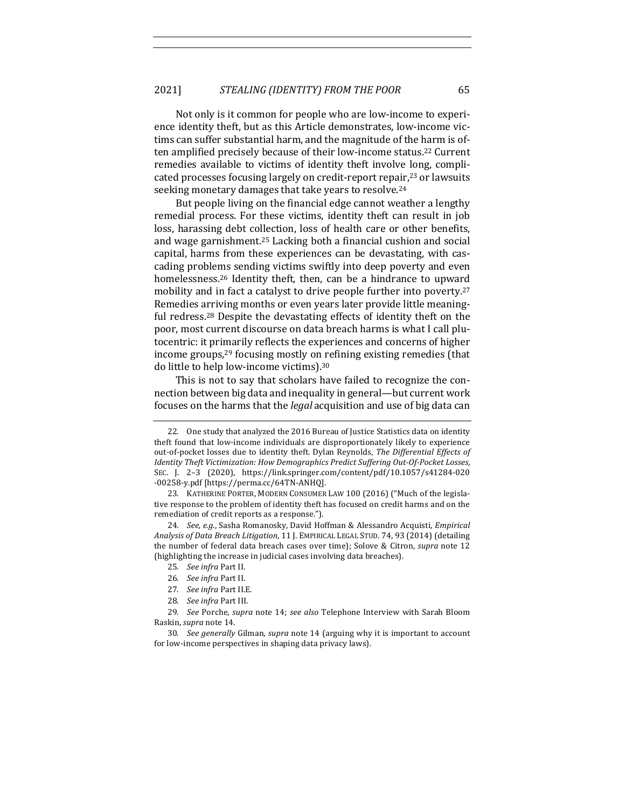Not only is it common for people who are low-income to experience identity theft, but as this Article demonstrates, low-income victims can suffer substantial harm, and the magnitude of the harm is often amplified precisely because of their low-income status.<sup>22</sup> Current remedies available to victims of identity theft involve long, complicated processes focusing largely on credit-report repair, $23$  or lawsuits seeking monetary damages that take years to resolve.<sup>24</sup>

But people living on the financial edge cannot weather a lengthy remedial process. For these victims, identity theft can result in job loss, harassing debt collection, loss of health care or other benefits, and wage garnishment.<sup>25</sup> Lacking both a financial cushion and social capital, harms from these experiences can be devastating, with cascading problems sending victims swiftly into deep poverty and even homelessness.<sup>26</sup> Identity theft, then, can be a hindrance to upward mobility and in fact a catalyst to drive people further into poverty.<sup>27</sup> Remedies arriving months or even years later provide little meaningful redress.<sup>28</sup> Despite the devastating effects of identity theft on the poor, most current discourse on data breach harms is what I call plutocentric: it primarily reflects the experiences and concerns of higher income groups, $29$  focusing mostly on refining existing remedies (that do little to help low-income victims).<sup>30</sup>

This is not to say that scholars have failed to recognize the connection between big data and inequality in general—but current work focuses on the harms that the *legal* acquisition and use of big data can

- 25. *See infra* Part II.
- 26. *See infra* Part II.
- 27. *See infra Part II.E.*
- 28. *See infra* Part III.

<sup>22.</sup> One study that analyzed the 2016 Bureau of Justice Statistics data on identity theft found that low-income individuals are disproportionately likely to experience out-of-pocket losses due to identity theft. Dylan Reynolds, *The Differential Effects of Identity Theft Victimization: How Demographics Predict Suffering Out-Of-Pocket Losses,* SEC. J. 2-3 (2020), https://link.springer.com/content/pdf/10.1057/s41284-020 -00258-y.pdf [https://perma.cc/64TN-ANHQ]. 

<sup>23.</sup> KATHERINE PORTER, MODERN CONSUMER LAW 100 (2016) ("Much of the legislative response to the problem of identity theft has focused on credit harms and on the remediation of credit reports as a response.").

<sup>24.</sup> *See, e.g.*, Sasha Romanosky, David Hoffman & Alessandro Acquisti, *Empirical* Analysis of Data Breach Litigation, 11 J. EMPIRICAL LEGAL STUD. 74, 93 (2014) (detailing the number of federal data breach cases over time); Solove & Citron, *supra* note 12 (highlighting the increase in judicial cases involving data breaches).

<sup>29.</sup> *See* Porche, *supra* note 14; *see also* Telephone Interview with Sarah Bloom Raskin, *supra* note 14.

<sup>30.</sup> *See generally* Gilman, *supra* note 14 (arguing why it is important to account for low-income perspectives in shaping data privacy laws).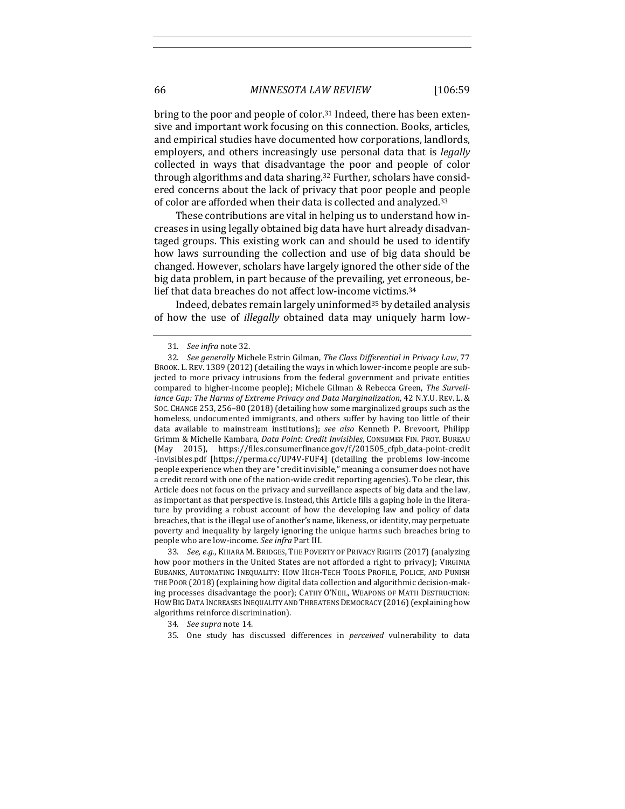bring to the poor and people of color.<sup>31</sup> Indeed, there has been extensive and important work focusing on this connection. Books, articles, and empirical studies have documented how corporations, landlords, employers, and others increasingly use personal data that is *legally* collected in ways that disadvantage the poor and people of color through algorithms and data sharing.<sup>32</sup> Further, scholars have considered concerns about the lack of privacy that poor people and people of color are afforded when their data is collected and analyzed.<sup>33</sup>

These contributions are vital in helping us to understand how increases in using legally obtained big data have hurt already disadvantaged groups. This existing work can and should be used to identify how laws surrounding the collection and use of big data should be changed. However, scholars have largely ignored the other side of the big data problem, in part because of the prevailing, yet erroneous, belief that data breaches do not affect low-income victims.<sup>34</sup>

Indeed, debates remain largely uninformed<sup>35</sup> by detailed analysis of how the use of *illegally* obtained data may uniquely harm low-

33. *See, e.g.*, KHIARA M. BRIDGES, THE POVERTY OF PRIVACY RIGHTS (2017) (analyzing how poor mothers in the United States are not afforded a right to privacy); VIRGINIA EUBANKS, AUTOMATING INEQUALITY: HOW HIGH-TECH TOOLS PROFILE, POLICE, AND PUNISH THE POOR (2018) (explaining how digital data collection and algorithmic decision-making processes disadvantage the poor); CATHY O'NEIL, WEAPONS OF MATH DESTRUCTION: HOW BIG DATA INCREASES INEQUALITY AND THREATENS DEMOCRACY (2016) (explaining how algorithms reinforce discrimination).

35. One study has discussed differences in *perceived* vulnerability to data

<sup>31.</sup> See infra note 32.

<sup>32.</sup> *See generally* Michele Estrin Gilman, *The Class Differential in Privacy Law*, 77 BROOK. L. REV. 1389 (2012) (detailing the ways in which lower-income people are subjected to more privacy intrusions from the federal government and private entities compared to higher-income people); Michele Gilman & Rebecca Green, The Surveil*lance Gap: The Harms of Extreme Privacy and Data Marginalization*, 42 N.Y.U. REV. L. & SOC. CHANGE 253, 256-80 (2018) (detailing how some marginalized groups such as the homeless, undocumented immigrants, and others suffer by having too little of their data available to mainstream institutions); see also Kenneth P. Brevoort, Philipp Grimm & Michelle Kambara, *Data Point: Credit Invisibles*, CONSUMER FIN. PROT. BUREAU (May 2015), https://files.consumerfinance.gov/f/201505\_cfpb\_data-point-credit -invisibles.pdf [https://perma.cc/UP4V-FUF4] (detailing the problems low-income people experience when they are "credit invisible," meaning a consumer does not have a credit record with one of the nation-wide credit reporting agencies). To be clear, this Article does not focus on the privacy and surveillance aspects of big data and the law, as important as that perspective is. Instead, this Article fills a gaping hole in the literature by providing a robust account of how the developing law and policy of data breaches, that is the illegal use of another's name, likeness, or identity, may perpetuate poverty and inequality by largely ignoring the unique harms such breaches bring to people who are low-income. See infra Part III.

<sup>34.</sup> *See supra* note 14.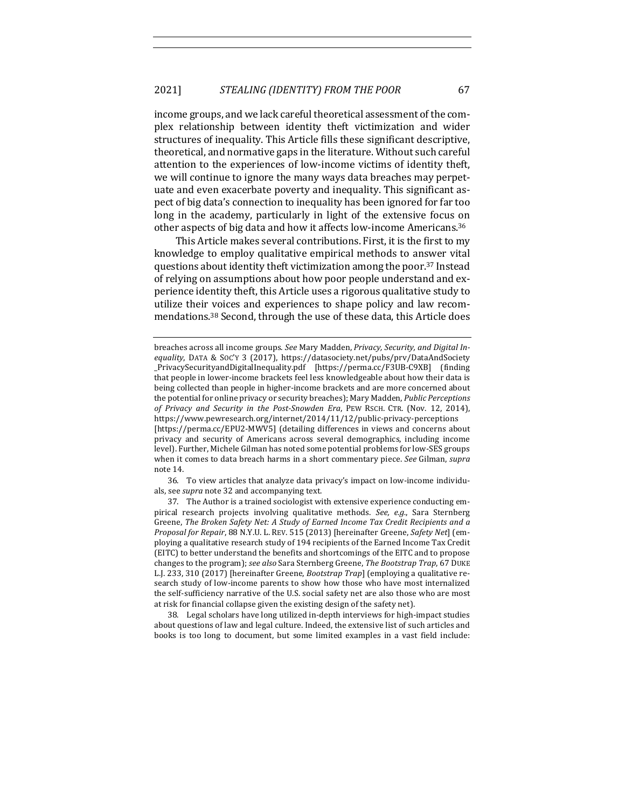income groups, and we lack careful theoretical assessment of the complex relationship between identity theft victimization and wider structures of inequality. This Article fills these significant descriptive, theoretical, and normative gaps in the literature. Without such careful attention to the experiences of low-income victims of identity theft, we will continue to ignore the many ways data breaches may perpetuate and even exacerbate poverty and inequality. This significant aspect of big data's connection to inequality has been ignored for far too long in the academy, particularly in light of the extensive focus on other aspects of big data and how it affects low-income Americans.<sup>36</sup>

This Article makes several contributions. First, it is the first to my knowledge to employ qualitative empirical methods to answer vital questions about identity theft victimization among the poor.<sup>37</sup> Instead of relying on assumptions about how poor people understand and experience identity theft, this Article uses a rigorous qualitative study to utilize their voices and experiences to shape policy and law recommendations.<sup>38</sup> Second, through the use of these data, this Article does

36. To view articles that analyze data privacy's impact on low-income individuals, see *supra* note 32 and accompanying text.

37. The Author is a trained sociologist with extensive experience conducting empirical research projects involving qualitative methods. See, e.g., Sara Sternberg Greene, *The Broken Safety Net: A Study of Earned Income Tax Credit Recipients and a Proposal for Repair,* 88 N.Y.U. L. REV. 515 (2013) [hereinafter Greene, Safety Net] (employing a qualitative research study of 194 recipients of the Earned Income Tax Credit (EITC) to better understand the benefits and shortcomings of the EITC and to propose changes to the program); *see also* Sara Sternberg Greene, *The Bootstrap Trap*, 67 DUKE L.J. 233, 310 (2017) [hereinafter Greene, *Bootstrap Trap*] (employing a qualitative research study of low-income parents to show how those who have most internalized the self-sufficiency narrative of the U.S. social safety net are also those who are most at risk for financial collapse given the existing design of the safety net).

38. Legal scholars have long utilized in-depth interviews for high-impact studies about questions of law and legal culture. Indeed, the extensive list of such articles and books is too long to document, but some limited examples in a vast field include:

breaches across all income groups. See Mary Madden, *Privacy*, Security, and Digital In*equality*, DATA & SOC'Y 3 (2017), https://datasociety.net/pubs/prv/DataAndSociety \_PrivacySecurityandDigitalInequality.pdf [https://perma.cc/F3UB-C9XB] (finding that people in lower-income brackets feel less knowledgeable about how their data is being collected than people in higher-income brackets and are more concerned about the potential for online privacy or security breaches); Mary Madden, *Public Perceptions* of Privacy and Security in the Post-Snowden Era, PEW RSCH. CTR. (Nov. 12, 2014), https://www.pewresearch.org/internet/2014/11/12/public-privacy-perceptions [https://perma.cc/EPU2-MWV5] (detailing differences in views and concerns about privacy and security of Americans across several demographics, including income level). Further, Michele Gilman has noted some potential problems for low-SES groups when it comes to data breach harms in a short commentary piece. See Gilman, supra note 14.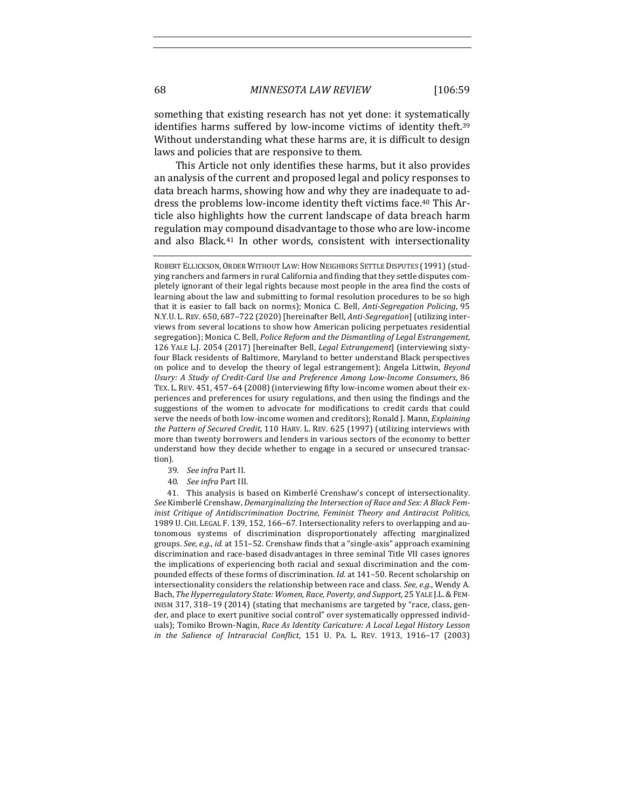something that existing research has not yet done: it systematically identifies harms suffered by low-income victims of identity theft.<sup>39</sup> Without understanding what these harms are, it is difficult to design laws and policies that are responsive to them.

This Article not only identifies these harms, but it also provides an analysis of the current and proposed legal and policy responses to data breach harms, showing how and why they are inadequate to address the problems low-income identity theft victims face.<sup>40</sup> This Article also highlights how the current landscape of data breach harm regulation may compound disadvantage to those who are low-income and also Black.<sup>41</sup> In other words, consistent with intersectionality

- 39. See infra Part II.
- 40. *See infra* Part III.

41. This analysis is based on Kimberlé Crenshaw's concept of intersectionality. *See* Kimberlé Crenshaw, *Demarginalizing the Intersection of Race and Sex: A Black Feminist Critique of Antidiscrimination Doctrine, Feminist Theory and Antiracist Politics*, 1989 U. CHI. LEGAL F. 139, 152, 166-67. Intersectionality refers to overlapping and autonomous systems of discrimination disproportionately affecting marginalized groups. See, e.g., *id.* at 151-52. Crenshaw finds that a "single-axis" approach examining discrimination and race-based disadvantages in three seminal Title VII cases ignores the implications of experiencing both racial and sexual discrimination and the compounded effects of these forms of discrimination. *Id.* at 141-50. Recent scholarship on intersectionality considers the relationship between race and class. See, e.g., Wendy A. Bach, *The Hyperregulatory State: Women, Race, Poverty, and Support*, 25 YALE J.L.&FEM-INISM 317, 318-19 (2014) (stating that mechanisms are targeted by "race, class, gender, and place to exert punitive social control" over systematically oppressed individuals); Tomiko Brown-Nagin, *Race As Identity Caricature: A Local Legal History Lesson in* the Salience of Intraracial Conflict, 151 U. PA. L. REV. 1913, 1916-17 (2003)

ROBERT ELLICKSON, ORDER WITHOUT LAW: HOW NEIGHBORS SETTLE DISPUTES (1991) (studying ranchers and farmers in rural California and finding that they settle disputes completely ignorant of their legal rights because most people in the area find the costs of learning about the law and submitting to formal resolution procedures to be so high that it is easier to fall back on norms); Monica C. Bell, *Anti-Segregation Policing*, 95 N.Y.U. L. REV. 650, 687-722 (2020) [hereinafter Bell, *Anti-Segregation*] (utilizing interviews from several locations to show how American policing perpetuates residential segregation); Monica C. Bell, *Police Reform and the Dismantling of Legal Estrangement*, 126 YALE L.J. 2054 (2017) [hereinafter Bell, *Legal Estrangement*] (interviewing sixtyfour Black residents of Baltimore, Maryland to better understand Black perspectives on police and to develop the theory of legal estrangement); Angela Littwin, *Beyond* Usury: A Study of Credit-Card Use and Preference Among Low-Income Consumers, 86 TEX. L. REV. 451, 457-64 (2008) (interviewing fifty low-income women about their experiences and preferences for usury regulations, and then using the findings and the suggestions of the women to advocate for modifications to credit cards that could serve the needs of both low-income women and creditors); Ronald J. Mann, *Explaining the Pattern of Secured Credit,* 110 HARV. L. REV. 625 (1997) (utilizing interviews with more than twenty borrowers and lenders in various sectors of the economy to better understand how they decide whether to engage in a secured or unsecured transaction).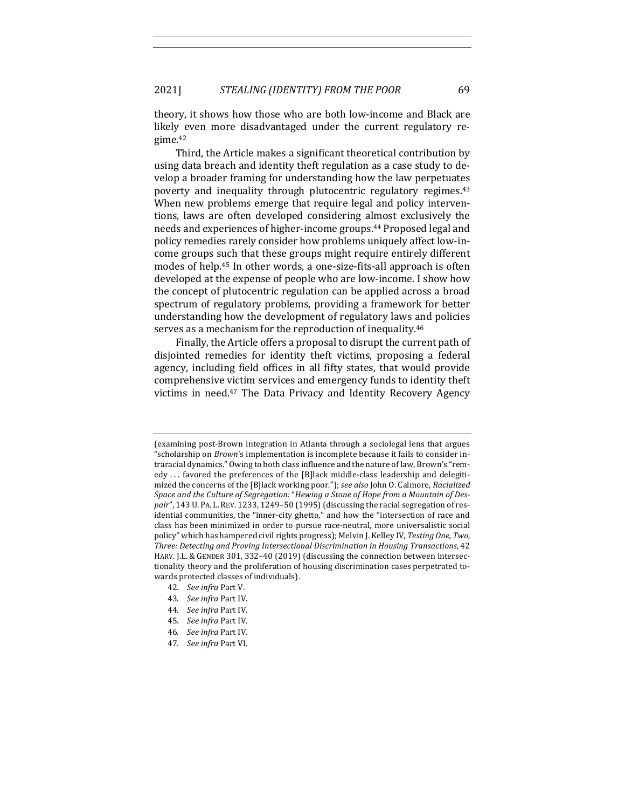theory, it shows how those who are both low-income and Black are likely even more disadvantaged under the current regulatory regime.42

Third, the Article makes a significant theoretical contribution by using data breach and identity theft regulation as a case study to develop a broader framing for understanding how the law perpetuates poverty and inequality through plutocentric regulatory regimes.<sup>43</sup> When new problems emerge that require legal and policy interventions, laws are often developed considering almost exclusively the needs and experiences of higher-income groups.<sup>44</sup> Proposed legal and policy remedies rarely consider how problems uniquely affect low-income groups such that these groups might require entirely different modes of help.<sup>45</sup> In other words, a one-size-fits-all approach is often developed at the expense of people who are low-income. I show how the concept of plutocentric regulation can be applied across a broad spectrum of regulatory problems, providing a framework for better understanding how the development of regulatory laws and policies serves as a mechanism for the reproduction of inequality.<sup>46</sup>

Finally, the Article offers a proposal to disrupt the current path of disjointed remedies for identity theft victims, proposing a federal agency, including field offices in all fifty states, that would provide comprehensive victim services and emergency funds to identity theft victims in need.<sup>47</sup> The Data Privacy and Identity Recovery Agency

- 42. *See infra* Part V.
- 43. *See infra* Part IV.
- 44. *See infra* Part IV.
- 45. *See infra* Part IV.
- 46. *See infra* Part IV.
- 47. *See infra* Part VI.

<sup>(</sup>examining post-Brown integration in Atlanta through a sociolegal lens that argues "scholarship on *Brown's* implementation is incomplete because it fails to consider intraracial dynamics." Owing to both class influence and the nature of law, Brown's "remedy ... favored the preferences of the [B]lack middle-class leadership and delegitimized the concerns of the [B]lack working poor."); *see also* John O. Calmore, *Racialized* Space and the Culture of Segregation: "Hewing a Stone of Hope from a Mountain of Despair", 143 U. PA. L. REV. 1233, 1249-50 (1995) (discussing the racial segregation of residential communities, the "inner-city ghetto," and how the "intersection of race and class has been minimized in order to pursue race-neutral, more universalistic social policy" which has hampered civil rights progress); Melvin J. Kelley IV, *Testing One, Two,* Three: Detecting and Proving Intersectional Discrimination in Housing Transactions, 42 HARV. J.L. & GENDER 301, 332-40 (2019) (discussing the connection between intersectionality theory and the proliferation of housing discrimination cases perpetrated towards protected classes of individuals).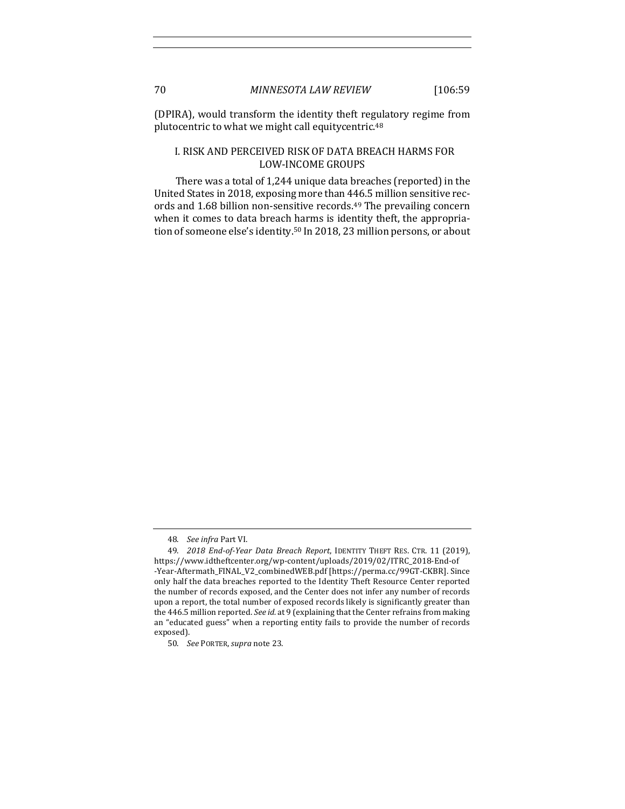(DPIRA), would transform the identity theft regulatory regime from plutocentric to what we might call equitycentric.<sup>48</sup>

# I. RISK AND PERCEIVED RISK OF DATA BREACH HARMS FOR LOW-INCOME GROUPS

There was a total of 1,244 unique data breaches (reported) in the United States in 2018, exposing more than 446.5 million sensitive records and 1.68 billion non-sensitive records.<sup>49</sup> The prevailing concern when it comes to data breach harms is identity theft, the appropriation of someone else's identity.<sup>50</sup> In 2018, 23 million persons, or about

<sup>48.</sup> *See infra* Part VI.

<sup>49.</sup> *2018 End-of-Year Data Breach Report*, IDENTITY THEFT RES. CTR. 11 (2019), https://www.idtheftcenter.org/wp-content/uploads/2019/02/ITRC\_2018-End-of -Year-Aftermath\_FINAL\_V2\_combinedWEB.pdf [https://perma.cc/99GT-CKBR]. Since only half the data breaches reported to the Identity Theft Resource Center reported the number of records exposed, and the Center does not infer any number of records upon a report, the total number of exposed records likely is significantly greater than the 446.5 million reported. See id. at 9 (explaining that the Center refrains from making an "educated guess" when a reporting entity fails to provide the number of records exposed).

<sup>50.</sup> *See* PORTER,*supra* note 23.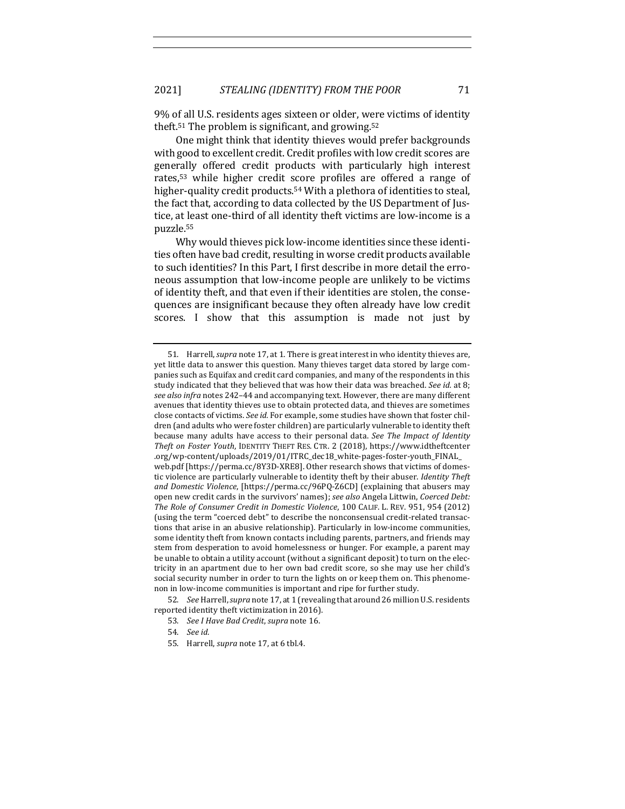9% of all U.S. residents ages sixteen or older, were victims of identity theft.<sup>51</sup> The problem is significant, and growing.<sup>52</sup>

One might think that identity thieves would prefer backgrounds with good to excellent credit. Credit profiles with low credit scores are generally offered credit products with particularly high interest rates,<sup>53</sup> while higher credit score profiles are offered a range of higher-quality credit products.<sup>54</sup> With a plethora of identities to steal, the fact that, according to data collected by the US Department of Justice, at least one-third of all identity theft victims are low-income is a puzzle.55

Why would thieves pick low-income identities since these identities often have bad credit, resulting in worse credit products available to such identities? In this Part, I first describe in more detail the erroneous assumption that low-income people are unlikely to be victims of identity theft, and that even if their identities are stolen, the consequences are insignificant because they often already have low credit scores. I show that this assumption is made not just by

52. *See* Harrell, *supra* note 17, at 1 (revealing that around 26 million U.S. residents reported identity theft victimization in 2016).

<sup>51.</sup> Harrell, *supra* note 17, at 1. There is great interest in who identity thieves are, yet little data to answer this question. Many thieves target data stored by large companies such as Equifax and credit card companies, and many of the respondents in this study indicated that they believed that was how their data was breached. *See id.* at 8; *see also infra* notes 242–44 and accompanying text. However, there are many different avenues that identity thieves use to obtain protected data, and thieves are sometimes close contacts of victims. *See id.* For example, some studies have shown that foster children (and adults who were foster children) are particularly vulnerable to identity theft because many adults have access to their personal data. See *The Impact of Identity Theft on Foster Youth*, IDENTITY THEFT RES. CTR. 2 (2018), https://www.idtheftcenter .org/wp-content/uploads/2019/01/ITRC\_dec18\_white-pages-foster-youth\_FINAL\_ web.pdf [https://perma.cc/8Y3D-XRE8]. Other research shows that victims of domestic violence are particularly vulnerable to identity theft by their abuser. *Identity Theft* and Domestic Violence, [https://perma.cc/96PQ-Z6CD] (explaining that abusers may open new credit cards in the survivors' names); see also Angela Littwin, Coerced Debt: *The Role of Consumer Credit in Domestic Violence*, 100 CALIF. L. REV. 951, 954 (2012) (using the term "coerced debt" to describe the nonconsensual credit-related transactions that arise in an abusive relationship). Particularly in low-income communities, some identity theft from known contacts including parents, partners, and friends may stem from desperation to avoid homelessness or hunger. For example, a parent may be unable to obtain a utility account (without a significant deposit) to turn on the electricity in an apartment due to her own bad credit score, so she may use her child's social security number in order to turn the lights on or keep them on. This phenomenon in low-income communities is important and ripe for further study.

<sup>53.</sup> *See I Have Bad Credit*, *supra* note 16.

<sup>54.</sup> *See id.*

<sup>55.</sup> Harrell, *supra* note 17, at 6 tbl.4.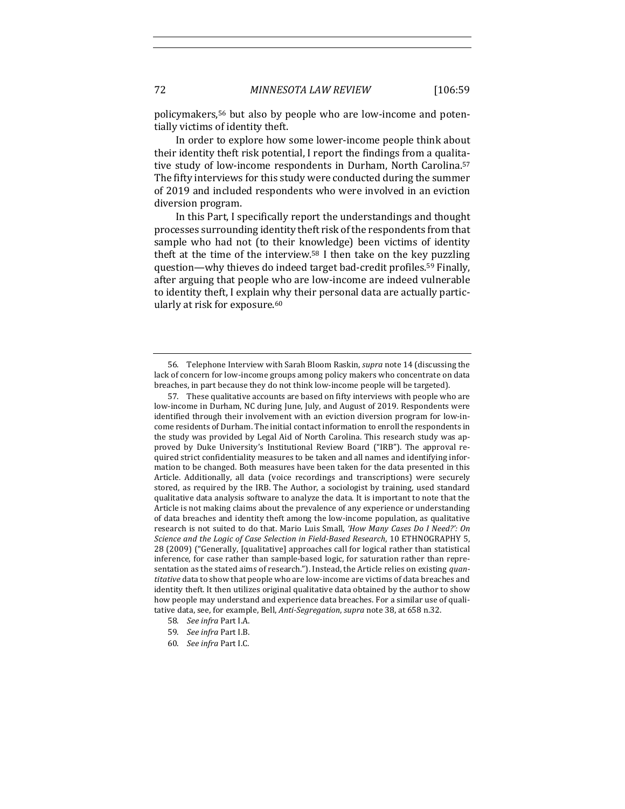policymakers,<sup>56</sup> but also by people who are low-income and potentially victims of identity theft.

In order to explore how some lower-income people think about their identity theft risk potential, I report the findings from a qualitative study of low-income respondents in Durham, North Carolina.<sup>57</sup> The fifty interviews for this study were conducted during the summer of 2019 and included respondents who were involved in an eviction diversion program.

In this Part, I specifically report the understandings and thought processes surrounding identity theft risk of the respondents from that sample who had not (to their knowledge) been victims of identity theft at the time of the interview.<sup>58</sup> I then take on the key puzzling question—why thieves do indeed target bad-credit profiles.<sup>59</sup> Finally, after arguing that people who are low-income are indeed vulnerable to identity theft, I explain why their personal data are actually particularly at risk for exposure.<sup>60</sup>

- 58. *See infra* Part I.A.
- 59. *See infra* Part I.B.
- 60. *See infra* Part I.C.

<sup>56.</sup> Telephone Interview with Sarah Bloom Raskin, *supra* note 14 (discussing the lack of concern for low-income groups among policy makers who concentrate on data breaches, in part because they do not think low-income people will be targeted).

<sup>57.</sup> These qualitative accounts are based on fifty interviews with people who are low-income in Durham, NC during June, July, and August of 2019. Respondents were identified through their involvement with an eviction diversion program for low-income residents of Durham. The initial contact information to enroll the respondents in the study was provided by Legal Aid of North Carolina. This research study was approved by Duke University's Institutional Review Board ("IRB"). The approval required strict confidentiality measures to be taken and all names and identifying information to be changed. Both measures have been taken for the data presented in this Article. Additionally, all data (voice recordings and transcriptions) were securely stored, as required by the IRB. The Author, a sociologist by training, used standard qualitative data analysis software to analyze the data. It is important to note that the Article is not making claims about the prevalence of any experience or understanding of data breaches and identity theft among the low-income population, as qualitative research is not suited to do that. Mario Luis Small, 'How Many Cases Do I Need?': On *Science and the Logic of Case Selection in Field-Based Research*, 10 ETHNOGRAPHY 5, 28 (2009) ("Generally, [qualitative] approaches call for logical rather than statistical inference, for case rather than sample-based logic, for saturation rather than representation as the stated aims of research."). Instead, the Article relies on existing *quan*titative data to show that people who are low-income are victims of data breaches and identity theft. It then utilizes original qualitative data obtained by the author to show how people may understand and experience data breaches. For a similar use of qualitative data, see, for example, Bell, *Anti-Segregation*, *supra* note 38, at 658 n.32.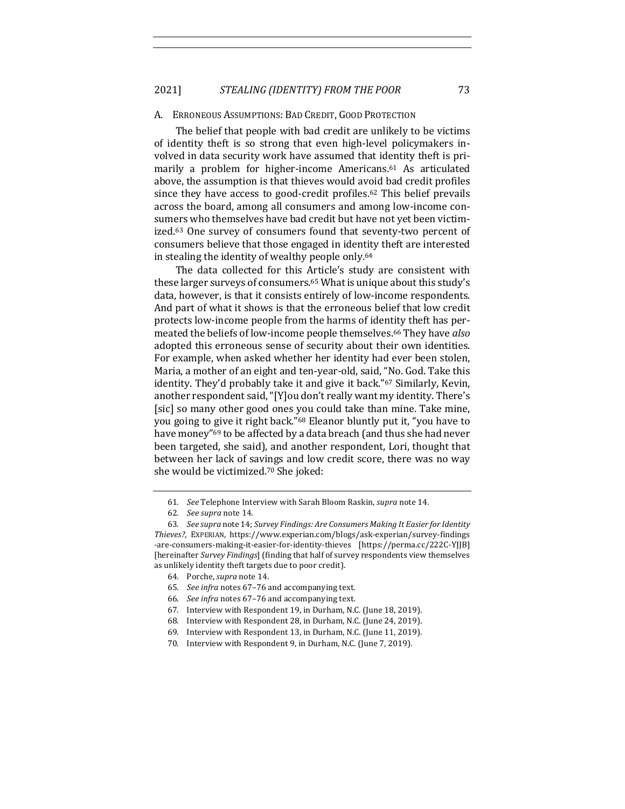#### A. ERRONEOUS ASSUMPTIONS: BAD CREDIT, GOOD PROTECTION

The belief that people with bad credit are unlikely to be victims of identity theft is so strong that even high-level policymakers involved in data security work have assumed that identity theft is primarily a problem for higher-income Americans.<sup>61</sup> As articulated above, the assumption is that thieves would avoid bad credit profiles since they have access to good-credit profiles.<sup>62</sup> This belief prevails across the board, among all consumers and among low-income consumers who themselves have bad credit but have not yet been victimized.<sup>63</sup> One survey of consumers found that seventy-two percent of consumers believe that those engaged in identity theft are interested in stealing the identity of wealthy people only.<sup>64</sup>

The data collected for this Article's study are consistent with these larger surveys of consumers.<sup>65</sup> What is unique about this study's data, however, is that it consists entirely of low-income respondents. And part of what it shows is that the erroneous belief that low credit protects low-income people from the harms of identity theft has permeated the beliefs of low-income people themselves.<sup>66</sup> They have *also* adopted this erroneous sense of security about their own identities. For example, when asked whether her identity had ever been stolen, Maria, a mother of an eight and ten-year-old, said, "No. God. Take this identity. They'd probably take it and give it back."<sup>67</sup> Similarly, Kevin, another respondent said, "[Y] ou don't really want my identity. There's [sic] so many other good ones you could take than mine. Take mine, you going to give it right back."<sup>68</sup> Eleanor bluntly put it, "you have to have money"<sup>69</sup> to be affected by a data breach (and thus she had never been targeted, she said), and another respondent, Lori, thought that between her lack of savings and low credit score, there was no way she would be victimized.<sup>70</sup> She joked:

<sup>61.</sup> *See* Telephone Interview with Sarah Bloom Raskin, *supra* note 14.

<sup>62.</sup> *See supra* note 14.

<sup>63.</sup> *See supra* note 14; *Survey Findings: Are Consumers Making It Easier for Identity Thieves?*, EXPERIAN, https://www.experian.com/blogs/ask-experian/survey-findings -are-consumers-making-it-easier-for-identity-thieves [https://perma.cc/222C-YJJB] [hereinafter Survey Findings] (finding that half of survey respondents view themselves as unlikely identity theft targets due to poor credit).

<sup>64.</sup> Porche, *supra* note 14.

<sup>65.</sup> *See infra* notes 67-76 and accompanying text.

<sup>66.</sup> *See infra* notes 67-76 and accompanying text.

<sup>67.</sup> Interview with Respondent 19, in Durham, N.C. (June 18, 2019).

<sup>68.</sup> Interview with Respondent 28, in Durham, N.C. (June 24, 2019).

<sup>69.</sup> Interview with Respondent 13, in Durham, N.C. (June 11, 2019).

<sup>70.</sup> Interview with Respondent 9, in Durham, N.C. (June 7, 2019).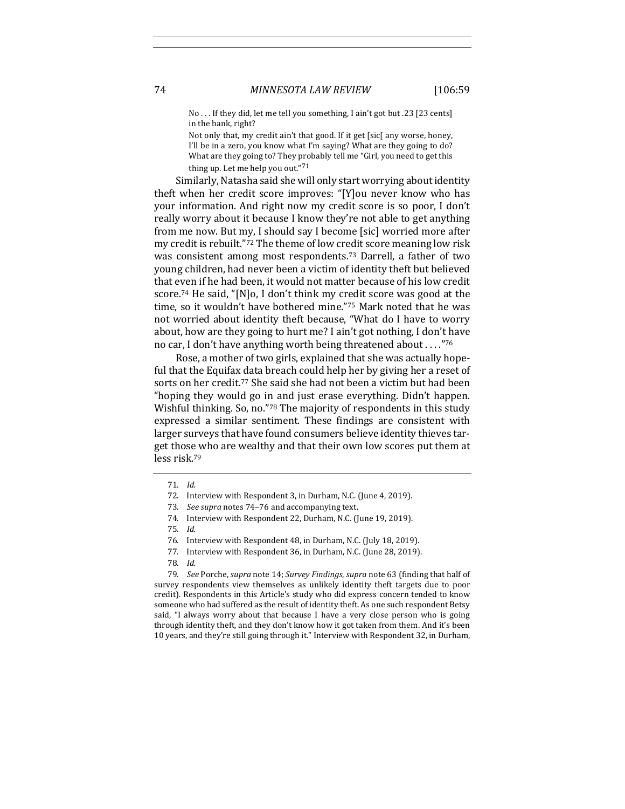No ... If they did, let me tell you something, I ain't got but .23 [23 cents] in the bank, right?

Not only that, my credit ain't that good. If it get [sic[ any worse, honey, I'll be in a zero, you know what I'm saying? What are they going to do? What are they going to? They probably tell me "Girl, you need to get this thing up. Let me help you out." $71$ 

Similarly, Natasha said she will only start worrying about identity theft when her credit score improves: "[Y]ou never know who has your information. And right now my credit score is so poor, I don't really worry about it because I know they're not able to get anything from me now. But my, I should say I become [sic] worried more after my credit is rebuilt."<sup>72</sup> The theme of low credit score meaning low risk was consistent among most respondents.<sup>73</sup> Darrell, a father of two young children, had never been a victim of identity theft but believed that even if he had been, it would not matter because of his low credit score.<sup>74</sup> He said, "[N]o, I don't think my credit score was good at the time, so it wouldn't have bothered mine."75 Mark noted that he was not worried about identity theft because, "What do I have to worry about, how are they going to hurt me? I ain't got nothing, I don't have no car, I don't have anything worth being threatened about . . . . "76

Rose, a mother of two girls, explained that she was actually hopeful that the Equifax data breach could help her by giving her a reset of sorts on her credit.<sup>77</sup> She said she had not been a victim but had been "hoping they would go in and just erase everything. Didn't happen. Wishful thinking. So, no."78 The majority of respondents in this study expressed a similar sentiment. These findings are consistent with larger surveys that have found consumers believe identity thieves target those who are wealthy and that their own low scores put them at less risk.79

74. Interview with Respondent 22, Durham, N.C. (June 19, 2019).

79. *See* Porche, *supra* note 14; *Survey Findings*, *supra* note 63 (finding that half of survey respondents view themselves as unlikely identity theft targets due to poor credit). Respondents in this Article's study who did express concern tended to know someone who had suffered as the result of identity theft. As one such respondent Betsy said, "I always worry about that because I have a very close person who is going through identity theft, and they don't know how it got taken from them. And it's been 10 years, and they're still going through it." Interview with Respondent 32, in Durham,

<sup>71.</sup> *Id.*

<sup>72.</sup> Interview with Respondent 3, in Durham, N.C. (June 4, 2019).

<sup>73.</sup> *See supra* notes 74-76 and accompanying text.

<sup>75.</sup> *Id.*

<sup>76.</sup> Interview with Respondent 48, in Durham, N.C. (July 18, 2019).

<sup>77.</sup> Interview with Respondent 36, in Durham, N.C. (June 28, 2019).

<sup>78.</sup> *Id.*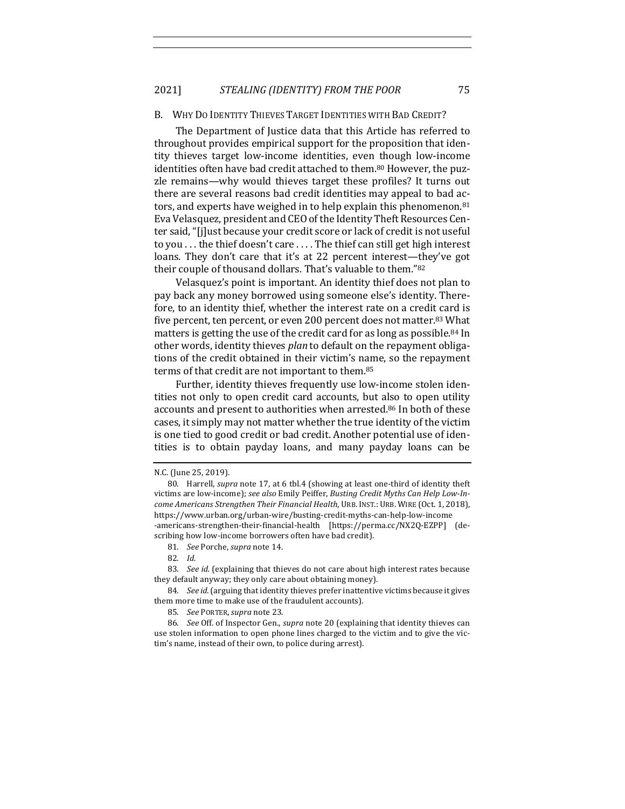2021] *STEALING (IDENTITY) FROM THE POOR* 75

#### B. WHY DO IDENTITY THIEVES TARGET IDENTITIES WITH BAD CREDIT?

The Department of Justice data that this Article has referred to throughout provides empirical support for the proposition that identity thieves target low-income identities, even though low-income identities often have bad credit attached to them.<sup>80</sup> However, the puzzle remains—why would thieves target these profiles? It turns out there are several reasons bad credit identities may appeal to bad actors, and experts have weighed in to help explain this phenomenon. $81$ Eva Velasquez, president and CEO of the Identity Theft Resources Center said, "[j]ust because your credit score or lack of credit is not useful to you . . . the thief doesn't care . . . . The thief can still get high interest loans. They don't care that it's at 22 percent interest—they've got their couple of thousand dollars. That's valuable to them."82

Velasquez's point is important. An identity thief does not plan to pay back any money borrowed using someone else's identity. Therefore, to an identity thief, whether the interest rate on a credit card is five percent, ten percent, or even 200 percent does not matter.<sup>83</sup> What matters is getting the use of the credit card for as long as possible.<sup>84</sup> In other words, identity thieves *plan* to default on the repayment obligations of the credit obtained in their victim's name, so the repayment terms of that credit are not important to them.<sup>85</sup>

Further, identity thieves frequently use low-income stolen identities not only to open credit card accounts, but also to open utility accounts and present to authorities when arrested.<sup>86</sup> In both of these cases, it simply may not matter whether the true identity of the victim is one tied to good credit or bad credit. Another potential use of identities is to obtain payday loans, and many payday loans can be

83. *See id.* (explaining that thieves do not care about high interest rates because they default anyway; they only care about obtaining money).

84. See id. (arguing that identity thieves prefer inattentive victims because it gives them more time to make use of the fraudulent accounts).

85. *See* PORTER, supra note 23.

86. *See* Off. of Inspector Gen., *supra* note 20 (explaining that identity thieves can use stolen information to open phone lines charged to the victim and to give the victim's name, instead of their own, to police during arrest).

N.C. (June 25, 2019).

<sup>80.</sup> Harrell, *supra* note 17, at 6 tbl.4 (showing at least one-third of identity theft victims are low-income); see also Emily Peiffer, *Busting Credit Myths Can Help Low-Income Americans Strengthen Their Financial Health*, URB. INST.: URB. WIRE (Oct. 1, 2018), https://www.urban.org/urban-wire/busting-credit-myths-can-help-low-income -americans-strengthen-their-financial-health [https://perma.cc/NX2Q-EZPP] (describing how low-income borrowers often have bad credit).

<sup>81.</sup> *See* Porche, *supra* note 14.

<sup>82.</sup> *Id.*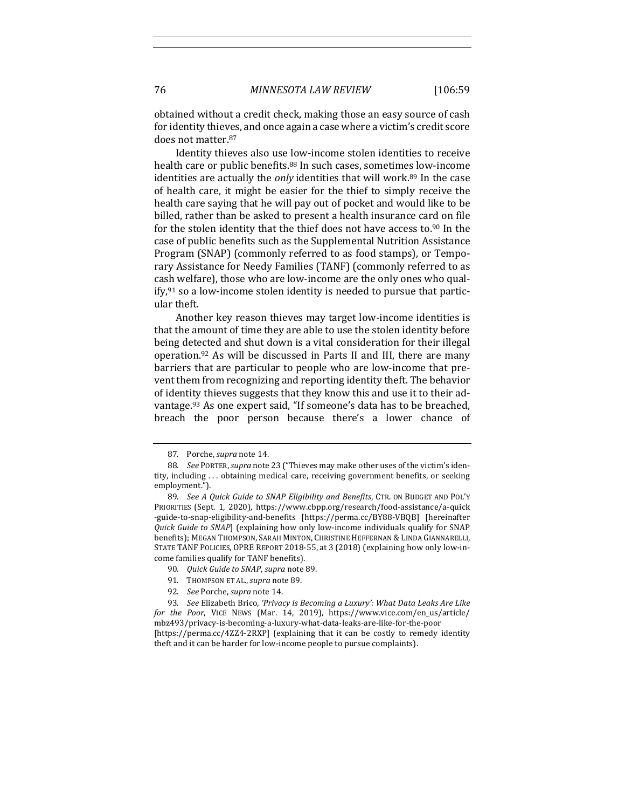obtained without a credit check, making those an easy source of cash for identity thieves, and once again a case where a victim's credit score does not matter.87

Identity thieves also use low-income stolen identities to receive health care or public benefits.<sup>88</sup> In such cases, sometimes low-income identities are actually the *only* identities that will work.<sup>89</sup> In the case of health care, it might be easier for the thief to simply receive the health care saying that he will pay out of pocket and would like to be billed, rather than be asked to present a health insurance card on file for the stolen identity that the thief does not have access to.<sup>90</sup> In the case of public benefits such as the Supplemental Nutrition Assistance Program (SNAP) (commonly referred to as food stamps), or Temporary Assistance for Needy Families (TANF) (commonly referred to as cash welfare), those who are low-income are the only ones who qualify, $91$  so a low-income stolen identity is needed to pursue that particular theft.

Another key reason thieves may target low-income identities is that the amount of time they are able to use the stolen identity before being detected and shut down is a vital consideration for their illegal operation.<sup>92</sup> As will be discussed in Parts II and III, there are many barriers that are particular to people who are low-income that prevent them from recognizing and reporting identity theft. The behavior of identity thieves suggests that they know this and use it to their advantage.<sup>93</sup> As one expert said, "If someone's data has to be breached, breach the poor person because there's a lower chance of

<sup>87.</sup> Porche, *supra* note 14.

<sup>88.</sup> *See PORTER, supra* note 23 ("Thieves may make other uses of the victim's identity, including ... obtaining medical care, receiving government benefits, or seeking employment.").

<sup>89.</sup> *See A Quick Guide to SNAP Eligibility and Benefits*, CTR. ON BUDGET AND POL'Y PRIORITIES (Sept. 1, 2020), https://www.cbpp.org/research/food-assistance/a-quick -guide-to-snap-eligibility-and-benefits [https://perma.cc/BY88-VBQB] [hereinafter *Quick Guide to SNAP*] (explaining how only low-income individuals qualify for SNAP benefits); MEGAN THOMPSON, SARAH MINTON, CHRISTINE HEFFERNAN & LINDA GIANNARELLI, STATE TANF POLICIES, OPRE REPORT 2018-55, at 3 (2018) (explaining how only low-income families qualify for TANF benefits).

<sup>90.</sup> *Quick Guide to SNAP*, *supra* note 89.

<sup>91.</sup> THOMPSON ET AL., *supra* note 89.

<sup>92.</sup> *See Porche, supra note* 14.

<sup>93.</sup> *See* Elizabeth Brico, 'Privacy is Becoming a Luxury': What Data Leaks Are Like *for* the Poor, VICE NEWS (Mar. 14, 2019), https://www.vice.com/en\_us/article/ mbz493/privacy-is-becoming-a-luxury-what-data-leaks-are-like-for-the-poor [https://perma.cc/4ZZ4-2RXP] (explaining that it can be costly to remedy identity theft and it can be harder for low-income people to pursue complaints).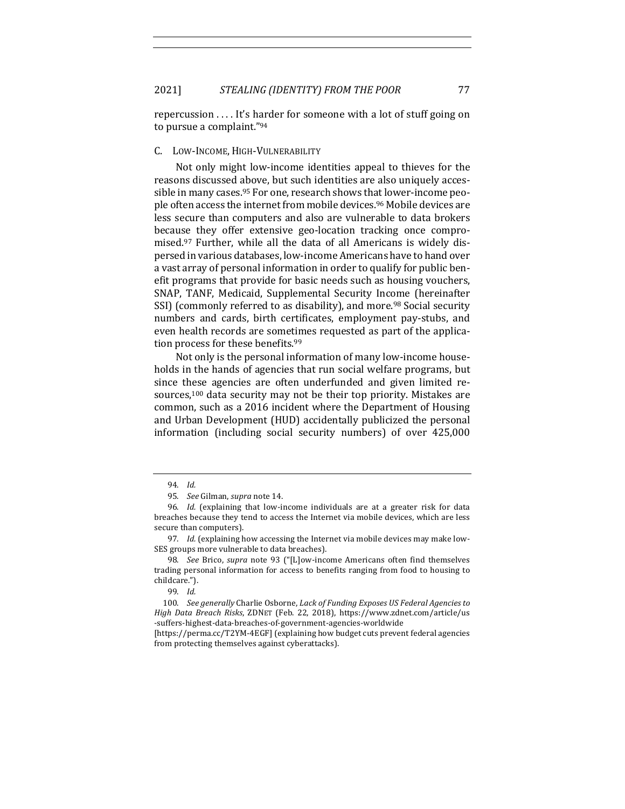repercussion  $\dots$  It's harder for someone with a lot of stuff going on to pursue a complaint."94

# C. LOW-INCOME, HIGH-VULNERABILITY

Not only might low-income identities appeal to thieves for the reasons discussed above, but such identities are also uniquely accessible in many cases.<sup>95</sup> For one, research shows that lower-income people often access the internet from mobile devices.<sup>96</sup> Mobile devices are less secure than computers and also are vulnerable to data brokers because they offer extensive geo-location tracking once compromised.<sup>97</sup> Further, while all the data of all Americans is widely dispersed in various databases, low-income Americans have to hand over a vast array of personal information in order to qualify for public benefit programs that provide for basic needs such as housing vouchers, SNAP, TANF, Medicaid, Supplemental Security Income (hereinafter SSI) (commonly referred to as disability), and more.<sup>98</sup> Social security numbers and cards, birth certificates, employment pay-stubs, and even health records are sometimes requested as part of the application process for these benefits.<sup>99</sup>

Not only is the personal information of many low-income households in the hands of agencies that run social welfare programs, but since these agencies are often underfunded and given limited resources, $100$  data security may not be their top priority. Mistakes are common, such as a 2016 incident where the Department of Housing and Urban Development (HUD) accidentally publicized the personal information (including social security numbers) of over 425,000

<sup>94.</sup> *Id.*

<sup>95.</sup> *See* Gilman, *supra* note 14.

<sup>96.</sup> *Id.* (explaining that low-income individuals are at a greater risk for data breaches because they tend to access the Internet via mobile devices, which are less secure than computers).

<sup>97.</sup> *Id.* (explaining how accessing the Internet via mobile devices may make low-SES groups more vulnerable to data breaches).

<sup>98.</sup> *See* Brico, *supra* note 93 ("[L]ow-income Americans often find themselves trading personal information for access to benefits ranging from food to housing to childcare.").

<sup>99.</sup> *Id.*

<sup>100.</sup> See generally Charlie Osborne, Lack of Funding Exposes US Federal Agencies to *High Data Breach Risks*, ZDNET (Feb. 22, 2018), https://www.zdnet.com/article/us -suffers-highest-data-breaches-of-government-agencies-worldwide

<sup>[</sup>https://perma.cc/T2YM-4EGF] (explaining how budget cuts prevent federal agencies from protecting themselves against cyberattacks).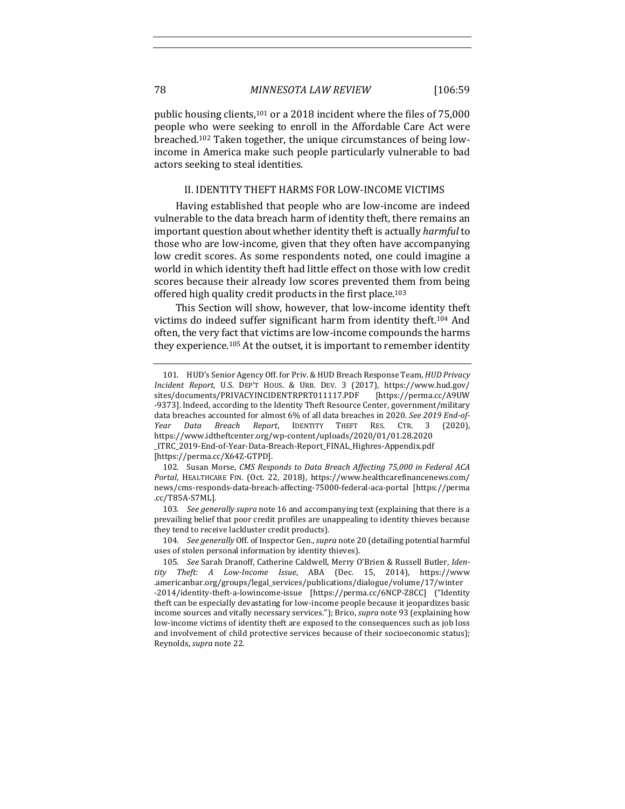public housing clients,<sup>101</sup> or a 2018 incident where the files of  $75,000$ people who were seeking to enroll in the Affordable Care Act were breached.<sup>102</sup> Taken together, the unique circumstances of being lowincome in America make such people particularly vulnerable to bad actors seeking to steal identities.

## II. IDENTITY THEFT HARMS FOR LOW-INCOME VICTIMS

Having established that people who are low-income are indeed vulnerable to the data breach harm of identity theft, there remains an important question about whether identity theft is actually *harmful* to those who are low-income, given that they often have accompanying low credit scores. As some respondents noted, one could imagine a world in which identity theft had little effect on those with low credit scores because their already low scores prevented them from being offered high quality credit products in the first place.<sup>103</sup>

This Section will show, however, that low-income identity theft victims do indeed suffer significant harm from identity theft.<sup>104</sup> And often, the very fact that victims are low-income compounds the harms they experience.<sup>105</sup> At the outset, it is important to remember identity

103. *See generally supra* note 16 and accompanying text (explaining that there is a prevailing belief that poor credit profiles are unappealing to identity thieves because they tend to receive lackluster credit products).

104. *See generally* Off. of Inspector Gen., *supra* note 20 (detailing potential harmful uses of stolen personal information by identity thieves).

<sup>101.</sup> HUD's Senior Agency Off. for Priv. & HUD Breach Response Team, *HUD Privacy Incident Report*, U.S. DEP'T HOUS. & URB. DEV. 3 (2017), https://www.hud.gov/ sites/documents/PRIVACYINCIDENTRPRT011117.PDF [https://perma.cc/A9UW -9373]. Indeed, according to the Identity Theft Resource Center, government/military data breaches accounted for almost 6% of all data breaches in 2020. *See 2019 End-of-Year Data Breach Report*, IDENTITY THEFT RES. CTR. 3 (2020), https://www.idtheftcenter.org/wp-content/uploads/2020/01/01.28.2020 \_ITRC\_2019-End-of-Year-Data-Breach-Report\_FINAL\_Highres-Appendix.pdf [https://perma.cc/X64Z-GTPD].

<sup>102.</sup> Susan Morse, *CMS Responds to Data Breach Affecting 75,000 in Federal ACA* Portal, HEALTHCARE FIN. (Oct. 22, 2018), https://www.healthcarefinancenews.com/ news/cms-responds-data-breach-affecting-75000-federal-aca-portal [https://perma .cc/T85A-S7ML].

<sup>105.</sup> See Sarah Dranoff, Catherine Caldwell, Merry O'Brien & Russell Butler, Iden*tity Theft: A Low-Income Issue*, ABA (Dec. 15, 2014), https://www .americanbar.org/groups/legal\_services/publications/dialogue/volume/17/winter -2014/identity-theft-a-lowincome-issue [https://perma.cc/6NCP-Z8CC] ("Identity theft can be especially devastating for low-income people because it jeopardizes basic income sources and vitally necessary services."); Brico, *supra* note 93 (explaining how low-income victims of identity theft are exposed to the consequences such as job loss and involvement of child protective services because of their socioeconomic status); Reynolds, *supra* note 22.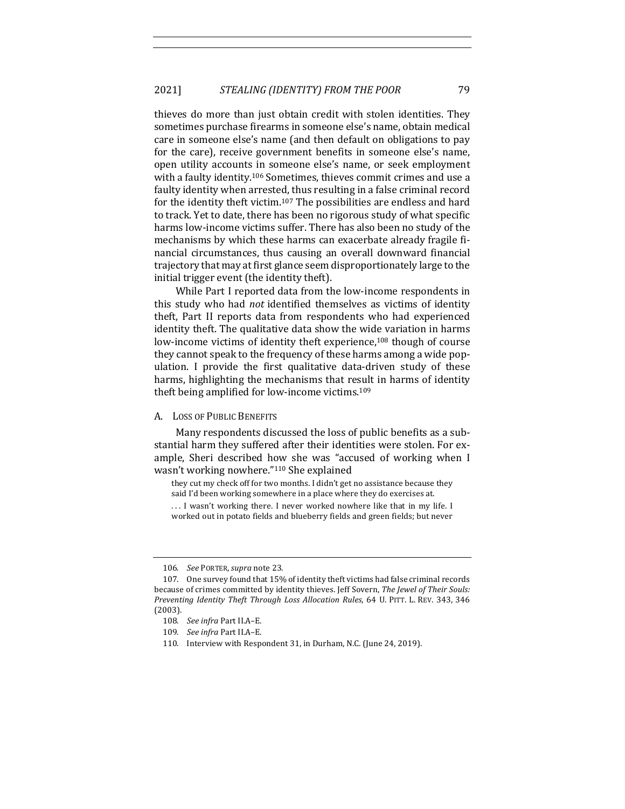thieves do more than just obtain credit with stolen identities. They sometimes purchase firearms in someone else's name, obtain medical care in someone else's name (and then default on obligations to pay for the care), receive government benefits in someone else's name, open utility accounts in someone else's name, or seek employment with a faulty identity.<sup>106</sup> Sometimes, thieves commit crimes and use a faulty identity when arrested, thus resulting in a false criminal record for the identity theft victim.<sup>107</sup> The possibilities are endless and hard to track. Yet to date, there has been no rigorous study of what specific harms low-income victims suffer. There has also been no study of the mechanisms by which these harms can exacerbate already fragile financial circumstances, thus causing an overall downward financial trajectory that may at first glance seem disproportionately large to the initial trigger event (the identity theft).

While Part I reported data from the low-income respondents in this study who had *not* identified themselves as victims of identity theft, Part II reports data from respondents who had experienced identity theft. The qualitative data show the wide variation in harms low-income victims of identity theft experience,<sup>108</sup> though of course they cannot speak to the frequency of these harms among a wide population. I provide the first qualitative data-driven study of these harms, highlighting the mechanisms that result in harms of identity theft being amplified for low-income victims. $109$ 

# A. LOSS OF PUBLIC BENEFITS

Many respondents discussed the loss of public benefits as a substantial harm they suffered after their identities were stolen. For example, Sheri described how she was "accused of working when I wasn't working nowhere."<sup>110</sup> She explained

they cut my check off for two months. I didn't get no assistance because they said I'd been working somewhere in a place where they do exercises at.

... I wasn't working there. I never worked nowhere like that in my life. I worked out in potato fields and blueberry fields and green fields; but never

<sup>106.</sup> *See PORTER, supra* note 23.

<sup>107.</sup> One survey found that 15% of identity theft victims had false criminal records because of crimes committed by identity thieves. Jeff Sovern, *The Jewel of Their Souls:* Preventing Identity Theft Through Loss Allocation Rules, 64 U. PITT. L. REV. 343, 346 (2003).

<sup>108.</sup> See infra Part II.A-E.

<sup>109.</sup> *See infra Part II.A-E.* 

<sup>110.</sup> Interview with Respondent 31, in Durham, N.C. (June 24, 2019).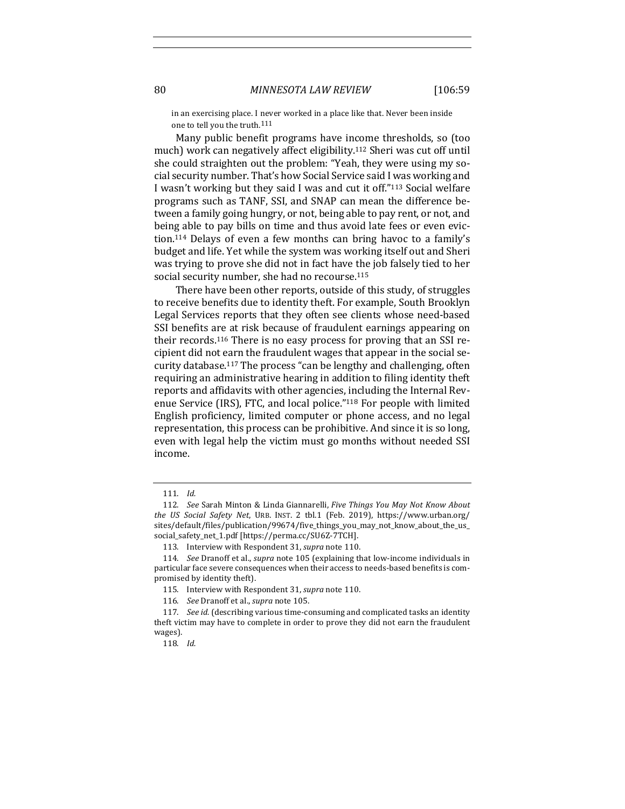in an exercising place. I never worked in a place like that. Never been inside one to tell you the truth.<sup>111</sup>

Many public benefit programs have income thresholds, so (too much) work can negatively affect eligibility.<sup>112</sup> Sheri was cut off until she could straighten out the problem: "Yeah, they were using my social security number. That's how Social Service said I was working and I wasn't working but they said I was and cut it off."<sup>113</sup> Social welfare programs such as TANF, SSI, and SNAP can mean the difference between a family going hungry, or not, being able to pay rent, or not, and being able to pay bills on time and thus avoid late fees or even eviction.<sup>114</sup> Delays of even a few months can bring havoc to a family's budget and life. Yet while the system was working itself out and Sheri was trying to prove she did not in fact have the job falsely tied to her social security number, she had no recourse.<sup>115</sup>

There have been other reports, outside of this study, of struggles to receive benefits due to identity theft. For example, South Brooklyn Legal Services reports that they often see clients whose need-based SSI benefits are at risk because of fraudulent earnings appearing on their records.<sup>116</sup> There is no easy process for proving that an SSI recipient did not earn the fraudulent wages that appear in the social security database.<sup>117</sup> The process "can be lengthy and challenging, often requiring an administrative hearing in addition to filing identity theft reports and affidavits with other agencies, including the Internal Revenue Service (IRS), FTC, and local police."<sup>118</sup> For people with limited English proficiency, limited computer or phone access, and no legal representation, this process can be prohibitive. And since it is so long. even with legal help the victim must go months without needed SSI income. 

<sup>111.</sup> *Id.*

<sup>112.</sup> *See* Sarah Minton & Linda Giannarelli, *Five Things You May Not Know About the US Social Safety Net*, URB. INST. 2 tbl.1 (Feb. 2019), https://www.urban.org/ sites/default/files/publication/99674/five\_things\_you\_may\_not\_know\_about\_the\_us\_ social\_safety\_net\_1.pdf [https://perma.cc/SU6Z-7TCH].

<sup>113.</sup> Interview with Respondent 31, *supra* note 110.

<sup>114.</sup> *See* Dranoff et al., *supra* note 105 (explaining that low-income individuals in particular face severe consequences when their access to needs-based benefits is compromised by identity theft).

<sup>115.</sup> Interview with Respondent 31, *supra* note 110.

<sup>116.</sup> *See Dranoff et al., supra note* 105.

<sup>117.</sup> *See id.* (describing various time-consuming and complicated tasks an identity theft victim may have to complete in order to prove they did not earn the fraudulent wages).

<sup>118.</sup> *Id.*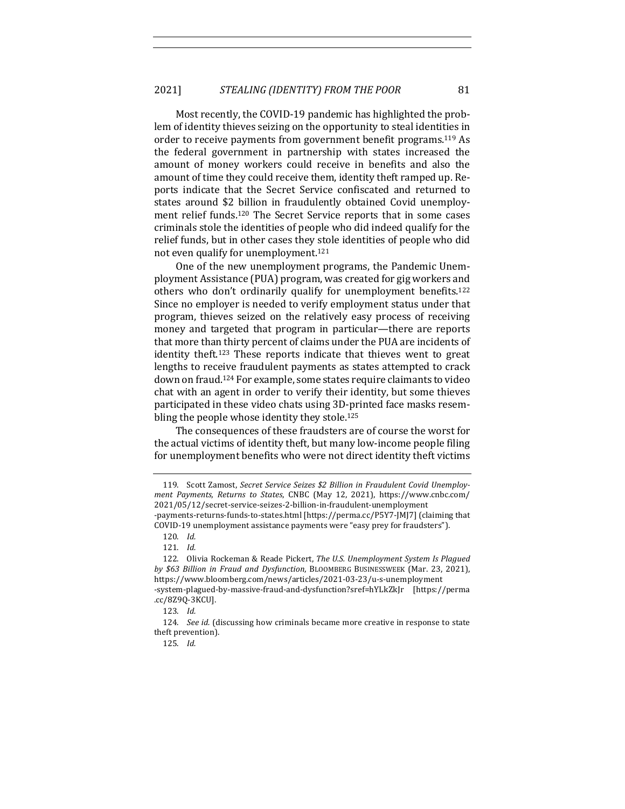Most recently, the COVID-19 pandemic has highlighted the problem of identity thieves seizing on the opportunity to steal identities in order to receive payments from government benefit programs.<sup>119</sup> As the federal government in partnership with states increased the amount of money workers could receive in benefits and also the amount of time they could receive them, identity theft ramped up. Reports indicate that the Secret Service confiscated and returned to states around \$2 billion in fraudulently obtained Covid unemployment relief funds.<sup>120</sup> The Secret Service reports that in some cases criminals stole the identities of people who did indeed qualify for the relief funds, but in other cases they stole identities of people who did not even qualify for unemployment.<sup>121</sup>

One of the new unemployment programs, the Pandemic Unemployment Assistance (PUA) program, was created for gig workers and others who don't ordinarily qualify for unemployment benefits.<sup>122</sup> Since no employer is needed to verify employment status under that program, thieves seized on the relatively easy process of receiving money and targeted that program in particular—there are reports that more than thirty percent of claims under the PUA are incidents of identity theft.<sup>123</sup> These reports indicate that thieves went to great lengths to receive fraudulent payments as states attempted to crack down on fraud.<sup>124</sup> For example, some states require claimants to video chat with an agent in order to verify their identity, but some thieves participated in these video chats using 3D-printed face masks resembling the people whose identity they stole.<sup>125</sup>

The consequences of these fraudsters are of course the worst for the actual victims of identity theft, but many low-income people filing for unemployment benefits who were not direct identity theft victims

<sup>119.</sup> Scott Zamost, Secret Service Seizes \$2 Billion in Fraudulent Covid Unemploy*ment Payments, Returns to States*, CNBC (May 12, 2021), https://www.cnbc.com/ 2021/05/12/secret-service-seizes-2-billion-in-fraudulent-unemployment -payments-returns-funds-to-states.html [https://perma.cc/P5Y7-JMJ7] (claiming that COVID-19 unemployment assistance payments were "easy prey for fraudsters").

<sup>120.</sup> *Id.*

<sup>121.</sup> *Id.*

<sup>122.</sup> Olivia Rockeman & Reade Pickert, *The U.S. Unemployment System Is Plaqued by \$63 Billion in Fraud and Dysfunction*, BLOOMBERG BUSINESSWEEK (Mar. 23, 2021), https://www.bloomberg.com/news/articles/2021-03-23/u-s-unemployment -system-plagued-by-massive-fraud-and-dysfunction?sref=hYLkZkJr [https://perma .cc/8Z9Q-3KCU].

<sup>123.</sup> *Id.*

<sup>124.</sup> *See id.* (discussing how criminals became more creative in response to state theft prevention).

<sup>125.</sup> *Id.*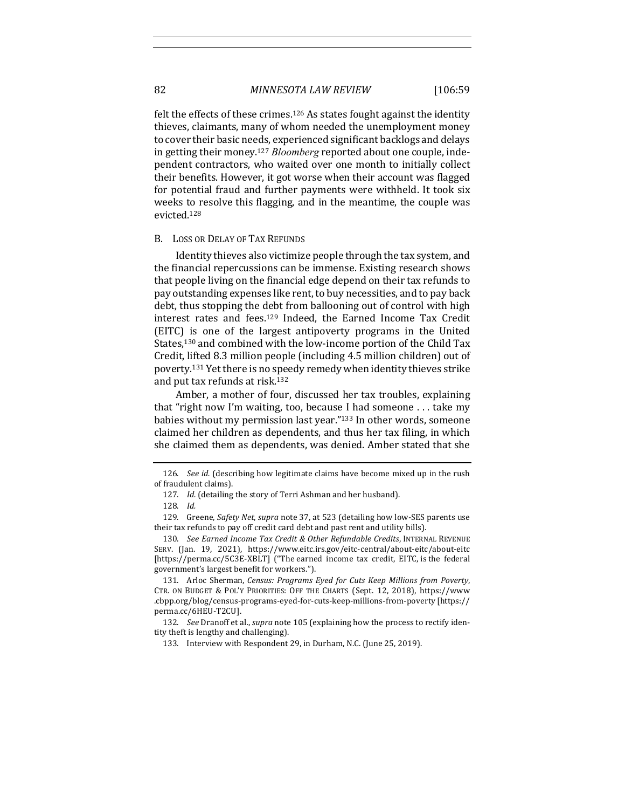felt the effects of these crimes.<sup>126</sup> As states fought against the identity thieves, claimants, many of whom needed the unemployment money to cover their basic needs, experienced significant backlogs and delays in getting their money.<sup>127</sup> *Bloomberg* reported about one couple, independent contractors, who waited over one month to initially collect their benefits. However, it got worse when their account was flagged for potential fraud and further payments were withheld. It took six weeks to resolve this flagging, and in the meantime, the couple was evicted.128

#### B. LOSS OR DELAY OF TAX REFUNDS

Identity thieves also victimize people through the tax system, and the financial repercussions can be immense. Existing research shows that people living on the financial edge depend on their tax refunds to pay outstanding expenses like rent, to buy necessities, and to pay back debt, thus stopping the debt from ballooning out of control with high interest rates and fees.<sup>129</sup> Indeed, the Earned Income Tax Credit (EITC) is one of the largest antipoverty programs in the United States,<sup>130</sup> and combined with the low-income portion of the Child Tax Credit, lifted 8.3 million people (including 4.5 million children) out of poverty.<sup>131</sup> Yet there is no speedy remedy when identity thieves strike and put tax refunds at risk.<sup>132</sup>

Amber, a mother of four, discussed her tax troubles, explaining that "right now I'm waiting, too, because I had someone  $\dots$  take my babies without my permission last year."<sup>133</sup> In other words, someone claimed her children as dependents, and thus her tax filing, in which she claimed them as dependents, was denied. Amber stated that she

<sup>126.</sup> *See id.* (describing how legitimate claims have become mixed up in the rush of fraudulent claims).

<sup>127.</sup> *Id.* (detailing the story of Terri Ashman and her husband).

<sup>128.</sup> *Id.*

<sup>129.</sup> Greene, Safety Net, supra note 37, at 523 (detailing how low-SES parents use their tax refunds to pay off credit card debt and past rent and utility bills).

<sup>130.</sup> See Earned Income Tax Credit & Other Refundable Credits, INTERNAL REVENUE SERV. (Jan. 19, 2021), https://www.eitc.irs.gov/eitc-central/about-eitc/about-eitc [https://perma.cc/5C3E-XBLT] ("The earned income tax credit, EITC, is the federal government's largest benefit for workers.").

<sup>131.</sup> Arloc Sherman, *Census: Programs Eyed for Cuts Keep Millions from Poverty*, CTR. ON BUDGET & POL'Y PRIORITIES: OFF THE CHARTS (Sept. 12, 2018), https://www .cbpp.org/blog/census-programs-eyed-for-cuts-keep-millions-from-poverty [https:// perma.cc/6HEU-T2CU].

<sup>132.</sup> *See* Dranoff et al., *supra* note 105 (explaining how the process to rectify identity theft is lengthy and challenging).

<sup>133.</sup> Interview with Respondent 29, in Durham, N.C. (June 25, 2019).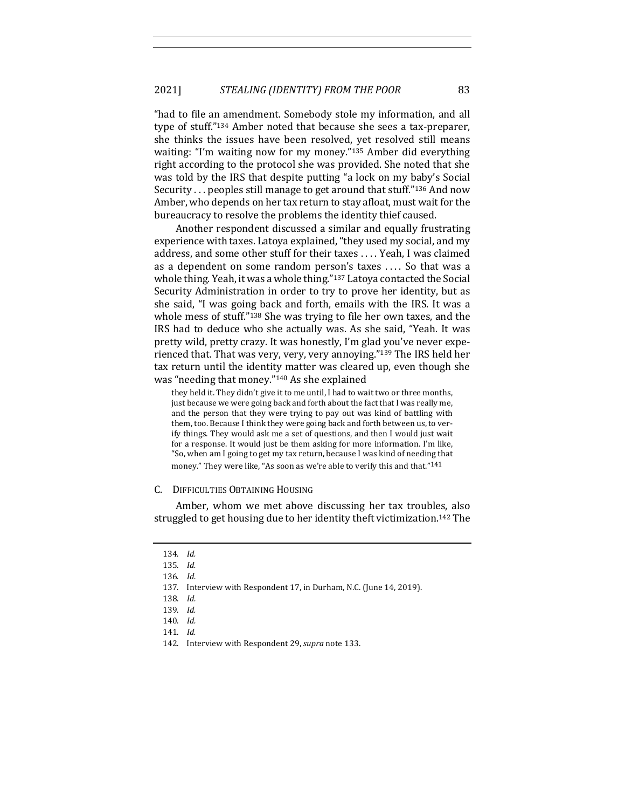"had to file an amendment. Somebody stole my information, and all type of stuff."<sup>134</sup> Amber noted that because she sees a tax-preparer, she thinks the issues have been resolved, yet resolved still means waiting: "I'm waiting now for my money."<sup>135</sup> Amber did everything right according to the protocol she was provided. She noted that she was told by the IRS that despite putting "a lock on my baby's Social Security  $\ldots$  peoples still manage to get around that stuff."<sup>136</sup> And now Amber, who depends on her tax return to stay afloat, must wait for the bureaucracy to resolve the problems the identity thief caused.

Another respondent discussed a similar and equally frustrating experience with taxes. Latoya explained, "they used my social, and my address, and some other stuff for their taxes . . . . Yeah, I was claimed as a dependent on some random person's taxes .... So that was a whole thing. Yeah, it was a whole thing."<sup>137</sup> Latoya contacted the Social Security Administration in order to try to prove her identity, but as she said, "I was going back and forth, emails with the IRS. It was a whole mess of stuff." $138$  She was trying to file her own taxes, and the IRS had to deduce who she actually was. As she said, "Yeah. It was pretty wild, pretty crazy. It was honestly, I'm glad you've never experienced that. That was very, very, very annoying."<sup>139</sup> The IRS held her tax return until the identity matter was cleared up, even though she was "needing that money."<sup>140</sup> As she explained

they held it. They didn't give it to me until, I had to wait two or three months, just because we were going back and forth about the fact that I was really me, and the person that they were trying to pay out was kind of battling with them, too. Because I think they were going back and forth between us, to verify things. They would ask me a set of questions, and then I would just wait for a response. It would just be them asking for more information. I'm like, "So, when am I going to get my tax return, because I was kind of needing that money." They were like, "As soon as we're able to verify this and that."<sup>141</sup>

#### C. DIFFICULTIES OBTAINING HOUSING

Amber, whom we met above discussing her tax troubles, also struggled to get housing due to her identity theft victimization.<sup>142</sup> The

<sup>134.</sup> *Id.*

<sup>135.</sup> *Id.*

<sup>136.</sup> *Id.*

<sup>137.</sup> Interview with Respondent 17, in Durham, N.C. (June 14, 2019).

<sup>138.</sup> *Id.*

<sup>139.</sup> *Id.*

<sup>140.</sup> *Id.*

<sup>141.</sup> *Id.*

<sup>142.</sup> Interview with Respondent 29, *supra* note 133.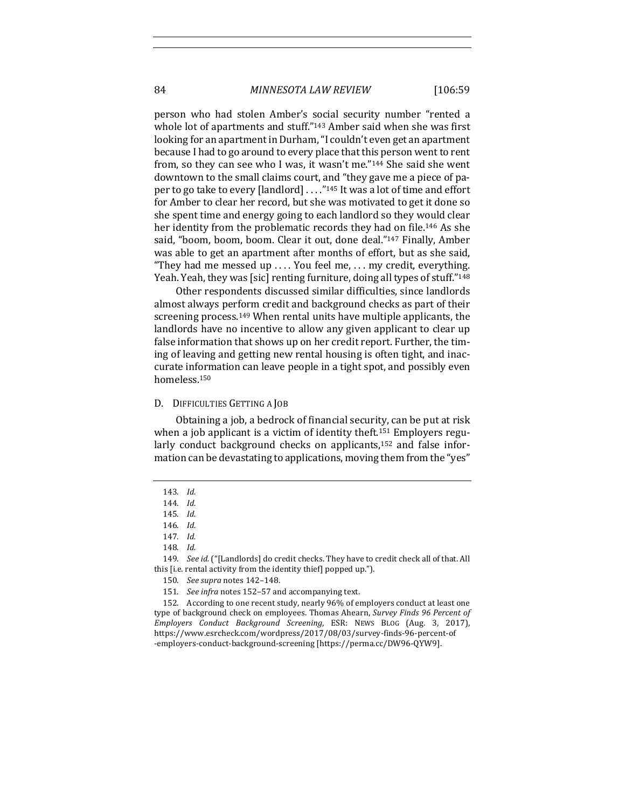person who had stolen Amber's social security number "rented a whole lot of apartments and stuff."<sup>143</sup> Amber said when she was first looking for an apartment in Durham, "I couldn't even get an apartment because I had to go around to every place that this person went to rent from, so they can see who I was, it wasn't me." $144$  She said she went downtown to the small claims court, and "they gave me a piece of paper to go take to every [landlord]  $\dots$ ."<sup>145</sup> It was a lot of time and effort for Amber to clear her record, but she was motivated to get it done so she spent time and energy going to each landlord so they would clear her identity from the problematic records they had on file.<sup>146</sup> As she said, "boom, boom, boom. Clear it out, done deal."<sup>147</sup> Finally, Amber was able to get an apartment after months of effort, but as she said, "They had me messed up .... You feel me, ... my credit, everything. Yeah. Yeah, they was [sic] renting furniture, doing all types of stuff."<sup>148</sup>

Other respondents discussed similar difficulties, since landlords almost always perform credit and background checks as part of their screening process.<sup>149</sup> When rental units have multiple applicants, the landlords have no incentive to allow any given applicant to clear up false information that shows up on her credit report. Further, the timing of leaving and getting new rental housing is often tight, and inaccurate information can leave people in a tight spot, and possibly even homeless.150

#### D. DIFFICULTIES GETTING A JOB

Obtaining a job, a bedrock of financial security, can be put at risk when a job applicant is a victim of identity theft.<sup>151</sup> Employers regularly conduct background checks on applicants, $152$  and false information can be devastating to applications, moving them from the "yes"

<sup>143.</sup> *Id.*

<sup>144.</sup> *Id.*

<sup>145.</sup> *Id.*

<sup>146.</sup> *Id.*

<sup>147.</sup> *Id.*

<sup>148.</sup> *Id.*

<sup>149.</sup> *See id.* ("[Landlords] do credit checks. They have to credit check all of that. All this [i.e. rental activity from the identity thief] popped up.").

<sup>150.</sup> *See supra* notes 142–148.

<sup>151.</sup> *See infra* notes 152-57 and accompanying text.

<sup>152.</sup> According to one recent study, nearly 96% of employers conduct at least one type of background check on employees. Thomas Ahearn, *Survey Finds* 96 Percent of *Employers Conduct Background Screening*, ESR: NEWS BLOG (Aug. 3, 2017), https://www.esrcheck.com/wordpress/2017/08/03/survey-finds-96-percent-of -employers-conduct-background-screening [https://perma.cc/DW96-QYW9].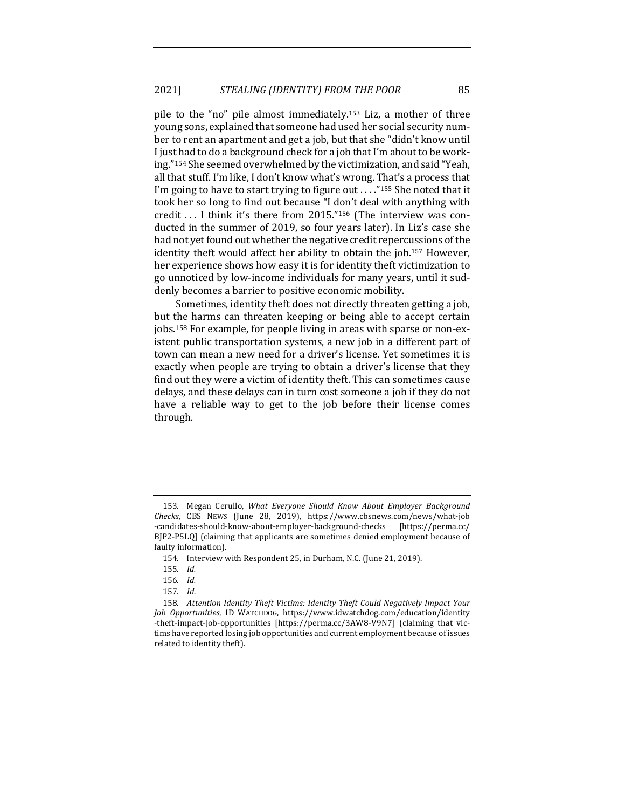pile to the "no" pile almost immediately.<sup>153</sup> Liz, a mother of three young sons, explained that someone had used her social security number to rent an apartment and get a job, but that she "didn't know until I just had to do a background check for a job that I'm about to be working."<sup>154</sup> She seemed overwhelmed by the victimization, and said "Yeah, all that stuff. I'm like, I don't know what's wrong. That's a process that I'm going to have to start trying to figure out  $\ldots$  ."<sup>155</sup> She noted that it took her so long to find out because "I don't deal with anything with credit  $\dots$  I think it's there from 2015."<sup>156</sup> (The interview was conducted in the summer of 2019, so four years later). In Liz's case she had not yet found out whether the negative credit repercussions of the identity theft would affect her ability to obtain the job.<sup>157</sup> However, her experience shows how easy it is for identity theft victimization to go unnoticed by low-income individuals for many years, until it suddenly becomes a barrier to positive economic mobility.

Sometimes, identity theft does not directly threaten getting a job, but the harms can threaten keeping or being able to accept certain jobs.<sup>158</sup> For example, for people living in areas with sparse or non-existent public transportation systems, a new job in a different part of town can mean a new need for a driver's license. Yet sometimes it is exactly when people are trying to obtain a driver's license that they find out they were a victim of identity theft. This can sometimes cause delays, and these delays can in turn cost someone a job if they do not have a reliable way to get to the job before their license comes through. 

<sup>153.</sup> Megan Cerullo, *What Everyone Should Know About Employer Background Checks*, CBS NEWS (June 28, 2019), https://www.cbsnews.com/news/what-job -candidates-should-know-about-employer-background-checks [https://perma.cc/ BJP2-P5LQ] (claiming that applicants are sometimes denied employment because of faulty information).

<sup>154.</sup> Interview with Respondent 25, in Durham, N.C. (June 21, 2019).

<sup>155.</sup> *Id.*

<sup>156.</sup> *Id.*

<sup>157.</sup> *Id.*

<sup>158.</sup> Attention Identity Theft Victims: Identity Theft Could Negatively Impact Your *Job Opportunities*, ID WATCHDOG, https://www.idwatchdog.com/education/identity -theft-impact-job-opportunities [https://perma.cc/3AW8-V9N7] (claiming that victims have reported losing job opportunities and current employment because of issues related to identity theft).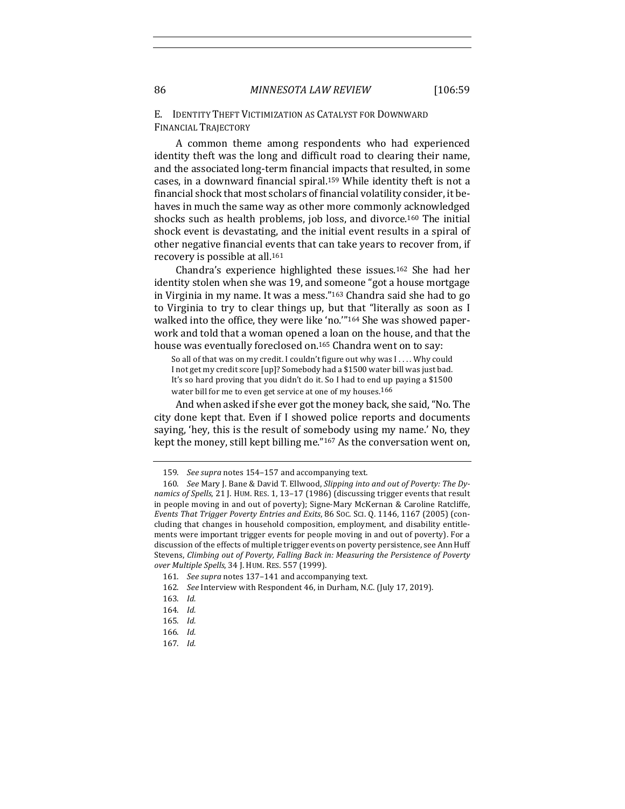# E. **IDENTITY THEFT VICTIMIZATION AS CATALYST FOR DOWNWARD** FINANCIAL TRAJECTORY

A common theme among respondents who had experienced identity theft was the long and difficult road to clearing their name, and the associated long-term financial impacts that resulted, in some cases, in a downward financial spiral.<sup>159</sup> While identity theft is not a financial shock that most scholars of financial volatility consider, it behaves in much the same way as other more commonly acknowledged shocks such as health problems, job loss, and divorce.<sup>160</sup> The initial shock event is devastating, and the initial event results in a spiral of other negative financial events that can take years to recover from, if recovery is possible at all.<sup>161</sup>

Chandra's experience highlighted these issues.<sup>162</sup> She had her identity stolen when she was 19, and someone "got a house mortgage in Virginia in my name. It was a mess." $163$  Chandra said she had to go to Virginia to try to clear things up, but that "literally as soon as I walked into the office, they were like 'no."<sup>164</sup> She was showed paperwork and told that a woman opened a loan on the house, and that the house was eventually foreclosed on.<sup>165</sup> Chandra went on to say:

So all of that was on my credit. I couldn't figure out why was  $I \ldots$ . Why could I not get my credit score [up]? Somebody had a \$1500 water bill was just bad. It's so hard proving that you didn't do it. So I had to end up paying a \$1500 water bill for me to even get service at one of my houses.<sup>166</sup>

And when asked if she ever got the money back, she said, "No. The city done kept that. Even if I showed police reports and documents saying, 'hey, this is the result of somebody using my name.' No, they kept the money, still kept billing me." $167$  As the conversation went on,

<sup>159.</sup> *See supra* notes 154-157 and accompanying text.

<sup>160.</sup> *See* Mary J. Bane & David T. Ellwood, *Slipping into and out of Poverty: The Dy*namics of Spells, 21 J. HUM. RES. 1, 13-17 (1986) (discussing trigger events that result in people moving in and out of poverty); Signe-Mary McKernan & Caroline Ratcliffe, *Events That Trigger Poverty Entries and Exits*, 86 Soc. Sci. Q. 1146, 1167 (2005) (concluding that changes in household composition, employment, and disability entitlements were important trigger events for people moving in and out of poverty). For a discussion of the effects of multiple trigger events on poverty persistence, see Ann Huff Stevens, Climbing out of Poverty, Falling Back in: Measuring the Persistence of Poverty *over Multiple Spells*, 34 J. HUM. RES. 557 (1999).

<sup>161.</sup> *See supra* notes 137-141 and accompanying text.

<sup>162.</sup> *See* Interview with Respondent 46, in Durham, N.C. (July 17, 2019).

<sup>163.</sup> *Id.*

<sup>164.</sup> *Id.*

<sup>165.</sup> *Id.*

<sup>166.</sup> *Id.*

<sup>167.</sup> *Id.*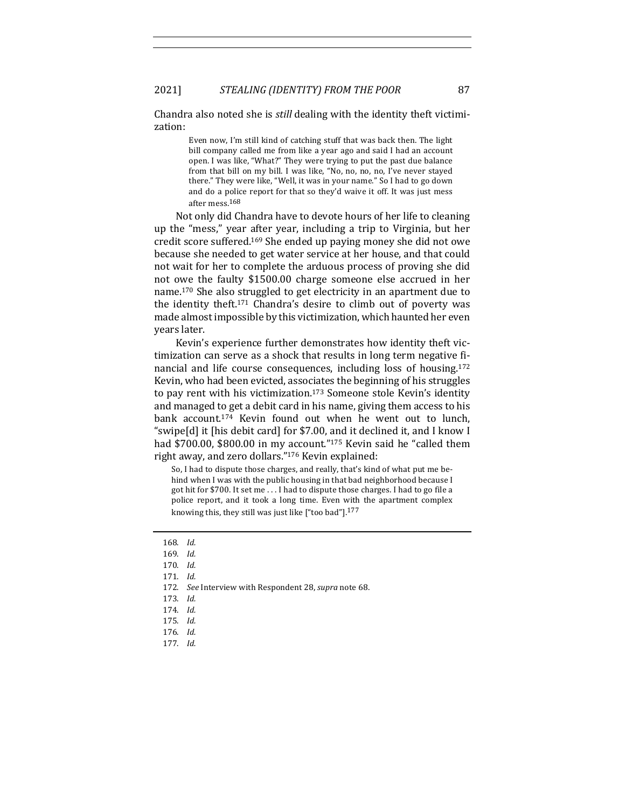2021] *STEALING (IDENTITY) FROM THE POOR* 87

Chandra also noted she is *still* dealing with the identity theft victimization: 

> Even now, I'm still kind of catching stuff that was back then. The light bill company called me from like a year ago and said I had an account open. I was like, "What?" They were trying to put the past due balance from that bill on my bill. I was like, "No, no, no, no, I've never stayed there." They were like, "Well, it was in your name." So I had to go down and do a police report for that so they'd waive it off. It was just mess after mess.<sup>168</sup>

Not only did Chandra have to devote hours of her life to cleaning up the "mess," year after year, including a trip to Virginia, but her credit score suffered.<sup>169</sup> She ended up paying money she did not owe because she needed to get water service at her house, and that could not wait for her to complete the arduous process of proving she did not owe the faulty \$1500.00 charge someone else accrued in her name.<sup>170</sup> She also struggled to get electricity in an apartment due to the identity theft.<sup>171</sup> Chandra's desire to climb out of poverty was made almost impossible by this victimization, which haunted her even years later. 

Kevin's experience further demonstrates how identity theft victimization can serve as a shock that results in long term negative financial and life course consequences, including loss of housing.<sup>172</sup> Kevin, who had been evicted, associates the beginning of his struggles to pay rent with his victimization.<sup>173</sup> Someone stole Kevin's identity and managed to get a debit card in his name, giving them access to his bank account.<sup>174</sup> Kevin found out when he went out to lunch, "swipe $[d]$  it [his debit card] for \$7.00, and it declined it, and I know I had \$700.00, \$800.00 in my account."<sup>175</sup> Kevin said he "called them right away, and zero dollars."<sup>176</sup> Kevin explained:

So, I had to dispute those charges, and really, that's kind of what put me behind when I was with the public housing in that bad neighborhood because I got hit for \$700. It set me ... I had to dispute those charges. I had to go file a police report, and it took a long time. Even with the apartment complex knowing this, they still was just like  $[$ "too bad"].<sup>177</sup>

- 172. *See* Interview with Respondent 28, *supra* note 68.
- 173. *Id.*
- 174. *Id.*

- 176. *Id.*
- 177. *Id.*

<sup>168.</sup> *Id.*

<sup>169.</sup> *Id.*

<sup>170.</sup> *Id.*

<sup>171.</sup> *Id.*

<sup>175.</sup> *Id.*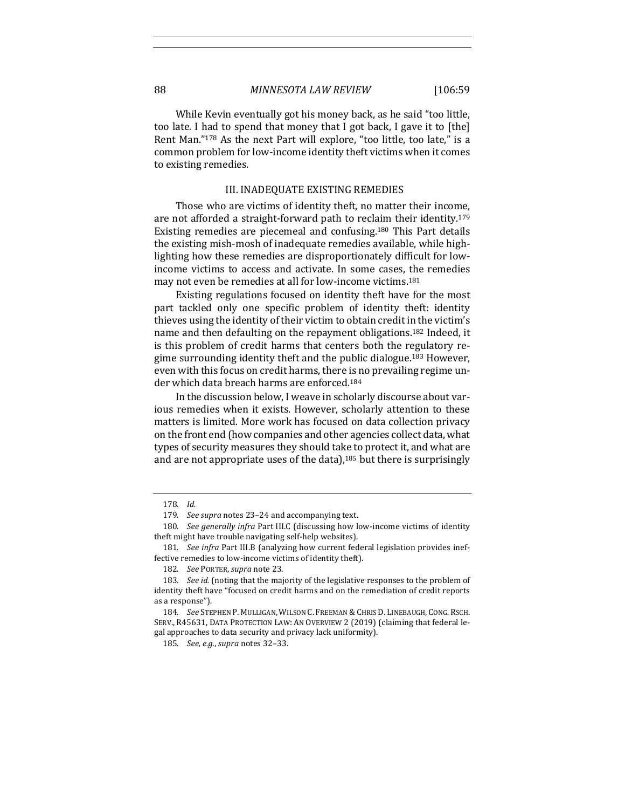While Kevin eventually got his money back, as he said "too little, too late. I had to spend that money that I got back, I gave it to [the] Rent Man."<sup>178</sup> As the next Part will explore, "too little, too late," is a common problem for low-income identity theft victims when it comes to existing remedies.

# III. INADEQUATE EXISTING REMEDIES

Those who are victims of identity theft, no matter their income, are not afforded a straight-forward path to reclaim their identity.<sup>179</sup> Existing remedies are piecemeal and confusing.<sup>180</sup> This Part details the existing mish-mosh of inadequate remedies available, while highlighting how these remedies are disproportionately difficult for lowincome victims to access and activate. In some cases, the remedies may not even be remedies at all for low-income victims.<sup>181</sup>

Existing regulations focused on identity theft have for the most part tackled only one specific problem of identity theft: identity thieves using the identity of their victim to obtain credit in the victim's name and then defaulting on the repayment obligations.<sup>182</sup> Indeed, it is this problem of credit harms that centers both the regulatory regime surrounding identity theft and the public dialogue.<sup>183</sup> However, even with this focus on credit harms, there is no prevailing regime under which data breach harms are enforced.<sup>184</sup>

In the discussion below, I weave in scholarly discourse about various remedies when it exists. However, scholarly attention to these matters is limited. More work has focused on data collection privacy on the front end (how companies and other agencies collect data, what types of security measures they should take to protect it, and what are and are not appropriate uses of the data), $185$  but there is surprisingly

<sup>178.</sup> *Id.*

<sup>179.</sup> *See supra* notes 23–24 and accompanying text.

<sup>180.</sup> *See generally infra* Part III.C (discussing how low-income victims of identity theft might have trouble navigating self-help websites).

<sup>181.</sup> *See infra* Part III.B (analyzing how current federal legislation provides ineffective remedies to low-income victims of identity theft).

<sup>182.</sup> *See* PORTER, *supra* note 23.

<sup>183.</sup> *See id.* (noting that the majority of the legislative responses to the problem of identity theft have "focused on credit harms and on the remediation of credit reports as a response").

<sup>184.</sup> *See* Stephen P. Mulligan, Wilson C. Freeman & Chris D. Linebaugh, Cong. Rsch. SERV., R45631, DATA PROTECTION LAW: AN OVERVIEW 2 (2019) (claiming that federal legal approaches to data security and privacy lack uniformity).

<sup>185.</sup> *See, e.g., supra notes* 32-33.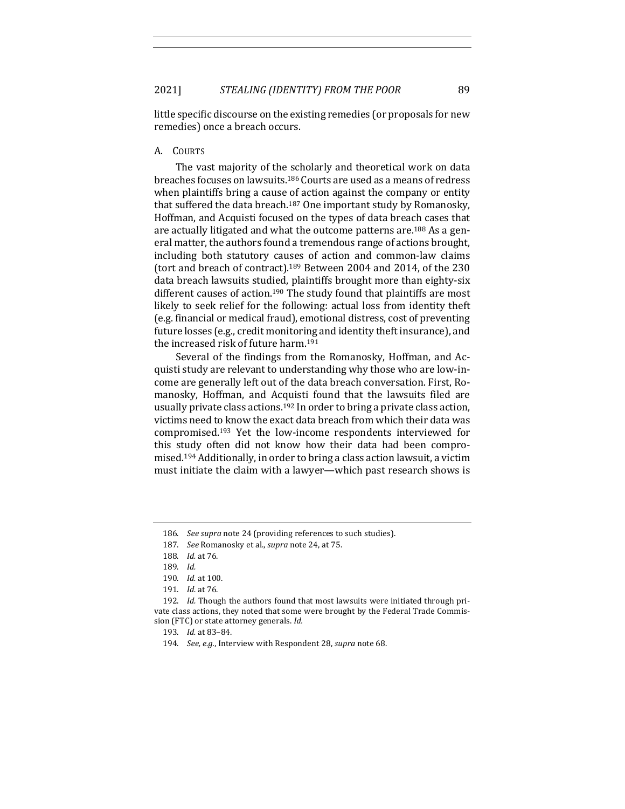little specific discourse on the existing remedies (or proposals for new remedies) once a breach occurs.

## A. COURTS

The vast majority of the scholarly and theoretical work on data breaches focuses on lawsuits.<sup>186</sup> Courts are used as a means of redress when plaintiffs bring a cause of action against the company or entity that suffered the data breach.<sup>187</sup> One important study by Romanosky, Hoffman, and Acquisti focused on the types of data breach cases that are actually litigated and what the outcome patterns are.<sup>188</sup> As a general matter, the authors found a tremendous range of actions brought, including both statutory causes of action and common-law claims (tort and breach of contract).<sup>189</sup> Between 2004 and 2014, of the  $230$ data breach lawsuits studied, plaintiffs brought more than eighty-six different causes of action.<sup>190</sup> The study found that plaintiffs are most likely to seek relief for the following: actual loss from identity theft (e.g. financial or medical fraud), emotional distress, cost of preventing future losses (e.g., credit monitoring and identity theft insurance), and the increased risk of future harm.<sup>191</sup>

Several of the findings from the Romanosky, Hoffman, and Acquisti study are relevant to understanding why those who are low-income are generally left out of the data breach conversation. First, Romanosky, Hoffman, and Acquisti found that the lawsuits filed are usually private class actions.<sup>192</sup> In order to bring a private class action, victims need to know the exact data breach from which their data was compromised.<sup>193</sup> Yet the low-income respondents interviewed for this study often did not know how their data had been compromised.<sup>194</sup> Additionally, in order to bring a class action lawsuit, a victim must initiate the claim with a lawyer—which past research shows is

192. *Id.* Though the authors found that most lawsuits were initiated through private class actions, they noted that some were brought by the Federal Trade Commission (FTC) or state attorney generals. *Id.* 

<sup>186.</sup> See supra note 24 (providing references to such studies).

<sup>187.</sup> *See* Romanosky et al., *supra* note 24, at 75.

<sup>188.</sup> *Id.* at 76.

<sup>189.</sup> *Id.*

<sup>190.</sup> *Id.* at 100.

<sup>191.</sup> *Id.* at 76.

<sup>193.</sup> *Id.* at 83–84.

<sup>194.</sup> *See, e.g.*, Interview with Respondent 28, *supra* note 68.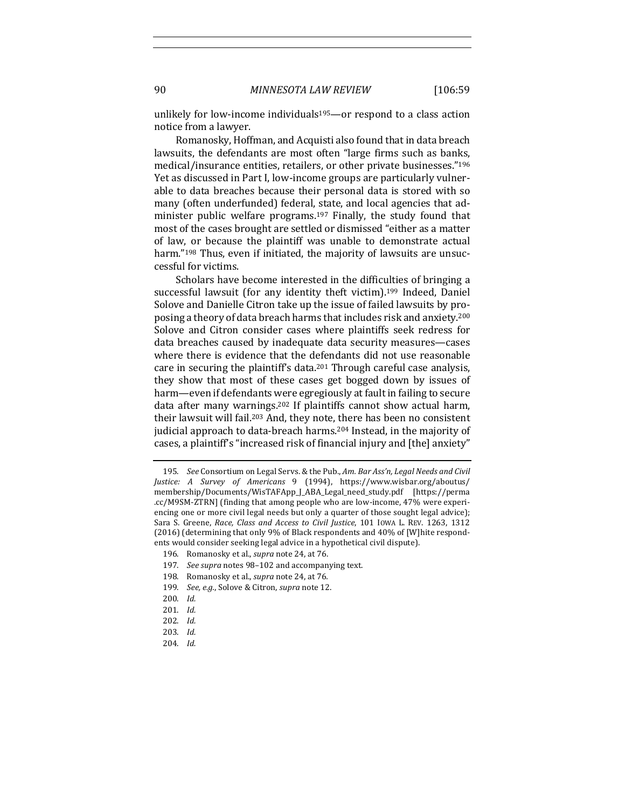unlikely for low-income individuals<sup>195</sup>—or respond to a class action notice from a lawyer.

Romanosky, Hoffman, and Acquisti also found that in data breach lawsuits, the defendants are most often "large firms such as banks, medical/insurance entities, retailers, or other private businesses."<sup>196</sup> Yet as discussed in Part I, low-income groups are particularly vulnerable to data breaches because their personal data is stored with so many (often underfunded) federal, state, and local agencies that administer public welfare programs.<sup>197</sup> Finally, the study found that most of the cases brought are settled or dismissed "either as a matter of law, or because the plaintiff was unable to demonstrate actual harm."<sup>198</sup> Thus, even if initiated, the majority of lawsuits are unsuccessful for victims.

Scholars have become interested in the difficulties of bringing a successful lawsuit (for any identity theft victim).<sup>199</sup> Indeed, Daniel Solove and Danielle Citron take up the issue of failed lawsuits by proposing a theory of data breach harms that includes risk and anxiety.<sup>200</sup> Solove and Citron consider cases where plaintiffs seek redress for data breaches caused by inadequate data security measures-cases where there is evidence that the defendants did not use reasonable care in securing the plaintiff's data.<sup>201</sup> Through careful case analysis, they show that most of these cases get bogged down by issues of harm—even if defendants were egregiously at fault in failing to secure data after many warnings.<sup>202</sup> If plaintiffs cannot show actual harm, their lawsuit will fail.<sup>203</sup> And, they note, there has been no consistent judicial approach to data-breach harms.<sup>204</sup> Instead, in the majority of cases, a plaintiff's "increased risk of financial injury and [the] anxiety"

199. *See, e.g.*, Solove & Citron, *supra* note 12.

<sup>195.</sup> *See* Consortium on Legal Servs. & the Pub., *Am. Bar Ass'n, Legal Needs and Civil Justice: A Survey of Americans* 9 (1994), https://www.wisbar.org/aboutus/ membership/Documents/WisTAFApp\_J\_ABA\_Legal\_need\_study.pdf [https://perma .cc/M9SM-ZTRN] (finding that among people who are low-income, 47% were experiencing one or more civil legal needs but only a quarter of those sought legal advice); Sara S. Greene, *Race, Class and Access to Civil Justice*, 101 Iowa L. REV. 1263, 1312 (2016) (determining that only 9% of Black respondents and 40% of [W]hite respondents would consider seeking legal advice in a hypothetical civil dispute).

<sup>196.</sup> Romanosky et al., *supra* note 24, at 76.

<sup>197.</sup> *See supra* notes 98-102 and accompanying text.

<sup>198.</sup> Romanosky et al., *supra* note 24, at 76.

<sup>200.</sup> *Id.*

<sup>201.</sup> *Id.*

<sup>202.</sup> *Id.*

<sup>203.</sup> *Id.*

<sup>204.</sup> *Id.*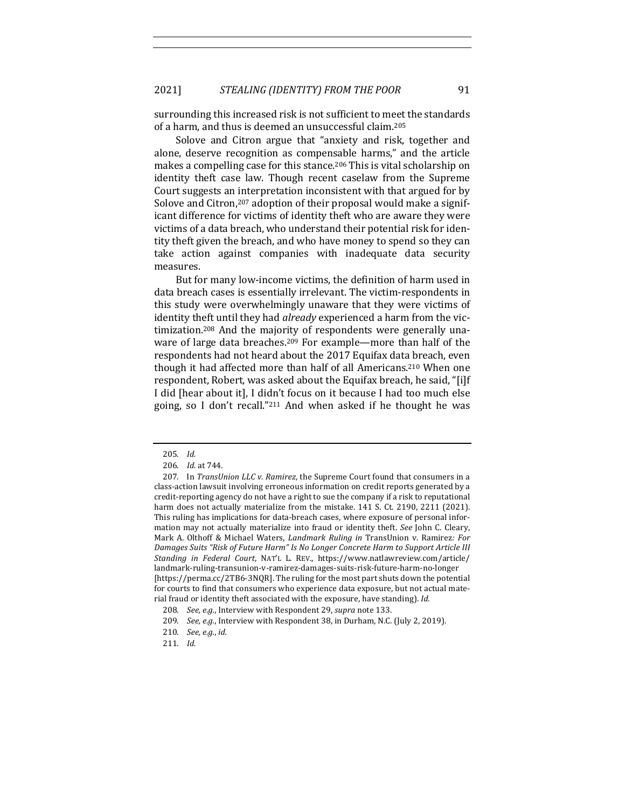surrounding this increased risk is not sufficient to meet the standards of a harm, and thus is deemed an unsuccessful claim.<sup>205</sup>

Solove and Citron argue that "anxiety and risk, together and alone, deserve recognition as compensable harms," and the article makes a compelling case for this stance.<sup>206</sup> This is vital scholarship on identity theft case law. Though recent caselaw from the Supreme Court suggests an interpretation inconsistent with that argued for by Solove and Citron,<sup>207</sup> adoption of their proposal would make a significant difference for victims of identity theft who are aware they were victims of a data breach, who understand their potential risk for identity theft given the breach, and who have money to spend so they can take action against companies with inadequate data security measures.

But for many low-income victims, the definition of harm used in data breach cases is essentially irrelevant. The victim-respondents in this study were overwhelmingly unaware that they were victims of identity theft until they had *already* experienced a harm from the victimization.<sup>208</sup> And the majority of respondents were generally unaware of large data breaches.<sup>209</sup> For example—more than half of the respondents had not heard about the 2017 Equifax data breach, even though it had affected more than half of all Americans.<sup>210</sup> When one respondent, Robert, was asked about the Equifax breach, he said, "[i]f I did [hear about it], I didn't focus on it because I had too much else going, so I don't recall."<sup>211</sup> And when asked if he thought he was

<sup>205.</sup> *Id.*

<sup>206.</sup> *Id.* at 744.

<sup>207.</sup> In *TransUnion LLC v. Ramirez*, the Supreme Court found that consumers in a class-action lawsuit involving erroneous information on credit reports generated by a credit-reporting agency do not have a right to sue the company if a risk to reputational harm does not actually materialize from the mistake. 141 S. Ct. 2190, 2211 (2021). This ruling has implications for data-breach cases, where exposure of personal information may not actually materialize into fraud or identity theft. See John C. Cleary, Mark A. Olthoff & Michael Waters, *Landmark Ruling in* TransUnion v. Ramirez: For Damages Suits "Risk of Future Harm" Is No Longer Concrete Harm to Support Article III *Standing in Federal Court*, NAT'L L. REV., https://www.natlawreview.com/article/ landmark-ruling-transunion-v-ramirez-damages-suits-risk-future-harm-no-longer [https://perma.cc/2TB6-3NQR]. The ruling for the most part shuts down the potential for courts to find that consumers who experience data exposure, but not actual material fraud or identity theft associated with the exposure, have standing). *Id.* 

<sup>208.</sup> *See, e.g.*, Interview with Respondent 29, *supra* note 133.

<sup>209.</sup> *See, e.g.*, Interview with Respondent 38, in Durham, N.C. (July 2, 2019).

<sup>210.</sup> *See*, *e.g.*, *id.* 

<sup>211.</sup> *Id.*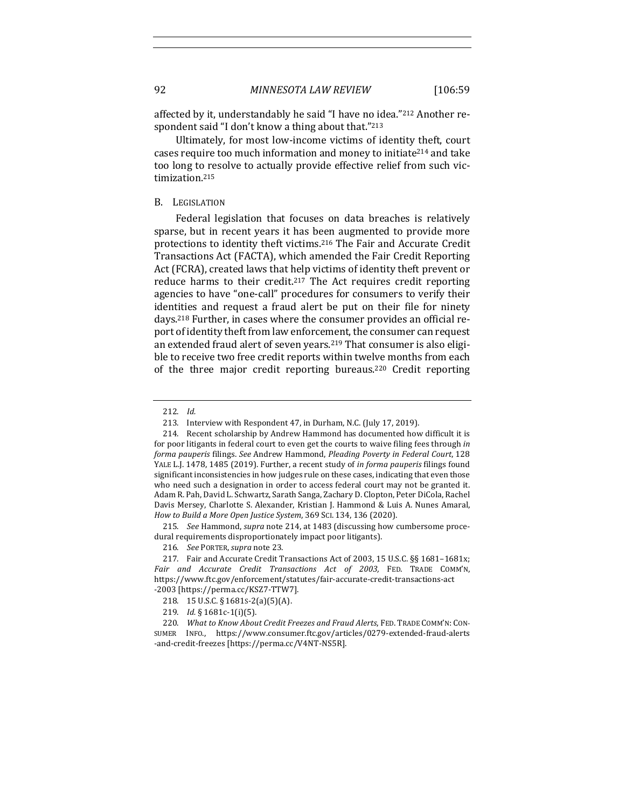affected by it, understandably he said "I have no idea."<sup>212</sup> Another respondent said "I don't know a thing about that."<sup>213</sup>

Ultimately, for most low-income victims of identity theft, court cases require too much information and money to initiate<sup>214</sup> and take too long to resolve to actually provide effective relief from such victimization.215

#### B. LEGISLATION

Federal legislation that focuses on data breaches is relatively sparse, but in recent years it has been augmented to provide more protections to identity theft victims.<sup>216</sup> The Fair and Accurate Credit Transactions Act (FACTA), which amended the Fair Credit Reporting Act (FCRA), created laws that help victims of identity theft prevent or reduce harms to their credit.<sup>217</sup> The Act requires credit reporting agencies to have "one-call" procedures for consumers to verify their identities and request a fraud alert be put on their file for ninety days.<sup>218</sup> Further, in cases where the consumer provides an official report of identity theft from law enforcement, the consumer can request an extended fraud alert of seven years.<sup>219</sup> That consumer is also eligible to receive two free credit reports within twelve months from each of the three major credit reporting bureaus.<sup>220</sup> Credit reporting

215. *See* Hammond, *supra* note 214, at 1483 (discussing how cumbersome procedural requirements disproportionately impact poor litigants).

217. Fair and Accurate Credit Transactions Act of 2003, 15 U.S.C. §§ 1681-1681x; Fair and Accurate Credit Transactions Act of 2003, FED. TRADE COMM'N, https://www.ftc.gov/enforcement/statutes/fair-accurate-credit-transactions-act -2003 [https://perma.cc/KSZ7-TTW7].

<sup>212.</sup> *Id.*

<sup>213.</sup> Interview with Respondent 47, in Durham, N.C. (July 17, 2019).

<sup>214.</sup> Recent scholarship by Andrew Hammond has documented how difficult it is for poor litigants in federal court to even get the courts to waive filing fees through in forma pauperis filings. See Andrew Hammond, Pleading Poverty in Federal Court, 128 YALE L.J. 1478, 1485 (2019). Further, a recent study of *in forma pauperis* filings found significant inconsistencies in how judges rule on these cases, indicating that even those who need such a designation in order to access federal court may not be granted it. Adam R. Pah, David L. Schwartz, Sarath Sanga, Zachary D. Clopton, Peter DiCola, Rachel Davis Mersey, Charlotte S. Alexander, Kristian J. Hammond & Luis A. Nunes Amaral, *How to Build a More Open Justice System*, 369 SCI. 134, 136 (2020).

<sup>216.</sup> *See* PORTER, *supra* note 23.

<sup>218.</sup> 15 U.S.C. § 1681S-2(a)(5)(A).

<sup>219.</sup> *Id.* § 1681c-1(i)(5).

<sup>220.</sup> *What to Know About Credit Freezes and Fraud Alerts*, FED. TRADE COMM'N: CON-SUMER INFO., https://www.consumer.ftc.gov/articles/0279-extended-fraud-alerts -and-credit-freezes [https://perma.cc/V4NT-NS5R].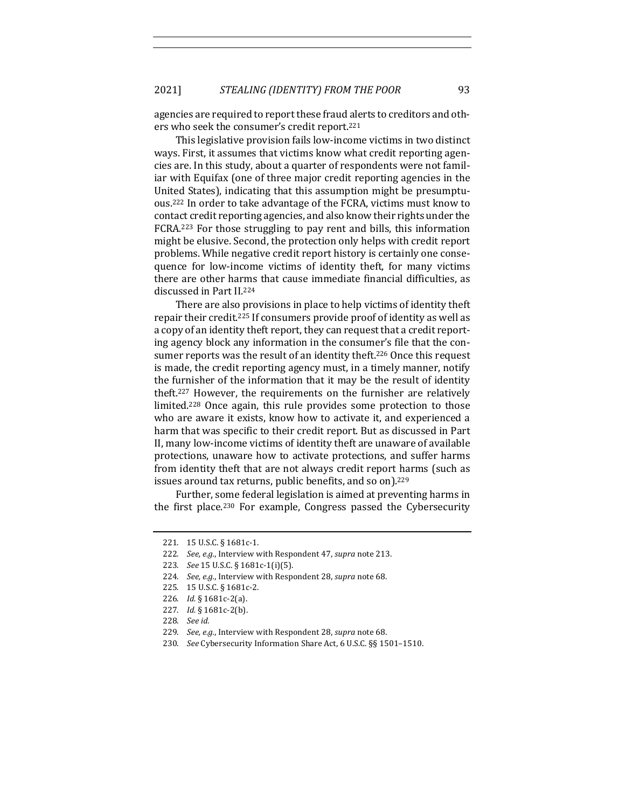agencies are required to report these fraud alerts to creditors and others who seek the consumer's credit report.<sup>221</sup>

This legislative provision fails low-income victims in two distinct ways. First, it assumes that victims know what credit reporting agencies are. In this study, about a quarter of respondents were not familiar with Equifax (one of three major credit reporting agencies in the United States), indicating that this assumption might be presumptuous.<sup>222</sup> In order to take advantage of the FCRA, victims must know to contact credit reporting agencies, and also know their rights under the FCRA.<sup>223</sup> For those struggling to pay rent and bills, this information might be elusive. Second, the protection only helps with credit report problems. While negative credit report history is certainly one consequence for low-income victims of identity theft, for many victims there are other harms that cause immediate financial difficulties, as discussed in Part II.<sup>224</sup>

There are also provisions in place to help victims of identity theft repair their credit.<sup>225</sup> If consumers provide proof of identity as well as a copy of an identity theft report, they can request that a credit reporting agency block any information in the consumer's file that the consumer reports was the result of an identity theft.<sup>226</sup> Once this request is made, the credit reporting agency must, in a timely manner, notify the furnisher of the information that it may be the result of identity theft.<sup>227</sup> However, the requirements on the furnisher are relatively limited.<sup>228</sup> Once again, this rule provides some protection to those who are aware it exists, know how to activate it, and experienced a harm that was specific to their credit report. But as discussed in Part II, many low-income victims of identity theft are unaware of available protections, unaware how to activate protections, and suffer harms from identity theft that are not always credit report harms (such as issues around tax returns, public benefits, and so on).<sup>229</sup>

Further, some federal legislation is aimed at preventing harms in the first place.<sup>230</sup> For example, Congress passed the Cybersecurity

<sup>221. 15</sup> U.S.C. § 1681c-1.

<sup>222.</sup> *See, e.g.*, Interview with Respondent 47, *supra* note 213.

<sup>223.</sup> *See* 15 U.S.C. § 1681c-1(i)(5).

<sup>224.</sup> *See, e.g.*, Interview with Respondent 28, *supra* note 68.

<sup>225. 15</sup> U.S.C. § 1681c-2.

<sup>226.</sup> *Id.* § 1681c-2(a).

<sup>227.</sup> *Id.* § 1681c-2(b).

<sup>228.</sup> *See id.*

<sup>229.</sup> *See, e.g.*, Interview with Respondent 28, *supra* note 68.

<sup>230.</sup> *See* Cybersecurity Information Share Act, 6 U.S.C. §§ 1501-1510.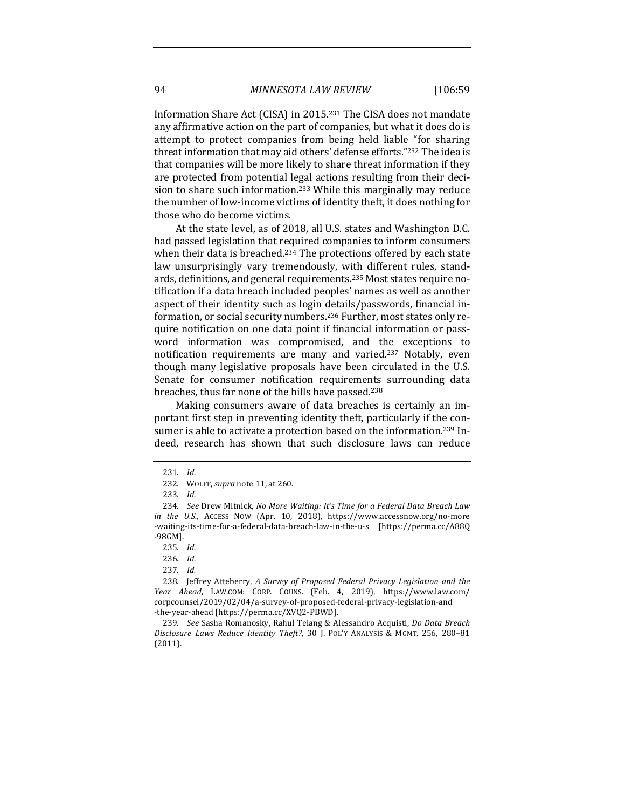Information Share Act (CISA) in 2015.<sup>231</sup> The CISA does not mandate any affirmative action on the part of companies, but what it does do is attempt to protect companies from being held liable "for sharing threat information that may aid others' defense efforts."232 The idea is that companies will be more likely to share threat information if they are protected from potential legal actions resulting from their decision to share such information.<sup>233</sup> While this marginally may reduce the number of low-income victims of identity theft, it does nothing for those who do become victims.

At the state level, as of 2018, all U.S. states and Washington D.C. had passed legislation that required companies to inform consumers when their data is breached.<sup>234</sup> The protections offered by each state law unsurprisingly vary tremendously, with different rules, standards, definitions, and general requirements.<sup>235</sup> Most states require notification if a data breach included peoples' names as well as another aspect of their identity such as login details/passwords, financial information, or social security numbers.<sup>236</sup> Further, most states only require notification on one data point if financial information or password information was compromised, and the exceptions to notification requirements are many and varied.<sup>237</sup> Notably, even though many legislative proposals have been circulated in the U.S. Senate for consumer notification requirements surrounding data breaches, thus far none of the bills have passed.<sup>238</sup>

Making consumers aware of data breaches is certainly an important first step in preventing identity theft, particularly if the consumer is able to activate a protection based on the information.<sup>239</sup> Indeed, research has shown that such disclosure laws can reduce

236. *Id.*

238. Jeffrey Atteberry, A Survey of Proposed Federal Privacy Legislation and the *Year Ahead*, LAW.COM: CORP. COUNS. (Feb. 4, 2019), https://www.law.com/ corpcounsel/2019/02/04/a-survey-of-proposed-federal-privacy-legislation-and -the-year-ahead [https://perma.cc/XVQ2-PBWD].

239. *See* Sasha Romanosky, Rahul Telang & Alessandro Acquisti, *Do Data Breach Disclosure Laws Reduce Identity Theft?*, 30 J. POL'Y ANALYSIS & MGMT. 256, 280–81 (2011).

<sup>231.</sup> *Id.*

<sup>232.</sup> WOLFF, *supra* note 11, at 260.

<sup>233.</sup> *Id.*

<sup>234.</sup> *See* Drew Mitnick, *No More Waiting: It's Time for a Federal Data Breach Law in* the U.S., Access Now (Apr. 10, 2018), https://www.accessnow.org/no-more -waiting-its-time-for-a-federal-data-breach-law-in-the-u-s [https://perma.cc/A88Q -98GM].

<sup>235.</sup> *Id.*

<sup>237.</sup> *Id.*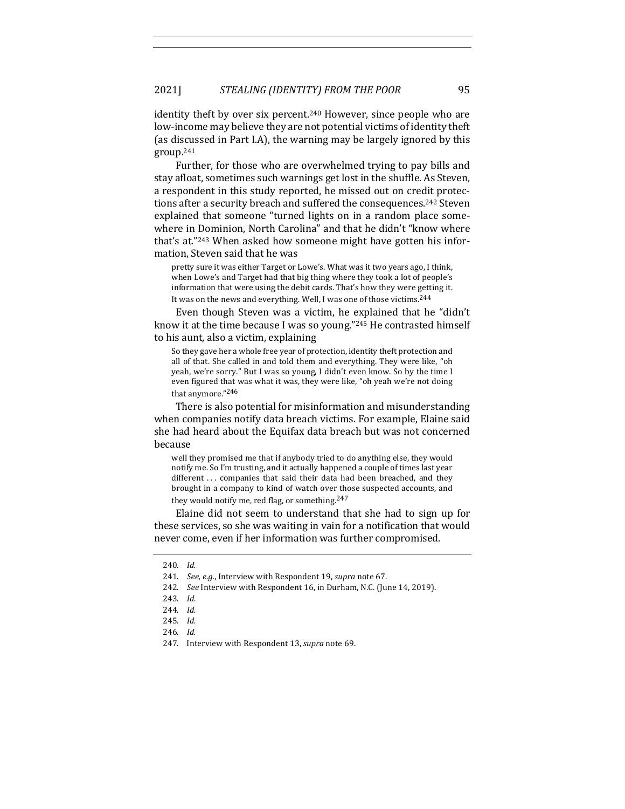identity theft by over six percent.<sup>240</sup> However, since people who are low-income may believe they are not potential victims of identity theft (as discussed in Part I.A), the warning may be largely ignored by this group.241

Further, for those who are overwhelmed trying to pay bills and stay afloat, sometimes such warnings get lost in the shuffle. As Steven, a respondent in this study reported, he missed out on credit protections after a security breach and suffered the consequences.<sup>242</sup> Steven explained that someone "turned lights on in a random place somewhere in Dominion, North Carolina" and that he didn't "know where that's at."243 When asked how someone might have gotten his information, Steven said that he was

pretty sure it was either Target or Lowe's. What was it two years ago, I think, when Lowe's and Target had that big thing where they took a lot of people's information that were using the debit cards. That's how they were getting it. It was on the news and everything. Well, I was one of those victims.<sup>244</sup>

Even though Steven was a victim, he explained that he "didn't know it at the time because I was so young." $245$  He contrasted himself to his aunt, also a victim, explaining

So they gave her a whole free year of protection, identity theft protection and all of that. She called in and told them and everything. They were like, "oh yeah, we're sorry." But I was so young, I didn't even know. So by the time I even figured that was what it was, they were like, "oh yeah we're not doing that anymore."246

There is also potential for misinformation and misunderstanding when companies notify data breach victims. For example, Elaine said she had heard about the Equifax data breach but was not concerned because

well they promised me that if anybody tried to do anything else, they would notify me. So I'm trusting, and it actually happened a couple of times last year different ... companies that said their data had been breached, and they brought in a company to kind of watch over those suspected accounts, and they would notify me, red flag, or something.<sup>247</sup>

Elaine did not seem to understand that she had to sign up for these services, so she was waiting in vain for a notification that would never come, even if her information was further compromised.

<sup>240.</sup> *Id.*

<sup>241.</sup> *See, e.g.*, Interview with Respondent 19, *supra* note 67.

<sup>242.</sup> *See* Interview with Respondent 16, in Durham, N.C. (June 14, 2019).

<sup>243.</sup> *Id.*

<sup>244.</sup> *Id.*

<sup>245.</sup> *Id.*

<sup>246.</sup> *Id.*

<sup>247.</sup> Interview with Respondent 13, *supra* note 69.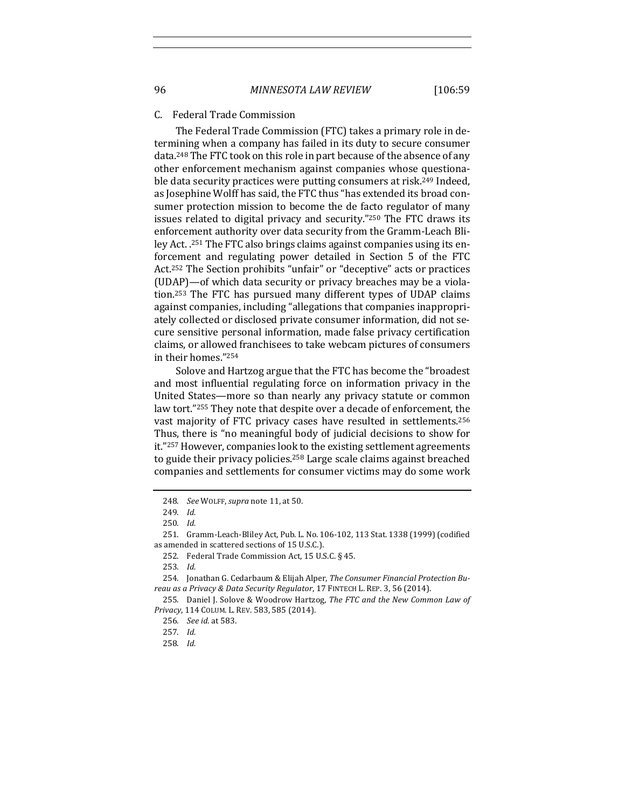#### C. Federal Trade Commission

The Federal Trade Commission (FTC) takes a primary role in determining when a company has failed in its duty to secure consumer data.<sup>248</sup> The FTC took on this role in part because of the absence of any other enforcement mechanism against companies whose questionable data security practices were putting consumers at risk.<sup>249</sup> Indeed, as Josephine Wolff has said, the FTC thus "has extended its broad consumer protection mission to become the de facto regulator of many issues related to digital privacy and security."250 The FTC draws its enforcement authority over data security from the Gramm-Leach Bliley Act. .<sup>251</sup> The FTC also brings claims against companies using its enforcement and regulating power detailed in Section 5 of the FTC Act.<sup>252</sup> The Section prohibits "unfair" or "deceptive" acts or practices (UDAP)—of which data security or privacy breaches may be a violation.<sup>253</sup> The FTC has pursued many different types of UDAP claims against companies, including "allegations that companies inappropriately collected or disclosed private consumer information, did not secure sensitive personal information, made false privacy certification claims, or allowed franchisees to take webcam pictures of consumers in their homes."254

Solove and Hartzog argue that the FTC has become the "broadest and most influential regulating force on information privacy in the United States—more so than nearly any privacy statute or common law tort."255 They note that despite over a decade of enforcement, the vast majority of FTC privacy cases have resulted in settlements.<sup>256</sup> Thus, there is "no meaningful body of judicial decisions to show for it."257 However, companies look to the existing settlement agreements to guide their privacy policies.<sup>258</sup> Large scale claims against breached companies and settlements for consumer victims may do some work

<sup>248.</sup> *See* WOLFF,*supra* note 11, at 50.

<sup>249.</sup> *Id.*

<sup>250.</sup> *Id.*

<sup>251.</sup> Gramm-Leach-Bliley Act, Pub. L. No. 106-102, 113 Stat. 1338 (1999) [codified as amended in scattered sections of 15 U.S.C.).

<sup>252.</sup> Federal Trade Commission Act, 15 U.S.C. § 45.

<sup>253.</sup> *Id.*

<sup>254.</sup> Jonathan G. Cedarbaum & Elijah Alper, The Consumer Financial Protection Bureau as a Privacy & Data Security Regulator, 17 FINTECH L. REP. 3, 56 (2014).

<sup>255.</sup> Daniel J. Solove & Woodrow Hartzog, The FTC and the New Common Law of *Privacy*, 114 COLUM. L. REV. 583, 585 (2014).

<sup>256.</sup> *See id.* at 583.

<sup>257.</sup> *Id.*

<sup>258.</sup> *Id.*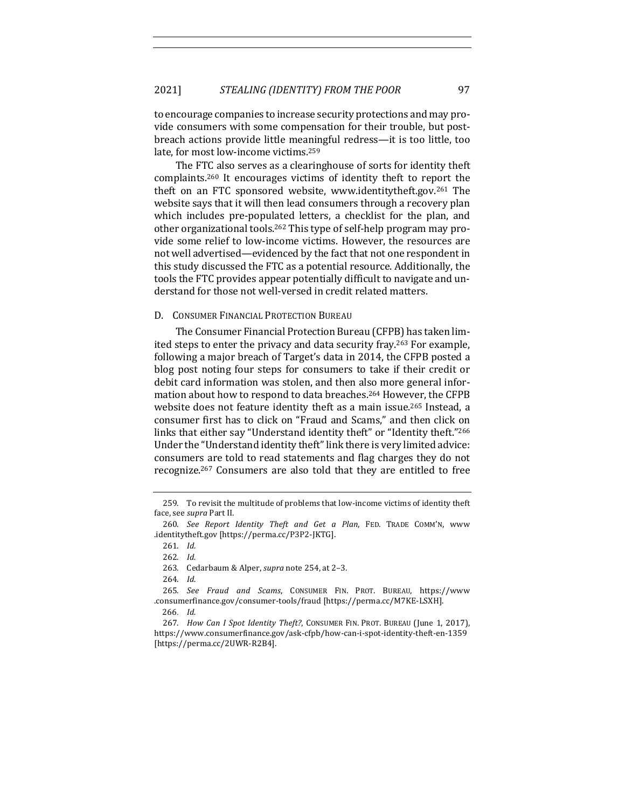to encourage companies to increase security protections and may provide consumers with some compensation for their trouble, but postbreach actions provide little meaningful redress—it is too little, too late, for most low-income victims.<sup>259</sup>

The FTC also serves as a clearinghouse of sorts for identity theft complaints.<sup>260</sup> It encourages victims of identity theft to report the theft on an FTC sponsored website, www.identitytheft.gov.<sup>261</sup> The website says that it will then lead consumers through a recovery plan which includes pre-populated letters, a checklist for the plan, and other organizational tools.<sup>262</sup> This type of self-help program may provide some relief to low-income victims. However, the resources are not well advertised—evidenced by the fact that not one respondent in this study discussed the FTC as a potential resource. Additionally, the tools the FTC provides appear potentially difficult to navigate and understand for those not well-versed in credit related matters.

# D. CONSUMER FINANCIAL PROTECTION BUREAU

The Consumer Financial Protection Bureau (CFPB) has taken limited steps to enter the privacy and data security fray.<sup>263</sup> For example, following a major breach of Target's data in 2014, the CFPB posted a blog post noting four steps for consumers to take if their credit or debit card information was stolen, and then also more general information about how to respond to data breaches.<sup>264</sup> However, the CFPB website does not feature identity theft as a main issue.<sup>265</sup> Instead, a consumer first has to click on "Fraud and Scams," and then click on links that either say "Understand identity theft" or "Identity theft."266 Under the "Understand identity theft" link there is very limited advice: consumers are told to read statements and flag charges they do not recognize.<sup>267</sup> Consumers are also told that they are entitled to free

<sup>259.</sup> To revisit the multitude of problems that low-income victims of identity theft face, see *supra* Part II.

<sup>260.</sup> See Report Identity Theft and Get a Plan, FED. TRADE COMM'N, www .identitytheft.gov [https://perma.cc/P3P2-JKTG].

<sup>261.</sup> *Id.*

<sup>262.</sup> *Id.*

<sup>263.</sup> Cedarbaum & Alper, *supra* note 254, at 2-3.

<sup>264.</sup> *Id.*

<sup>265.</sup> *See Fraud and Scams*, CONSUMER FIN. PROT. BUREAU, https://www .consumerfinance.gov/consumer-tools/fraud [https://perma.cc/M7KE-LSXH].

<sup>266</sup>. *Id.*

<sup>267.</sup> *How Can I Spot Identity Theft?*, CONSUMER FIN. PROT. BUREAU (June 1, 2017), https://www.consumerfinance.gov/ask-cfpb/how-can-i-spot-identity-theft-en-1359 [https://perma.cc/2UWR-R2B4].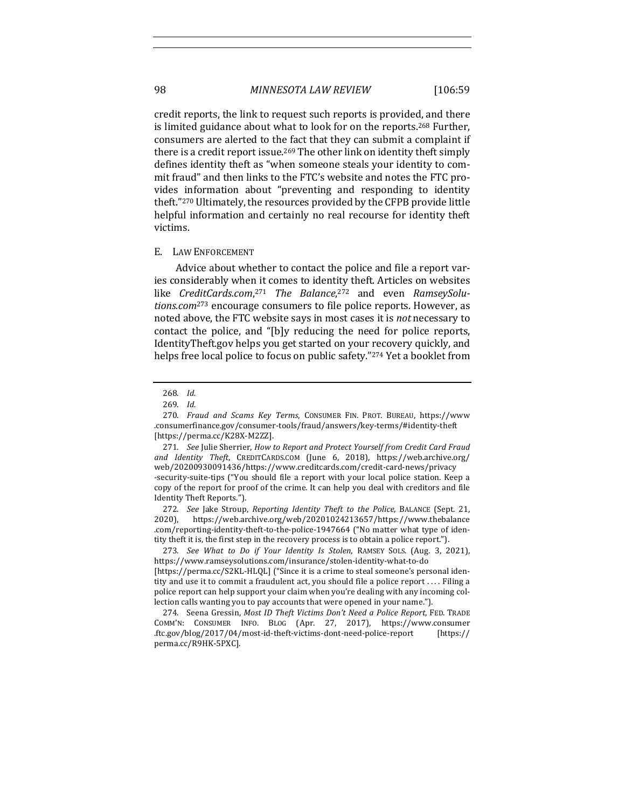credit reports, the link to request such reports is provided, and there is limited guidance about what to look for on the reports.<sup>268</sup> Further, consumers are alerted to the fact that they can submit a complaint if there is a credit report issue.<sup>269</sup> The other link on identity theft simply defines identity theft as "when someone steals your identity to commit fraud" and then links to the FTC's website and notes the FTC provides information about "preventing and responding to identity theft."<sup>270</sup> Ultimately, the resources provided by the CFPB provide little helpful information and certainly no real recourse for identity theft victims. 

#### E. LAW ENFORCEMENT

Advice about whether to contact the police and file a report varies considerably when it comes to identity theft. Articles on websites like *CreditCards.com*,<sup>271</sup> The Balance,<sup>272</sup> and even RamseySolu*tions.com*<sup>273</sup> encourage consumers to file police reports. However, as noted above, the FTC website says in most cases it is *not* necessary to contact the police, and "[b]y reducing the need for police reports, IdentityTheft.gov helps you get started on your recovery quickly, and helps free local police to focus on public safety."274 Yet a booklet from

272. *See* Jake Stroup, *Reporting Identity Theft to the Police*, BALANCE (Sept. 21, 2020), https://web.archive.org/web/20201024213657/https://www.thebalance .com/reporting-identity-theft-to-the-police-1947664 ("No matter what type of identity theft it is, the first step in the recovery process is to obtain a police report.").

273. *See What to Do if Your Identity Is Stolen*, RAMSEY SOLS. (Aug. 3, 2021), https://www.ramseysolutions.com/insurance/stolen-identity-what-to-do [https://perma.cc/S2KL-HLQL] ("Since it is a crime to steal someone's personal identity and use it to commit a fraudulent act, you should file a police report .... Filing a police report can help support your claim when you're dealing with any incoming collection calls wanting you to pay accounts that were opened in your name.").

274. Seena Gressin, Most ID Theft Victims Don't Need a Police Report, FED. TRADE COMM'N: CONSUMER INFO. BLOG (Apr. 27, 2017), https://www.consumer .ftc.gov/blog/2017/04/most-id-theft-victims-dont-need-police-report [https:// perma.cc/R9HK-5PXC].

<sup>268.</sup> *Id.*

<sup>269.</sup> *Id.*

<sup>270.</sup> *Fraud and Scams Key Terms*, CONSUMER FIN. PROT. BUREAU, https://www .consumerfinance.gov/consumer-tools/fraud/answers/key-terms/#identity-theft [https://perma.cc/K28X-M2ZZ].

<sup>271.</sup> *See* Julie Sherrier, *How to Report and Protect Yourself from Credit Card Fraud and Identity Theft*, CREDITCARDS.COM (June 6, 2018), https://web.archive.org/ web/20200930091436/https://www.creditcards.com/credit-card-news/privacy -security-suite-tips ("You should file a report with your local police station. Keep a copy of the report for proof of the crime. It can help you deal with creditors and file Identity Theft Reports.").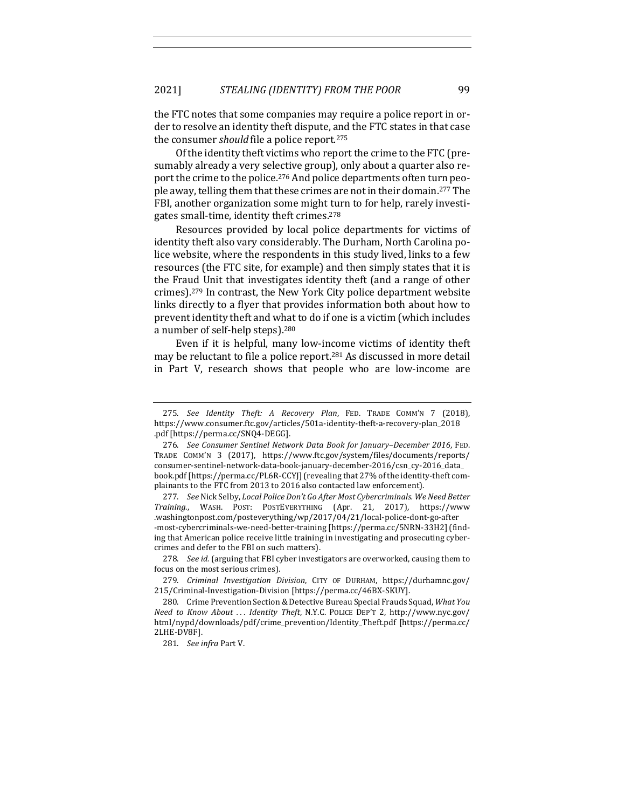the FTC notes that some companies may require a police report in order to resolve an identity theft dispute, and the FTC states in that case the consumer *should* file a police report.<sup>275</sup>

Of the identity theft victims who report the crime to the FTC (presumably already a very selective group), only about a quarter also report the crime to the police.<sup>276</sup> And police departments often turn people away, telling them that these crimes are not in their domain.<sup>277</sup> The FBI, another organization some might turn to for help, rarely investigates small-time, identity theft crimes. $278$ 

Resources provided by local police departments for victims of identity theft also vary considerably. The Durham, North Carolina police website, where the respondents in this study lived, links to a few resources (the FTC site, for example) and then simply states that it is the Fraud Unit that investigates identity theft (and a range of other crimes).<sup>279</sup> In contrast, the New York City police department website links directly to a flyer that provides information both about how to prevent identity theft and what to do if one is a victim (which includes a number of self-help steps).<sup>280</sup>

Even if it is helpful, many low-income victims of identity theft may be reluctant to file a police report.<sup>281</sup> As discussed in more detail in Part V, research shows that people who are low-income are

<sup>275.</sup> *See Identity Theft: A Recovery Plan*, FED. TRADE COMM'N 7 (2018), https://www.consumer.ftc.gov/articles/501a-identity-theft-a-recovery-plan\_2018 .pdf [https://perma.cc/SNQ4-DEGG].

<sup>276.</sup> See Consumer Sentinel Network Data Book for January-December 2016, FED. TRADE COMM'N 3 (2017), https://www.ftc.gov/system/files/documents/reports/ consumer-sentinel-network-data-book-january-december-2016/csn\_cy-2016\_data\_ book.pdf [https://perma.cc/PL6R-CCYJ] (revealing that 27% of the identity-theft complainants to the FTC from 2013 to 2016 also contacted law enforcement).

<sup>277.</sup> *See* Nick Selby, *Local Police Don't Go After Most Cybercriminals. We Need Better Training*., WASH. POST: POSTEVERYTHING (Apr. 21, 2017), https://www .washingtonpost.com/posteverything/wp/2017/04/21/local-police-dont-go-after -most-cybercriminals-we-need-better-training [https://perma.cc/5NRN-33H2] (finding that American police receive little training in investigating and prosecuting cybercrimes and defer to the FBI on such matters).

<sup>278.</sup> *See id.* (arguing that FBI cyber investigators are overworked, causing them to focus on the most serious crimes).

<sup>279.</sup> *Criminal Investigation Division*, CITY OF DURHAM, https://durhamnc.gov/ 215/Criminal-Investigation-Division [https://perma.cc/46BX-SKUY].

<sup>280.</sup> Crime Prevention Section & Detective Bureau Special Frauds Squad, What You *Need to Know About . . . Identity Theft*, N.Y.C. POLICE DEP'T 2, http://www.nyc.gov/ html/nypd/downloads/pdf/crime\_prevention/Identity\_Theft.pdf [https://perma.cc/ 2LHE-DV8F].

<sup>281.</sup> *See infra Part V.*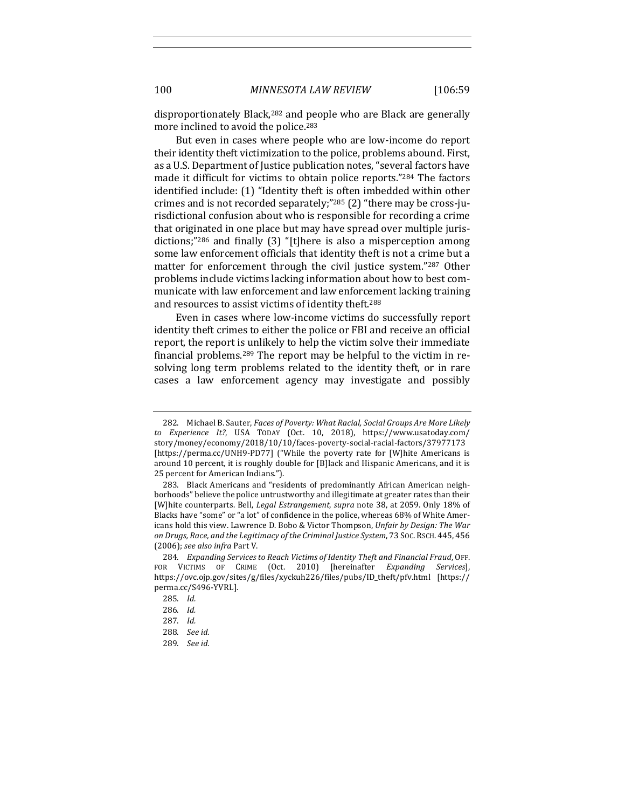disproportionately Black,<sup>282</sup> and people who are Black are generally more inclined to avoid the police.<sup>283</sup>

But even in cases where people who are low-income do report their identity theft victimization to the police, problems abound. First, as a U.S. Department of Justice publication notes, "several factors have made it difficult for victims to obtain police reports."<sup>284</sup> The factors identified include: (1) "Identity theft is often imbedded within other crimes and is not recorded separately;" $^{285}$  (2) "there may be cross-jurisdictional confusion about who is responsible for recording a crime that originated in one place but may have spread over multiple jurisdictions;" $^{286}$  and finally (3) "[t]here is also a misperception among some law enforcement officials that identity theft is not a crime but a matter for enforcement through the civil justice system."287 Other problems include victims lacking information about how to best communicate with law enforcement and law enforcement lacking training and resources to assist victims of identity theft.<sup>288</sup>

Even in cases where low-income victims do successfully report identity theft crimes to either the police or FBI and receive an official report, the report is unlikely to help the victim solve their immediate financial problems.<sup>289</sup> The report may be helpful to the victim in resolving long term problems related to the identity theft, or in rare cases a law enforcement agency may investigate and possibly 

<sup>282.</sup> Michael B. Sauter, *Faces of Poverty: What Racial, Social Groups Are More Likely to Experience It?*, USA TODAY (Oct. 10, 2018), https://www.usatoday.com/ story/money/economy/2018/10/10/faces-poverty-social-racial-factors/37977173 [https://perma.cc/UNH9-PD77] ("While the poverty rate for [W]hite Americans is around 10 percent, it is roughly double for [B]lack and Hispanic Americans, and it is 25 percent for American Indians.").

<sup>283.</sup> Black Americans and "residents of predominantly African American neighborhoods" believe the police untrustworthy and illegitimate at greater rates than their [W]hite counterparts. Bell, *Legal Estrangement*, *supra* note 38, at 2059. Only 18% of Blacks have "some" or "a lot" of confidence in the police, whereas 68% of White Americans hold this view. Lawrence D. Bobo & Victor Thompson, *Unfair by Design: The War on Drugs, Race, and the Legitimacy of the Criminal Justice System*, 73 SOC. RSCH. 445, 456 (2006); *see also infra* Part V.

<sup>284.</sup> *Expanding Services to Reach Victims of Identity Theft and Financial Fraud*, OFF. FOR VICTIMS OF CRIME (Oct. 2010) [hereinafter *Expanding Services*], https://ovc.ojp.gov/sites/g/files/xyckuh226/files/pubs/ID\_theft/pfv.html [https:// perma.cc/S496-YVRL].

<sup>285.</sup> *Id.*

<sup>286.</sup> *Id.*

<sup>287.</sup> *Id.*

<sup>288.</sup> *See id.*

<sup>289.</sup> *See id.*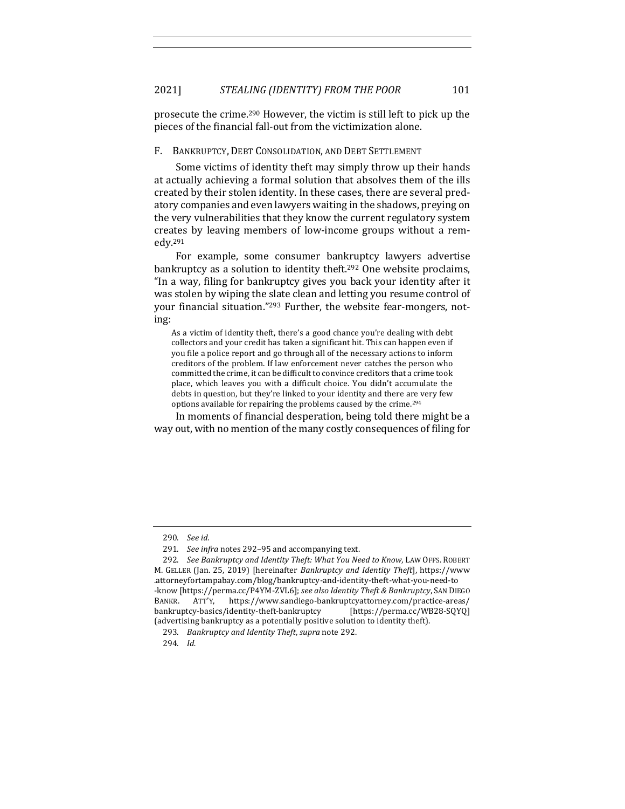prosecute the crime.<sup>290</sup> However, the victim is still left to pick up the pieces of the financial fall-out from the victimization alone.

### F. BANKRUPTCY, DEBT CONSOLIDATION, AND DEBT SETTLEMENT

Some victims of identity theft may simply throw up their hands at actually achieving a formal solution that absolves them of the ills created by their stolen identity. In these cases, there are several predatory companies and even lawyers waiting in the shadows, preying on the very vulnerabilities that they know the current regulatory system creates by leaving members of low-income groups without a remedy.291

For example, some consumer bankruptcy lawyers advertise bankruptcy as a solution to identity theft.<sup>292</sup> One website proclaims, "In a way, filing for bankruptcy gives you back your identity after it was stolen by wiping the slate clean and letting you resume control of your financial situation."<sup>293</sup> Further, the website fear-mongers, noting:

As a victim of identity theft, there's a good chance you're dealing with debt collectors and your credit has taken a significant hit. This can happen even if you file a police report and go through all of the necessary actions to inform creditors of the problem. If law enforcement never catches the person who committed the crime, it can be difficult to convince creditors that a crime took place, which leaves you with a difficult choice. You didn't accumulate the debts in question, but they're linked to your identity and there are very few options available for repairing the problems caused by the crime.<sup>294</sup>

In moments of financial desperation, being told there might be a way out, with no mention of the many costly consequences of filing for

<sup>290.</sup> *See id.*

<sup>291.</sup> *See infra* notes 292-95 and accompanying text.

<sup>292.</sup> *See Bankruptcy and Identity Theft: What You Need to Know, LAW OFFS. ROBERT* M. GELLER (Jan. 25, 2019) [hereinafter *Bankruptcy and Identity Theft*], https://www .attorneyfortampabay.com/blog/bankruptcy-and-identity-theft-what-you-need-to -know [https://perma.cc/P4YM-ZVL6]; see also Identity Theft & Bankruptcy, SAN DIEGO BANKR. ATT'Y, https://www.sandiego-bankruptcyattorney.com/practice-areas/ bankruptcy-basics/identity-theft-bankruptcy [https://perma.cc/WB28-SQYQ] (advertising bankruptcy as a potentially positive solution to identity theft).

<sup>293.</sup> *Bankruptcy and Identity Theft*, *supra* note 292.

<sup>294.</sup> *Id.*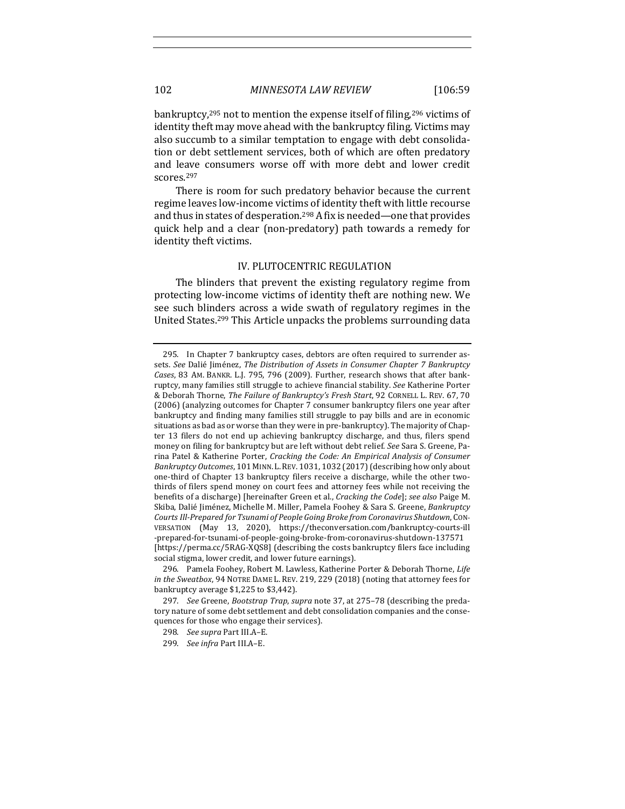bankruptcy,<sup>295</sup> not to mention the expense itself of filing,<sup>296</sup> victims of identity theft may move ahead with the bankruptcy filing. Victims may also succumb to a similar temptation to engage with debt consolidation or debt settlement services, both of which are often predatory and leave consumers worse off with more debt and lower credit scores.297

There is room for such predatory behavior because the current regime leaves low-income victims of identity theft with little recourse and thus in states of desperation.<sup>298</sup> A fix is needed—one that provides quick help and a clear (non-predatory) path towards a remedy for identity theft victims.

# IV. PLUTOCENTRIC REGULATION

The blinders that prevent the existing regulatory regime from protecting low-income victims of identity theft are nothing new. We see such blinders across a wide swath of regulatory regimes in the United States.<sup>299</sup> This Article unpacks the problems surrounding data

<sup>295.</sup> In Chapter 7 bankruptcy cases, debtors are often required to surrender assets. See Dalié Jiménez, *The Distribution of Assets in Consumer Chapter 7 Bankruptcy Cases*, 83 AM. BANKR. L.J. 795, 796 (2009). Further, research shows that after bankruptcy, many families still struggle to achieve financial stability. See Katherine Porter & Deborah Thorne, *The Failure of Bankruptcy's Fresh Start*, 92 CORNELL L. REV. 67, 70 (2006) (analyzing outcomes for Chapter 7 consumer bankruptcy filers one year after bankruptcy and finding many families still struggle to pay bills and are in economic situations as bad as or worse than they were in pre-bankruptcy). The majority of Chapter 13 filers do not end up achieving bankruptcy discharge, and thus, filers spend money on filing for bankruptcy but are left without debt relief. *See* Sara S. Greene, Parina Patel & Katherine Porter, *Cracking the Code: An Empirical Analysis of Consumer* Bankruptcy Outcomes, 101 MINN. L. REV. 1031, 1032 (2017) (describing how only about one-third of Chapter 13 bankruptcy filers receive a discharge, while the other twothirds of filers spend money on court fees and attorney fees while not receiving the benefits of a discharge) [hereinafter Green et al., *Cracking the Code*]; *see also* Paige M. Skiba, Dalié Jiménez, Michelle M. Miller, Pamela Foohey & Sara S. Greene, *Bankruptcy Courts Ill-Prepared for Tsunami of People Going Broke from Coronavirus Shutdown*, CON-VERSATION (May 13, 2020), https://theconversation.com/bankruptcy-courts-ill -prepared-for-tsunami-of-people-going-broke-from-coronavirus-shutdown-137571 [https://perma.cc/5RAG-XQS8] (describing the costs bankruptcy filers face including social stigma, lower credit, and lower future earnings).

<sup>296.</sup> Pamela Foohey, Robert M. Lawless, Katherine Porter & Deborah Thorne, Life *in the Sweatbox*, 94 NOTRE DAME L. REV. 219, 229 (2018) (noting that attorney fees for bankruptcy average \$1,225 to \$3,442).

<sup>297.</sup> *See* Greene, *Bootstrap Trap*, *supra* note 37, at 275-78 (describing the predatory nature of some debt settlement and debt consolidation companies and the consequences for those who engage their services).

<sup>298.</sup> *See supra* Part III.A–E.

<sup>299.</sup> *See infra* Part III.A–E.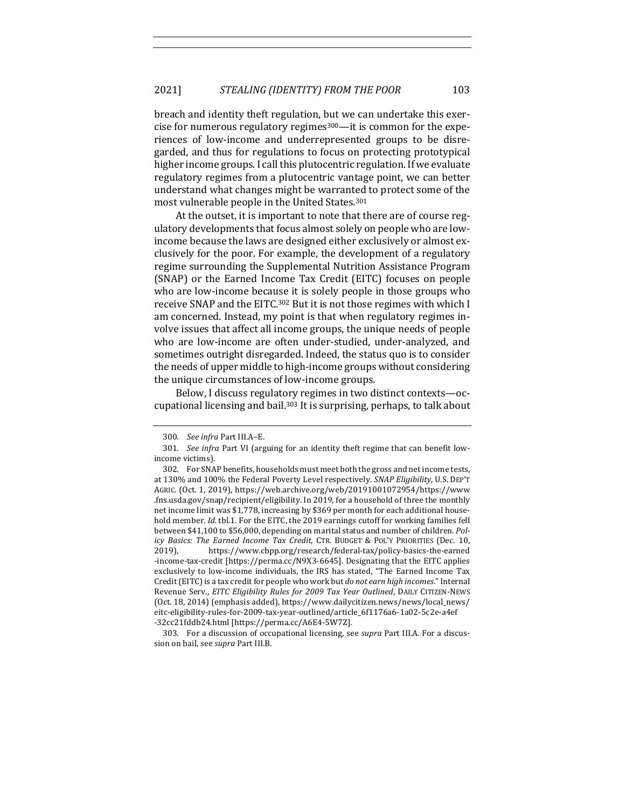breach and identity theft regulation, but we can undertake this exercise for numerous regulatory regimes<sup>300</sup>—it is common for the experiences of low-income and underrepresented groups to be disregarded, and thus for regulations to focus on protecting prototypical higher income groups. I call this plutocentric regulation. If we evaluate regulatory regimes from a plutocentric vantage point, we can better understand what changes might be warranted to protect some of the most vulnerable people in the United States.<sup>301</sup>

At the outset, it is important to note that there are of course regulatory developments that focus almost solely on people who are lowincome because the laws are designed either exclusively or almost exclusively for the poor. For example, the development of a regulatory regime surrounding the Supplemental Nutrition Assistance Program (SNAP) or the Earned Income Tax Credit (EITC) focuses on people who are low-income because it is solely people in those groups who receive SNAP and the EITC.<sup>302</sup> But it is not those regimes with which I am concerned. Instead, my point is that when regulatory regimes involve issues that affect all income groups, the unique needs of people who are low-income are often under-studied, under-analyzed, and sometimes outright disregarded. Indeed, the status quo is to consider the needs of upper middle to high-income groups without considering the unique circumstances of low-income groups.

Below, I discuss regulatory regimes in two distinct contexts-occupational licensing and bail.<sup>303</sup> It is surprising, perhaps, to talk about

303. For a discussion of occupational licensing, see *supra* Part III.A. For a discussion on bail, see *supra* Part III.B.

<sup>300.</sup> See infra Part III.A-E.

<sup>301.</sup> *See infra* Part VI (arguing for an identity theft regime that can benefit lowincome victims).

<sup>302.</sup> For SNAP benefits, households must meet both the gross and net income tests, at 130% and 100% the Federal Poverty Level respectively. *SNAP Eligibility*, U.S. DEP'T AGRIC. (Oct. 1, 2019), https://web.archive.org/web/20191001072954/https://www .fns.usda.gov/snap/recipient/eligibility. In 2019, for a household of three the monthly net income limit was \$1,778, increasing by \$369 per month for each additional household member. *Id.* tbl.1. For the EITC, the 2019 earnings cutoff for working families fell between \$41,100 to \$56,000, depending on marital status and number of children. *Policy Basics: The Earned Income Tax Credit,* CTR. BUDGET & POL'Y PRIORITIES (Dec. 10, 2019), https://www.cbpp.org/research/federal-tax/policy-basics-the-earned -income-tax-credit [https://perma.cc/N9X3-6645]. Designating that the EITC applies exclusively to low-income individuals, the IRS has stated, "The Earned Income Tax Credit (EITC) is a tax credit for people who work but *do not earn high incomes*." Internal Revenue Serv., *EITC Eligibility Rules for 2009 Tax Year Outlined*, DAILY CITIZEN-NEWS (Oct. 18, 2014) (emphasis added), https://www.dailycitizen.news/news/local\_news/ eitc-eligibility-rules-for-2009-tax-year-outlined/article\_6f1176a6-1a02-5c2e-a4ef -32cc21fddb24.html [https://perma.cc/A6E4-5W7Z].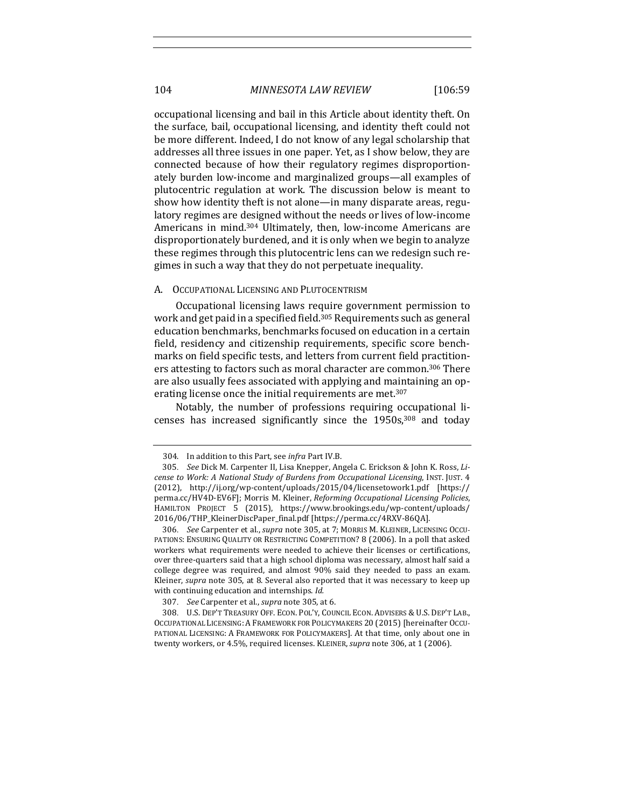occupational licensing and bail in this Article about identity theft. On the surface, bail, occupational licensing, and identity theft could not be more different. Indeed, I do not know of any legal scholarship that addresses all three issues in one paper. Yet, as I show below, they are connected because of how their regulatory regimes disproportionately burden low-income and marginalized groups—all examples of plutocentric regulation at work. The discussion below is meant to show how identity theft is not alone—in many disparate areas, regulatory regimes are designed without the needs or lives of low-income Americans in mind.<sup>304</sup> Ultimately, then, low-income Americans are disproportionately burdened, and it is only when we begin to analyze these regimes through this plutocentric lens can we redesign such regimes in such a way that they do not perpetuate inequality.

#### A. OCCUPATIONAL LICENSING AND PLUTOCENTRISM

Occupational licensing laws require government permission to work and get paid in a specified field.<sup>305</sup> Requirements such as general education benchmarks, benchmarks focused on education in a certain field, residency and citizenship requirements, specific score benchmarks on field specific tests, and letters from current field practitioners attesting to factors such as moral character are common.<sup>306</sup> There are also usually fees associated with applying and maintaining an operating license once the initial requirements are met.<sup>307</sup>

Notably, the number of professions requiring occupational licenses has increased significantly since the  $1950s$ ,  $308$  and today

307. *See* Carpenter et al., *supra* note 305, at 6.

308. U.S. DEP'T TREASURY OFF. ECON. POL'Y, COUNCIL ECON. ADVISERS & U.S. DEP'T LAB., OCCUPATIONAL LICENSING: A FRAMEWORK FOR POLICYMAKERS 20 (2015) [hereinafter OCCU-PATIONAL LICENSING: A FRAMEWORK FOR POLICYMAKERS]. At that time, only about one in twenty workers, or 4.5%, required licenses. KLEINER, *supra* note 306, at 1 (2006).

<sup>304.</sup> In addition to this Part, see *infra* Part IV.B.

<sup>305.</sup> *See* Dick M. Carpenter II, Lisa Knepper, Angela C. Erickson & John K. Ross, Li*cense to Work: A National Study of Burdens from Occupational Licensing, INST. [UST. 4* (2012), http://ij.org/wp-content/uploads/2015/04/licensetowork1.pdf [https:// perma.cc/HV4D-EV6F]; Morris M. Kleiner, *Reforming Occupational Licensing Policies*, HAMILTON PROJECT 5 (2015), https://www.brookings.edu/wp-content/uploads/ 2016/06/THP\_KleinerDiscPaper\_final.pdf [https://perma.cc/4RXV-86QA].

<sup>306</sup>. *See* Carpenter et al., *supra* note 305, at 7; MORRIS M. KLEINER, LICENSING OCCU-PATIONS: ENSURING QUALITY OR RESTRICTING COMPETITION? 8 (2006). In a poll that asked workers what requirements were needed to achieve their licenses or certifications, over three-quarters said that a high school diploma was necessary, almost half said a college degree was required, and almost 90% said they needed to pass an exam. Kleiner, *supra* note 305, at 8. Several also reported that it was necessary to keep up with continuing education and internships. *Id.*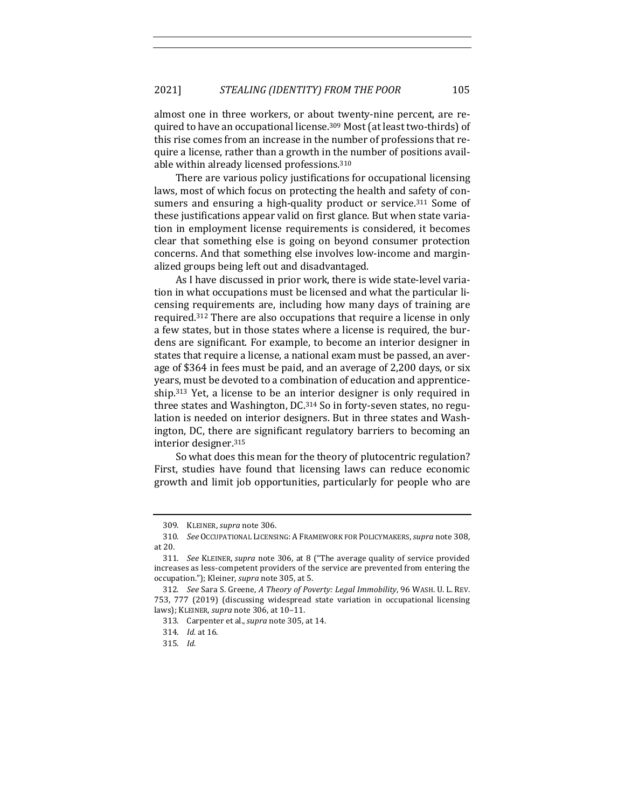almost one in three workers, or about twenty-nine percent, are required to have an occupational license.<sup>309</sup> Most (at least two-thirds) of this rise comes from an increase in the number of professions that require a license, rather than a growth in the number of positions available within already licensed professions.<sup>310</sup>

There are various policy justifications for occupational licensing laws, most of which focus on protecting the health and safety of consumers and ensuring a high-quality product or service. $311$  Some of these justifications appear valid on first glance. But when state variation in employment license requirements is considered, it becomes clear that something else is going on beyond consumer protection concerns. And that something else involves low-income and marginalized groups being left out and disadvantaged.

As I have discussed in prior work, there is wide state-level variation in what occupations must be licensed and what the particular licensing requirements are, including how many days of training are required.<sup>312</sup> There are also occupations that require a license in only a few states, but in those states where a license is required, the burdens are significant. For example, to become an interior designer in states that require a license, a national exam must be passed, an average of \$364 in fees must be paid, and an average of 2,200 days, or six years, must be devoted to a combination of education and apprenticeship. $313$  Yet, a license to be an interior designer is only required in three states and Washington, DC.<sup>314</sup> So in forty-seven states, no regulation is needed on interior designers. But in three states and Washington, DC, there are significant regulatory barriers to becoming an interior designer.<sup>315</sup>

So what does this mean for the theory of plutocentric regulation? First, studies have found that licensing laws can reduce economic growth and limit job opportunities, particularly for people who are

<sup>309.</sup> KLEINER, *supra* note 306.

<sup>310.</sup> *See* OCCUPATIONAL LICENSING: A FRAMEWORK FOR POLICYMAKERS, *supra* note 308, at 20.

<sup>311.</sup> *See* KLEINER, *supra* note 306, at 8 ("The average quality of service provided increases as less-competent providers of the service are prevented from entering the occupation."); Kleiner, *supra* note 305, at 5.

<sup>312.</sup> *See* Sara S. Greene, A Theory of Poverty: Legal Immobility, 96 WASH. U. L. REV. 753, 777 (2019) (discussing widespread state variation in occupational licensing laws); KLEINER, *supra* note 306, at 10-11.

<sup>313.</sup> Carpenter et al., *supra* note 305, at 14.

<sup>314.</sup> *Id.* at 16.

<sup>315.</sup> *Id.*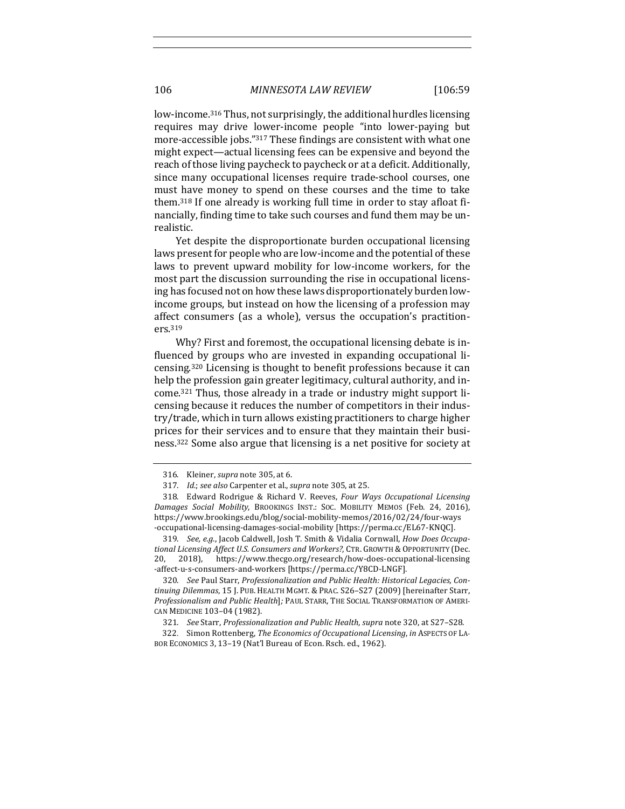low-income.<sup>316</sup> Thus, not surprisingly, the additional hurdles licensing requires may drive lower-income people "into lower-paying but more-accessible jobs."317 These findings are consistent with what one might expect—actual licensing fees can be expensive and beyond the reach of those living paycheck to paycheck or at a deficit. Additionally, since many occupational licenses require trade-school courses, one must have money to spend on these courses and the time to take them.<sup>318</sup> If one already is working full time in order to stay afloat financially, finding time to take such courses and fund them may be unrealistic. 

Yet despite the disproportionate burden occupational licensing laws present for people who are low-income and the potential of these laws to prevent upward mobility for low-income workers, for the most part the discussion surrounding the rise in occupational licensing has focused not on how these laws disproportionately burden lowincome groups, but instead on how the licensing of a profession may affect consumers (as a whole), versus the occupation's practitioners.319

Why? First and foremost, the occupational licensing debate is influenced by groups who are invested in expanding occupational licensing.<sup>320</sup> Licensing is thought to benefit professions because it can help the profession gain greater legitimacy, cultural authority, and income.<sup>321</sup> Thus, those already in a trade or industry might support licensing because it reduces the number of competitors in their industry/trade, which in turn allows existing practitioners to charge higher prices for their services and to ensure that they maintain their business.<sup>322</sup> Some also argue that licensing is a net positive for society at

<sup>316.</sup> Kleiner, *supra* note 305, at 6.

<sup>317.</sup> *Id.*; see also Carpenter et al., *supra* note 305, at 25.

<sup>318.</sup> Edward Rodrigue & Richard V. Reeves, *Four Ways Occupational Licensing* Damages Social Mobility, BROOKINGS INST.: SOC. MOBILITY MEMOS (Feb. 24, 2016), https://www.brookings.edu/blog/social-mobility-memos/2016/02/24/four-ways -occupational-licensing-damages-social-mobility [https://perma.cc/EL67-KNQC].

<sup>319.</sup> See, e.g., Jacob Caldwell, Josh T. Smith & Vidalia Cornwall, *How Does Occupa*tional Licensing Affect U.S. Consumers and Workers?, CTR. GROWTH & OPPORTUNITY (Dec. 20, 2018), https://www.thecgo.org/research/how-does-occupational-licensing -affect-u-s-consumers-and-workers [https://perma.cc/Y8CD-LNGF].

<sup>320.</sup> See Paul Starr, *Professionalization and Public Health: Historical Legacies, Continuing Dilemmas*, 15 J. PUB. HEALTH MGMT. & PRAC. S26–S27 (2009) [hereinafter Starr, Professionalism and Public Health]; PAUL STARR, THE SOCIAL TRANSFORMATION OF AMERI-CAN MEDICINE 103–04 (1982).

<sup>321.</sup> *See* Starr, *Professionalization and Public Health*, *supra* note 320, at S27-S28.

<sup>322.</sup> Simon Rottenberg, *The Economics of Occupational Licensing*, *in ASPECTS OF LA-*BOR ECONOMICS 3, 13-19 (Nat'l Bureau of Econ. Rsch. ed., 1962).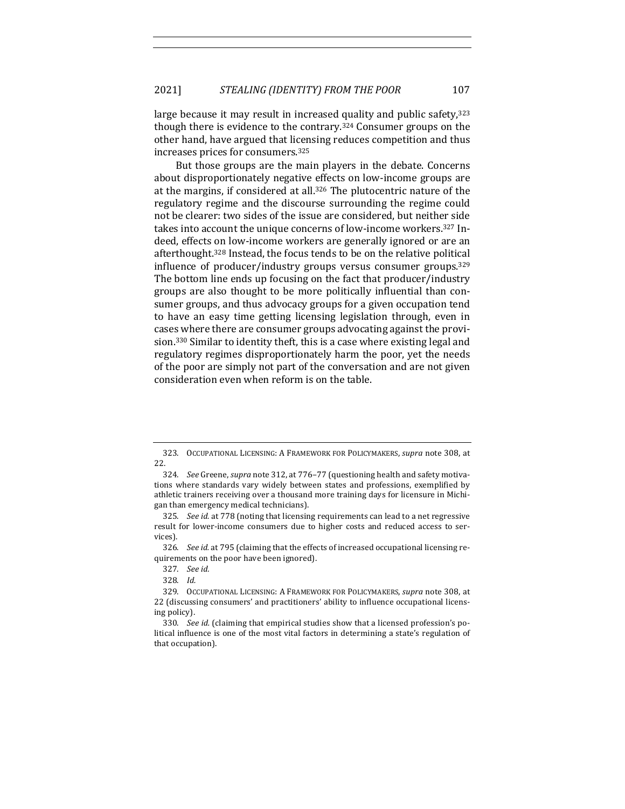large because it may result in increased quality and public safety, $323$ though there is evidence to the contrary.<sup>324</sup> Consumer groups on the other hand, have argued that licensing reduces competition and thus increases prices for consumers.<sup>325</sup>

But those groups are the main players in the debate. Concerns about disproportionately negative effects on low-income groups are at the margins, if considered at all.<sup>326</sup> The plutocentric nature of the regulatory regime and the discourse surrounding the regime could not be clearer: two sides of the issue are considered, but neither side takes into account the unique concerns of low-income workers.<sup>327</sup> Indeed, effects on low-income workers are generally ignored or are an afterthought.<sup>328</sup> Instead, the focus tends to be on the relative political influence of producer/industry groups versus consumer groups. $329$ The bottom line ends up focusing on the fact that producer/industry groups are also thought to be more politically influential than consumer groups, and thus advocacy groups for a given occupation tend to have an easy time getting licensing legislation through, even in cases where there are consumer groups advocating against the provision.<sup>330</sup> Similar to identity theft, this is a case where existing legal and regulatory regimes disproportionately harm the poor, yet the needs of the poor are simply not part of the conversation and are not given consideration even when reform is on the table.

<sup>323.</sup> OCCUPATIONAL LICENSING: A FRAMEWORK FOR POLICYMAKERS, *supra* note 308, at 22.

<sup>324.</sup> *See* Greene, *supra* note 312, at 776–77 (questioning health and safety motivations where standards vary widely between states and professions, exemplified by athletic trainers receiving over a thousand more training days for licensure in Michigan than emergency medical technicians).

<sup>325.</sup> *See id.* at 778 (noting that licensing requirements can lead to a net regressive result for lower-income consumers due to higher costs and reduced access to services).

<sup>326.</sup> *See id.* at 795 (claiming that the effects of increased occupational licensing requirements on the poor have been ignored).

<sup>327.</sup> *See id.*

<sup>328.</sup> *Id.*

<sup>329.</sup> OCCUPATIONAL LICENSING: A FRAMEWORK FOR POLICYMAKERS, *supra* note 308, at 22 (discussing consumers' and practitioners' ability to influence occupational licensing policy).

<sup>330.</sup> *See id.* (claiming that empirical studies show that a licensed profession's political influence is one of the most vital factors in determining a state's regulation of that occupation).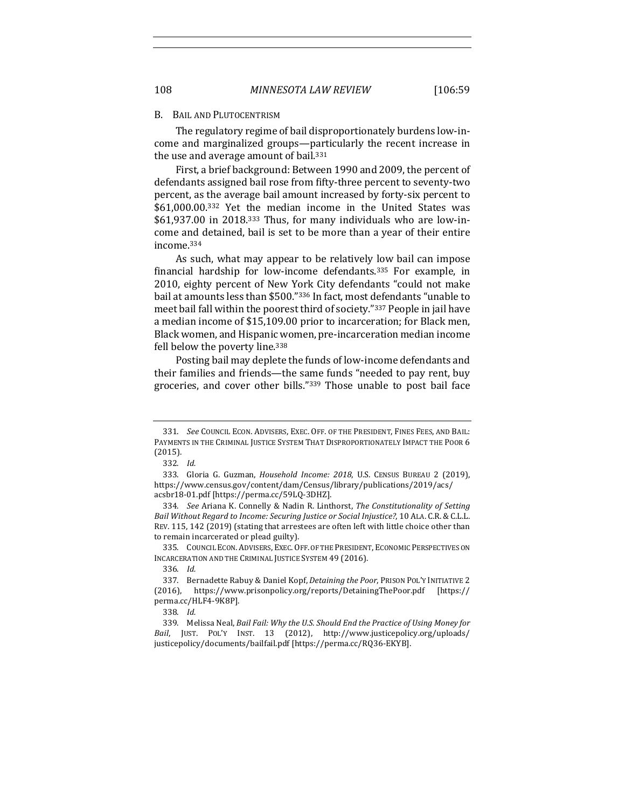#### B. BAIL AND PLUTOCENTRISM

The regulatory regime of bail disproportionately burdens low-income and marginalized groups—particularly the recent increase in the use and average amount of bail. $331$ 

First, a brief background: Between 1990 and 2009, the percent of defendants assigned bail rose from fifty-three percent to seventy-two percent, as the average bail amount increased by forty-six percent to \$61,000.00.<sup>332</sup> Yet the median income in the United States was  $$61,937.00$  in 2018.<sup>333</sup> Thus, for many individuals who are low-income and detained, bail is set to be more than a year of their entire income.334

As such, what may appear to be relatively low bail can impose financial hardship for low-income defendants.<sup>335</sup> For example, in 2010, eighty percent of New York City defendants "could not make bail at amounts less than \$500."336 In fact, most defendants "unable to meet bail fall within the poorest third of society."337 People in jail have a median income of \$15,109.00 prior to incarceration; for Black men, Black women, and Hispanic women, pre-incarceration median income fell below the poverty line.<sup>338</sup>

Posting bail may deplete the funds of low-income defendants and their families and friends—the same funds "needed to pay rent, buy groceries, and cover other bills."<sup>339</sup> Those unable to post bail face

<sup>331.</sup> *See* COUNCIL ECON. ADVISERS, EXEC. OFF. OF THE PRESIDENT, FINES FEES, AND BAIL: PAYMENTS IN THE CRIMINAL JUSTICE SYSTEM THAT DISPROPORTIONATELY IMPACT THE POOR 6 (2015).

<sup>332.</sup> *Id.*

<sup>333.</sup> Gloria G. Guzman, *Household Income: 2018*, U.S. CENSUS BUREAU 2 (2019), https://www.census.gov/content/dam/Census/library/publications/2019/acs/ acsbr18-01.pdf [https://perma.cc/59LQ-3DHZ].

<sup>334.</sup> *See* Ariana K. Connelly & Nadin R. Linthorst, *The Constitutionality of Setting* Bail Without Regard to Income: Securing Justice or Social Injustice?, 10 ALA. C.R. & C.L.L. REV. 115, 142 (2019) (stating that arrestees are often left with little choice other than to remain incarcerated or plead guilty).

<sup>335.</sup> COUNCIL ECON. ADVISERS, EXEC. OFF. OF THE PRESIDENT, ECONOMIC PERSPECTIVES ON INCARCERATION AND THE CRIMINAL JUSTICE SYSTEM 49 (2016).

<sup>336.</sup> *Id.*

<sup>337.</sup> Bernadette Rabuy & Daniel Kopf, *Detaining the Poor*, PRISON POL'Y INITIATIVE 2 (2016), https://www.prisonpolicy.org/reports/DetainingThePoor.pdf [https:// perma.cc/HLF4-9K8P].

<sup>338.</sup> *Id.*

<sup>339.</sup> Melissa Neal, *Bail Fail: Why the U.S. Should End the Practice of Using Money for* Bail, JUST. POL'Y INST. 13 (2012), http://www.justicepolicy.org/uploads/ justicepolicy/documents/bailfail.pdf [https://perma.cc/RQ36-EKYB].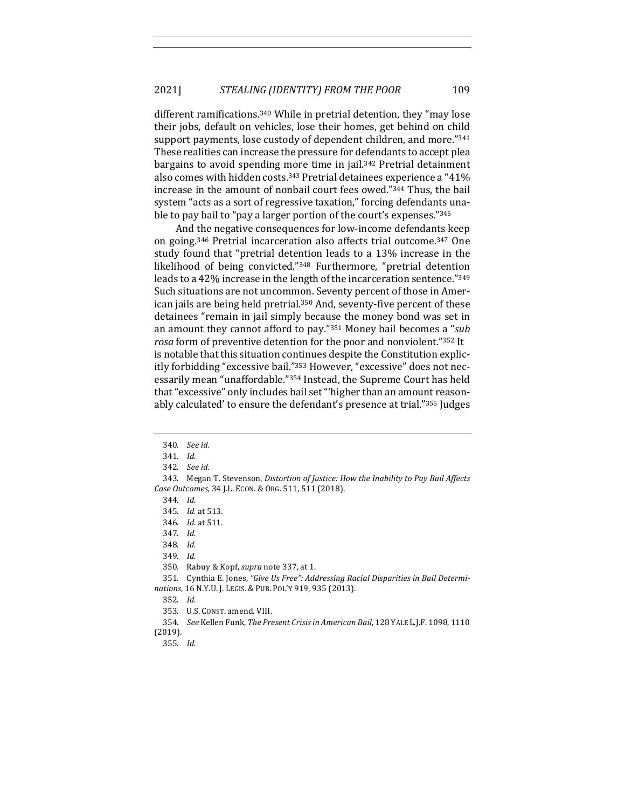different ramifications.<sup>340</sup> While in pretrial detention, they "may lose their jobs, default on vehicles, lose their homes, get behind on child support payments, lose custody of dependent children, and more."341 These realities can increase the pressure for defendants to accept plea bargains to avoid spending more time in jail.<sup>342</sup> Pretrial detainment also comes with hidden costs.<sup>343</sup> Pretrial detainees experience a "41% increase in the amount of nonbail court fees owed."344 Thus, the bail system "acts as a sort of regressive taxation," forcing defendants unable to pay bail to "pay a larger portion of the court's expenses."<sup>345</sup>

And the negative consequences for low-income defendants keep on going.<sup>346</sup> Pretrial incarceration also affects trial outcome.<sup>347</sup> One study found that "pretrial detention leads to a 13% increase in the likelihood of being convicted."<sup>348</sup> Furthermore, "pretrial detention leads to a 42% increase in the length of the incarceration sentence."349 Such situations are not uncommon. Seventy percent of those in American jails are being held pretrial.<sup>350</sup> And, seventy-five percent of these detainees "remain in jail simply because the money bond was set in an amount they cannot afford to pay."<sup>351</sup> Money bail becomes a "*sub rosa* form of preventive detention for the poor and nonviolent."352 It is notable that this situation continues despite the Constitution explicitly forbidding "excessive bail."353 However, "excessive" does not necessarily mean "unaffordable."<sup>354</sup> Instead, the Supreme Court has held that "excessive" only includes bail set "'higher than an amount reasonably calculated' to ensure the defendant's presence at trial."355 Judges

348. *Id.*

349. *Id.*

<sup>340.</sup> *See id.*

<sup>341.</sup> *Id.*

<sup>342.</sup> *See id.*

<sup>343.</sup> Megan T. Stevenson, *Distortion of Justice: How the Inability to Pay Bail Affects Case Outcomes*, 34 J.L. ECON. & ORG. 511, 511 (2018).

<sup>344.</sup> *Id.*

<sup>345.</sup> *Id.* at 513.

<sup>346.</sup> *Id.* at 511.

<sup>347.</sup> *Id.*

<sup>350.</sup> Rabuy & Kopf, *supra* note 337, at 1.

<sup>351.</sup> Cynthia E. Jones, "Give Us Free": Addressing Racial Disparities in Bail Determinations, 16 N.Y.U. J. LEGIS. & PUB. POL'Y 919, 935 (2013).

<sup>352.</sup> *Id.*

<sup>353.</sup> U.S. CONST. amend. VIII.

<sup>354.</sup> *See* Kellen Funk, *The Present Crisis in American Bail*, 128 YALE L.J.F. 1098, 1110 (2019).

<sup>355.</sup> *Id.*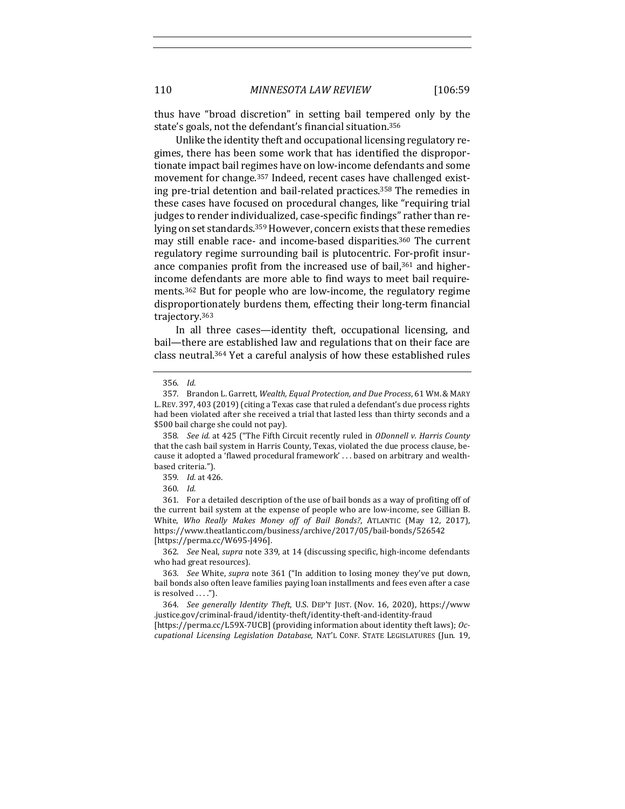thus have "broad discretion" in setting bail tempered only by the state's goals, not the defendant's financial situation.<sup>356</sup>

Unlike the identity theft and occupational licensing regulatory regimes, there has been some work that has identified the disproportionate impact bail regimes have on low-income defendants and some movement for change.<sup>357</sup> Indeed, recent cases have challenged existing pre-trial detention and bail-related practices.<sup>358</sup> The remedies in these cases have focused on procedural changes, like "requiring trial judges to render individualized, case-specific findings" rather than relying on set standards.<sup>359</sup> However, concern exists that these remedies may still enable race- and income-based disparities.<sup>360</sup> The current regulatory regime surrounding bail is plutocentric. For-profit insurance companies profit from the increased use of bail, $361$  and higherincome defendants are more able to find ways to meet bail requirements.<sup>362</sup> But for people who are low-income, the regulatory regime disproportionately burdens them, effecting their long-term financial trajectory.363

In all three cases—identity theft, occupational licensing, and bail-there are established law and regulations that on their face are class neutral.<sup>364</sup> Yet a careful analysis of how these established rules

358. *See id.* at 425 ("The Fifth Circuit recently ruled in *ODonnell v. Harris County* that the cash bail system in Harris County, Texas, violated the due process clause, because it adopted a 'flawed procedural framework' . . . based on arbitrary and wealthbased criteria.").

361. For a detailed description of the use of bail bonds as a way of profiting off of the current bail system at the expense of people who are low-income, see Gillian B. White, Who Really Makes Money off of Bail Bonds?, ATLANTIC (May 12, 2017), https://www.theatlantic.com/business/archive/2017/05/bail-bonds/526542 [https://perma.cc/W695-J496].

362. *See* Neal, *supra* note 339, at 14 (discussing specific, high-income defendants who had great resources).

<sup>356.</sup> *Id.*

<sup>357.</sup> Brandon L. Garrett, Wealth, Equal Protection, and Due Process, 61 WM. & MARY L. REV. 397, 403 (2019) (citing a Texas case that ruled a defendant's due process rights had been violated after she received a trial that lasted less than thirty seconds and a \$500 bail charge she could not pay).

<sup>359.</sup> *Id.* at 426.

<sup>360.</sup> *Id.*

<sup>363.</sup> *See* White, *supra* note 361 ("In addition to losing money they've put down, bail bonds also often leave families paying loan installments and fees even after a case is resolved  $\dots$ .").

<sup>364.</sup> *See generally Identity Theft*, U.S. DEP'T JUST. (Nov. 16, 2020), https://www .justice.gov/criminal-fraud/identity-theft/identity-theft-and-identity-fraud 

<sup>[</sup>https://perma.cc/L59X-7UCB] (providing information about identity theft laws); *Occupational Licensing Legislation Database*, NAT'L CONF. STATE LEGISLATURES (Jun. 19,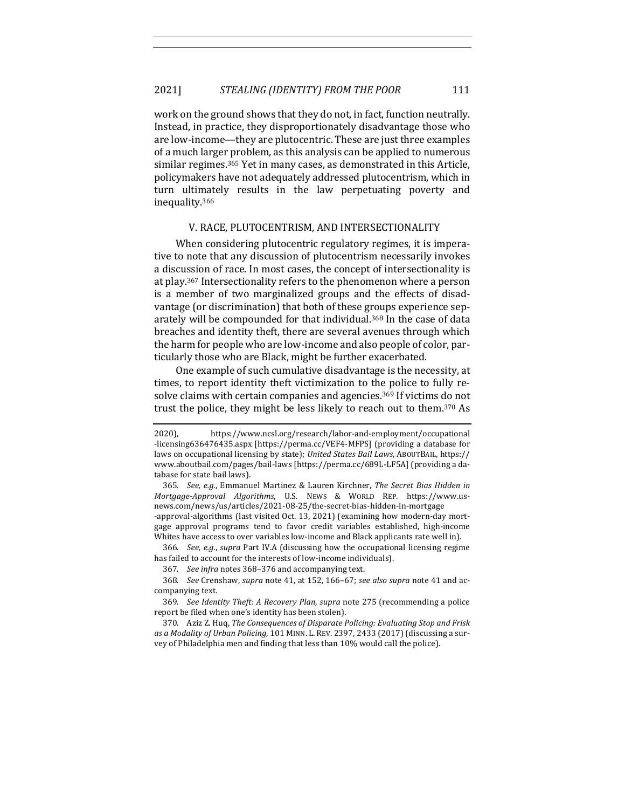work on the ground shows that they do not, in fact, function neutrally. Instead, in practice, they disproportionately disadvantage those who are low-income—they are plutocentric. These are just three examples of a much larger problem, as this analysis can be applied to numerous similar regimes.<sup>365</sup> Yet in many cases, as demonstrated in this Article, policymakers have not adequately addressed plutocentrism, which in turn ultimately results in the law perpetuating poverty and inequality.366

# V. RACE, PLUTOCENTRISM, AND INTERSECTIONALITY

When considering plutocentric regulatory regimes, it is imperative to note that any discussion of plutocentrism necessarily invokes a discussion of race. In most cases, the concept of intersectionality is at play.<sup>367</sup> Intersectionality refers to the phenomenon where a person is a member of two marginalized groups and the effects of disadvantage (or discrimination) that both of these groups experience separately will be compounded for that individual.<sup>368</sup> In the case of data breaches and identity theft, there are several avenues through which the harm for people who are low-income and also people of color, particularly those who are Black, might be further exacerbated.

One example of such cumulative disadvantage is the necessity, at times, to report identity theft victimization to the police to fully resolve claims with certain companies and agencies.<sup>369</sup> If victims do not trust the police, they might be less likely to reach out to them.<sup>370</sup> As

366. *See, e.g., supra* Part IV.A (discussing how the occupational licensing regime has failed to account for the interests of low-income individuals).

<sup>2020),</sup> https://www.ncsl.org/research/labor-and-employment/occupational -licensing636476435.aspx [https://perma.cc/VEF4-MFPS] (providing a database for laws on occupational licensing by state); *United States Bail Laws*, ABOUTBAIL, https:// www.aboutbail.com/pages/bail-laws [https://perma.cc/689L-LF5A] (providing a database for state bail laws).

<sup>365.</sup> *See, e.g.*, Emmanuel Martinez & Lauren Kirchner, *The Secret Bias Hidden in Mortgage-Approval Algorithms*, U.S. NEWS & WORLD REP. https://www.usnews.com/news/us/articles/2021-08-25/the-secret-bias-hidden-in-mortgage -approval-algorithms (last visited Oct. 13, 2021) (examining how modern-day mortgage approval programs tend to favor credit variables established, high-income Whites have access to over variables low-income and Black applicants rate well in).

<sup>367.</sup> *See infra* notes 368–376 and accompanying text.

<sup>368.</sup> *See* Crenshaw, *supra* note 41, at 152, 166–67; *see also supra* note 41 and accompanying text.

<sup>369.</sup> *See Identity Theft: A Recovery Plan, supra* note 275 (recommending a police report be filed when one's identity has been stolen).

<sup>370.</sup> Aziz Z. Hug, *The Consequences of Disparate Policing: Evaluating Stop and Frisk* as a Modality of Urban Policing, 101 MINN. L. REV. 2397, 2433 (2017) (discussing a survey of Philadelphia men and finding that less than 10% would call the police).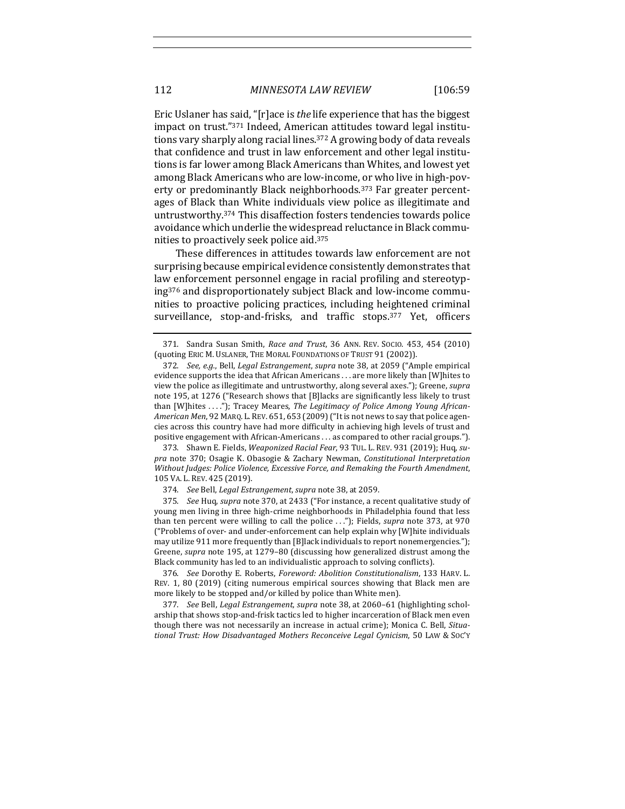Eric Uslaner has said, "[r]ace is *the* life experience that has the biggest impact on trust."371 Indeed, American attitudes toward legal institutions vary sharply along racial lines.<sup>372</sup> A growing body of data reveals that confidence and trust in law enforcement and other legal institutions is far lower among Black Americans than Whites, and lowest yet among Black Americans who are low-income, or who live in high-poverty or predominantly Black neighborhoods.<sup>373</sup> Far greater percentages of Black than White individuals view police as illegitimate and untrustworthy.<sup>374</sup> This disaffection fosters tendencies towards police avoidance which underlie the widespread reluctance in Black communities to proactively seek police aid.<sup>375</sup>

These differences in attitudes towards law enforcement are not surprising because empirical evidence consistently demonstrates that law enforcement personnel engage in racial profiling and stereotyping<sup>376</sup> and disproportionately subject Black and low-income communities to proactive policing practices, including heightened criminal surveillance, stop-and-frisks, and traffic stops.<sup>377</sup> Yet, officers

373. Shawn E. Fields, *Weaponized Racial Fear*, 93 TUL. L. REV. 931 (2019); Huq, su*pra* note 370; Osagie K. Obasogie & Zachary Newman, *Constitutional Interpretation Without Judges: Police Violence, Excessive Force, and Remaking the Fourth Amendment,* 105 VA. L. REV. 425 (2019).

374. *See* Bell, *Legal Estrangement*, *supra* note 38, at 2059.

375. See Huq, supra note 370, at 2433 ("For instance, a recent qualitative study of young men living in three high-crime neighborhoods in Philadelphia found that less than ten percent were willing to call the police ..."); Fields, *supra* note 373, at 970 ("Problems of over- and under-enforcement can help explain why [W]hite individuals may utilize  $911$  more frequently than [B]lack individuals to report nonemergencies."); Greene, *supra* note 195, at 1279-80 (discussing how generalized distrust among the Black community has led to an individualistic approach to solving conflicts).

376. See Dorothy E. Roberts, *Foreword: Abolition Constitutionalism*, 133 HARV. L. REV. 1, 80 (2019) (citing numerous empirical sources showing that Black men are more likely to be stopped and/or killed by police than White men).

377. *See* Bell, *Legal Estrangement*, *supra* note 38, at 2060–61 (highlighting scholarship that shows stop-and-frisk tactics led to higher incarceration of Black men even though there was not necessarily an increase in actual crime); Monica C. Bell, *Situational Trust: How Disadvantaged Mothers Reconceive Legal Cynicism*, 50 LAW & SOC'Y

<sup>371.</sup> Sandra Susan Smith, *Race and Trust*, 36 ANN. REV. SOCIO. 453, 454 (2010) (quoting ERIC M. USLANER, THE MORAL FOUNDATIONS OF TRUST 91 (2002)).

<sup>372.</sup> *See, e.g.*, Bell, *Legal Estrangement, supra* note 38, at 2059 ("Ample empirical evidence supports the idea that African Americans . . . are more likely than [W]hites to view the police as illegitimate and untrustworthy, along several axes."); Greene, *supra* note 195, at 1276 ("Research shows that [B]lacks are significantly less likely to trust than [W]hites ...."); Tracey Meares, *The Legitimacy of Police Among Young African-*American Men, 92 MARQ. L. REV. 651, 653 (2009) ("It is not news to say that police agencies across this country have had more difficulty in achieving high levels of trust and positive engagement with African-Americans . . . as compared to other racial groups.").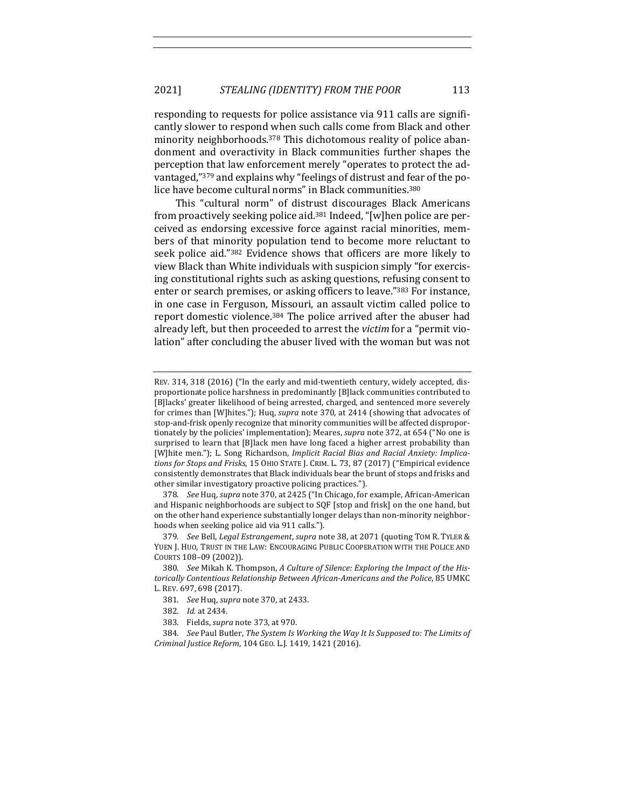responding to requests for police assistance via 911 calls are significantly slower to respond when such calls come from Black and other minority neighborhoods.<sup>378</sup> This dichotomous reality of police abandonment and overactivity in Black communities further shapes the perception that law enforcement merely "operates to protect the advantaged,"<sup>379</sup> and explains why "feelings of distrust and fear of the police have become cultural norms" in Black communities.<sup>380</sup>

This "cultural norm" of distrust discourages Black Americans from proactively seeking police aid.<sup>381</sup> Indeed, "[w]hen police are perceived as endorsing excessive force against racial minorities, members of that minority population tend to become more reluctant to seek police aid."382 Evidence shows that officers are more likely to view Black than White individuals with suspicion simply "for exercising constitutional rights such as asking questions, refusing consent to enter or search premises, or asking officers to leave."383 For instance, in one case in Ferguson, Missouri, an assault victim called police to report domestic violence.<sup>384</sup> The police arrived after the abuser had already left, but then proceeded to arrest the *victim* for a "permit violation" after concluding the abuser lived with the woman but was not

378. *See Huq, supra* note 370, at 2425 ("In Chicago, for example, African-American and Hispanic neighborhoods are subject to SQF [stop and frisk] on the one hand, but on the other hand experience substantially longer delays than non-minority neighborhoods when seeking police aid via 911 calls.").

REV. 314, 318 (2016) ("In the early and mid-twentieth century, widely accepted, disproportionate police harshness in predominantly [B]lack communities contributed to [B]lacks' greater likelihood of being arrested, charged, and sentenced more severely for crimes than [W]hites."); Huq, *supra* note 370, at 2414 (showing that advocates of stop-and-frisk openly recognize that minority communities will be affected disproportionately by the policies' implementation); Meares, *supra* note 372, at 654 ("No one is surprised to learn that [B]lack men have long faced a higher arrest probability than [W]hite men."); L. Song Richardson, *Implicit Racial Bias and Racial Anxiety: Implica*tions for Stops and Frisks, 15 OHIO STATE J. CRIM. L. 73, 87 (2017) ("Empirical evidence consistently demonstrates that Black individuals bear the brunt of stops and frisks and other similar investigatory proactive policing practices.").

<sup>379.</sup> *See* Bell, *Legal Estrangement*, *supra* note 38, at 2071 (quoting TOM R. TYLER & YUEN J. HUO, TRUST IN THE LAW: ENCOURAGING PUBLIC COOPERATION WITH THE POLICE AND COURTS 108–09 (2002)).

<sup>380.</sup> See Mikah K. Thompson, A Culture of Silence: Exploring the Impact of the Historically Contentious Relationship Between African-Americans and the Police, 85 UMKC L. REV. 697, 698 (2017).

<sup>381.</sup> *See* Huq, *supra* note 370, at 2433.

<sup>382.</sup> *Id.* at 2434.

<sup>383.</sup> Fields, *supra* note 373, at 970.

<sup>384.</sup> *See* Paul Butler, *The System Is Working the Way It Is Supposed to: The Limits of Criminal Justice Reform*, 104 GEO. L.J. 1419, 1421 (2016).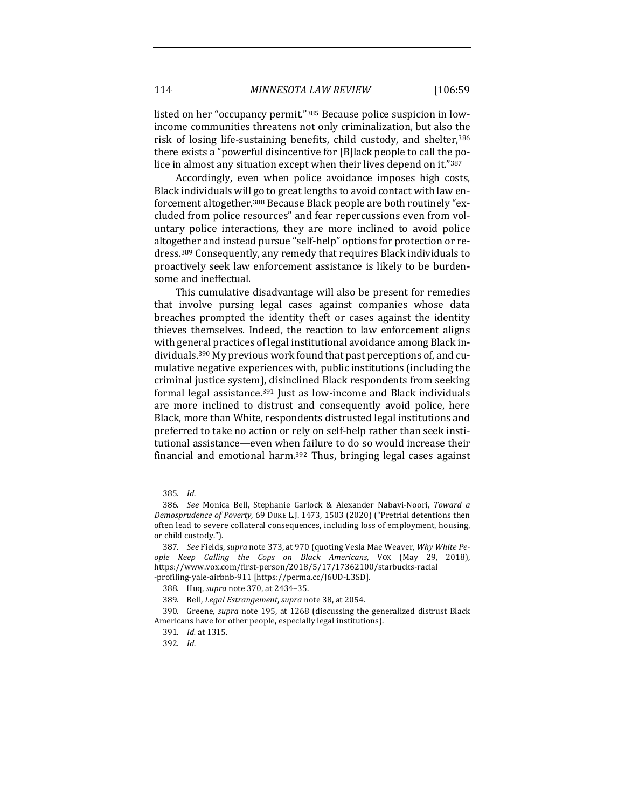114 *MINNESOTA LAW REVIEW* [106:59

listed on her "occupancy permit."<sup>385</sup> Because police suspicion in lowincome communities threatens not only criminalization, but also the risk of losing life-sustaining benefits, child custody, and shelter,<sup>386</sup> there exists a "powerful disincentive for [B]lack people to call the police in almost any situation except when their lives depend on it."387

Accordingly, even when police avoidance imposes high costs, Black individuals will go to great lengths to avoid contact with law enforcement altogether.<sup>388</sup> Because Black people are both routinely "excluded from police resources" and fear repercussions even from voluntary police interactions, they are more inclined to avoid police altogether and instead pursue "self-help" options for protection or redress.<sup>389</sup> Consequently, any remedy that requires Black individuals to proactively seek law enforcement assistance is likely to be burdensome and ineffectual.

This cumulative disadvantage will also be present for remedies that involve pursing legal cases against companies whose data breaches prompted the identity theft or cases against the identity thieves themselves. Indeed, the reaction to law enforcement aligns with general practices of legal institutional avoidance among Black individuals.<sup>390</sup> My previous work found that past perceptions of, and cumulative negative experiences with, public institutions (including the criminal justice system), disinclined Black respondents from seeking formal legal assistance.<sup>391</sup> Just as low-income and Black individuals are more inclined to distrust and consequently avoid police, here Black, more than White, respondents distrusted legal institutions and preferred to take no action or rely on self-help rather than seek institutional assistance—even when failure to do so would increase their financial and emotional harm.<sup>392</sup> Thus, bringing legal cases against

<sup>385.</sup> *Id.*

<sup>386.</sup> *See* Monica Bell, Stephanie Garlock & Alexander Nabavi-Noori, *Toward a Demosprudence of Poverty*, 69 DUKE L.J. 1473, 1503 (2020) ("Pretrial detentions then often lead to severe collateral consequences, including loss of employment, housing, or child custody.").

<sup>387.</sup> *See* Fields, *supra* note 373, at 970 (quoting Vesla Mae Weaver, *Why White People Keep Calling the Cops on Black Americans*, VOX (May 29, 2018), https://www.vox.com/first-person/2018/5/17/17362100/starbucks-racial -profiling-yale-airbnb-911 [https://perma.cc/J6UD-L3SD]. 

<sup>388.</sup> Huq, *supra* note 370, at 2434-35.

<sup>389.</sup> Bell, *Legal Estrangement*, *supra* note 38, at 2054.

<sup>390.</sup> Greene, *supra* note 195, at 1268 (discussing the generalized distrust Black Americans have for other people, especially legal institutions).

<sup>391.</sup> *Id.* at 1315.

<sup>392.</sup> *Id.*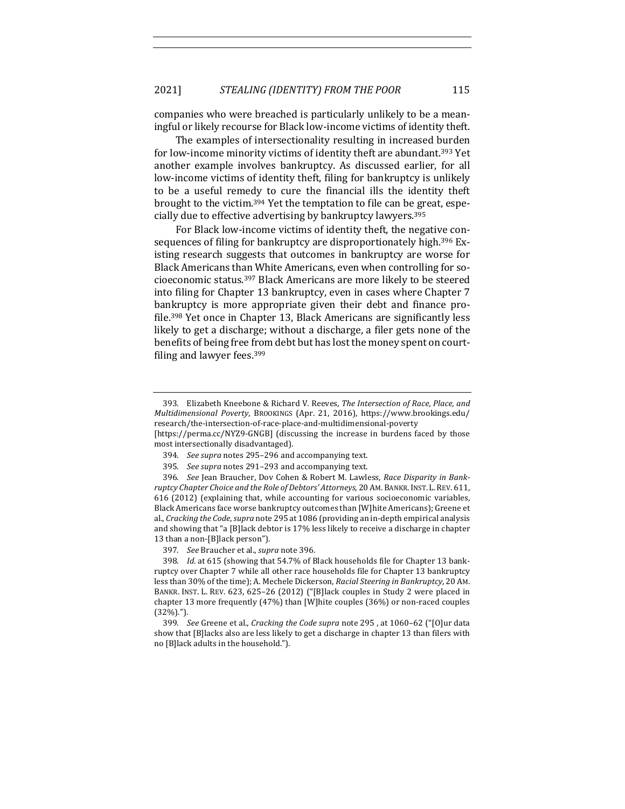companies who were breached is particularly unlikely to be a meaningful or likely recourse for Black low-income victims of identity theft.

The examples of intersectionality resulting in increased burden for low-income minority victims of identity theft are abundant.<sup>393</sup> Yet another example involves bankruptcy. As discussed earlier, for all low-income victims of identity theft, filing for bankruptcy is unlikely to be a useful remedy to cure the financial ills the identity theft brought to the victim.<sup>394</sup> Yet the temptation to file can be great, especially due to effective advertising by bankruptcy lawyers.<sup>395</sup>

For Black low-income victims of identity theft, the negative consequences of filing for bankruptcy are disproportionately high.<sup>396</sup> Existing research suggests that outcomes in bankruptcy are worse for Black Americans than White Americans, even when controlling for socioeconomic status.<sup>397</sup> Black Americans are more likely to be steered into filing for Chapter 13 bankruptcy, even in cases where Chapter 7 bankruptcy is more appropriate given their debt and finance profile.<sup>398</sup> Yet once in Chapter 13, Black Americans are significantly less likely to get a discharge; without a discharge, a filer gets none of the benefits of being free from debt but has lost the money spent on courtfiling and lawyer fees. $399$ 

[https://perma.cc/NYZ9-GNGB] (discussing the increase in burdens faced by those most intersectionally disadvantaged).

397. *See* Braucher et al., *supra* note 396.

<sup>393.</sup> Elizabeth Kneebone & Richard V. Reeves, *The Intersection of Race, Place, and Multidimensional Poverty*, BROOKINGS (Apr. 21, 2016), https://www.brookings.edu/ research/the-intersection-of-race-place-and-multidimensional-poverty

<sup>394.</sup> *See supra* notes 295-296 and accompanying text.

<sup>395.</sup> *See supra* notes 291-293 and accompanying text.

<sup>396.</sup> *See* Jean Braucher, Dov Cohen & Robert M. Lawless, Race Disparity in Bankruptcy Chapter Choice and the Role of Debtors' Attorneys, 20 AM. BANKR. INST. L. REV. 611, 616 (2012) (explaining that, while accounting for various socioeconomic variables, Black Americans face worse bankruptcy outcomes than [W]hite Americans]; Greene et al., *Cracking the Code*, *supra* note 295 at 1086 (providing an in-depth empirical analysis and showing that "a [B]lack debtor is 17% less likely to receive a discharge in chapter 13 than a non-[B]lack person").

<sup>398.</sup> *Id.* at 615 (showing that 54.7% of Black households file for Chapter 13 bankruptcy over Chapter 7 while all other race households file for Chapter 13 bankruptcy less than 30% of the time); A. Mechele Dickerson, *Racial Steering in Bankruptcy*, 20 AM. BANKR. INST. L. REV. 623, 625-26 (2012) ("[B]lack couples in Study 2 were placed in chapter 13 more frequently  $(47%)$  than [W]hite couples  $(36%)$  or non-raced couples (32%).").

<sup>399.</sup> *See* Greene et al., *Cracking the Code supra* note 295, at 1060–62 ("[O]ur data show that [B]lacks also are less likely to get a discharge in chapter 13 than filers with no [B]lack adults in the household.").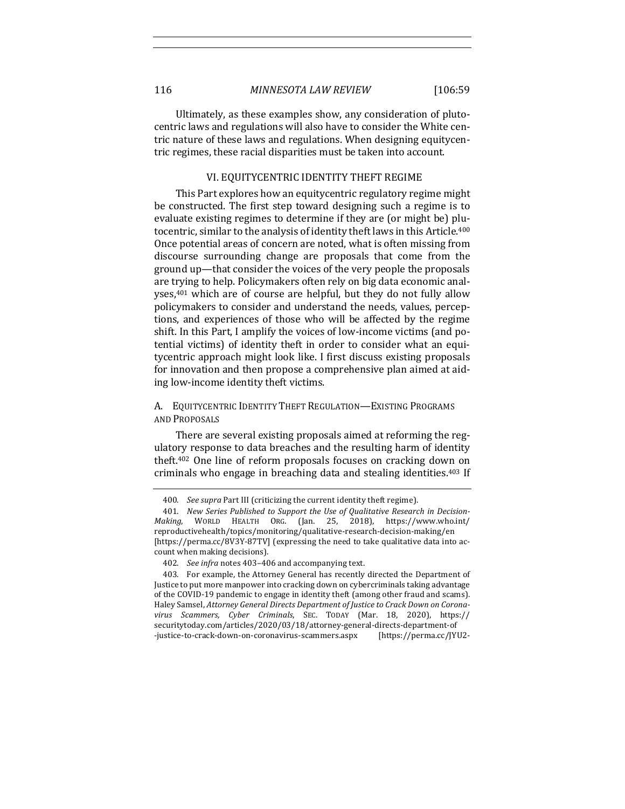Ultimately, as these examples show, any consideration of plutocentric laws and regulations will also have to consider the White centric nature of these laws and regulations. When designing equitycentric regimes, these racial disparities must be taken into account.

#### VI. EQUITYCENTRIC IDENTITY THEFT REGIME

This Part explores how an equitycentric regulatory regime might be constructed. The first step toward designing such a regime is to evaluate existing regimes to determine if they are (or might be) plutocentric, similar to the analysis of identity theft laws in this Article.<sup>400</sup> Once potential areas of concern are noted, what is often missing from discourse surrounding change are proposals that come from the ground up—that consider the voices of the very people the proposals are trying to help. Policymakers often rely on big data economic analyses, $401$  which are of course are helpful, but they do not fully allow policymakers to consider and understand the needs, values, perceptions, and experiences of those who will be affected by the regime shift. In this Part, I amplify the voices of low-income victims (and potential victims) of identity theft in order to consider what an equitycentric approach might look like. I first discuss existing proposals for innovation and then propose a comprehensive plan aimed at aiding low-income identity theft victims.

# A. EQUITYCENTRIC IDENTITY THEFT REGULATION-EXISTING PROGRAMS AND PROPOSALS

There are several existing proposals aimed at reforming the regulatory response to data breaches and the resulting harm of identity theft. $402$  One line of reform proposals focuses on cracking down on criminals who engage in breaching data and stealing identities.<sup>403</sup> If

<sup>400.</sup> *See supra* Part III (criticizing the current identity theft regime).

<sup>401.</sup> New Series Published to Support the Use of Qualitative Research in Decision-Making, WORLD HEALTH ORG. (Jan. 25, 2018), https://www.who.int/ reproductivehealth/topics/monitoring/qualitative-research-decision-making/en [https://perma.cc/8V3Y-87TV] (expressing the need to take qualitative data into account when making decisions).

<sup>402.</sup> *See infra* notes 403-406 and accompanying text.

<sup>403.</sup> For example, the Attorney General has recently directed the Department of Justice to put more manpower into cracking down on cybercriminals taking advantage of the COVID-19 pandemic to engage in identity theft (among other fraud and scams). Haley Samsel, *Attorney General Directs Department of Justice to Crack Down on Coronavirus Scammers, Cyber Criminals*, SEC. TODAY (Mar. 18, 2020), https:// securitytoday.com/articles/2020/03/18/attorney-general-directs-department-of -justice-to-crack-down-on-coronavirus-scammers.aspx [https://perma.cc/JYU2-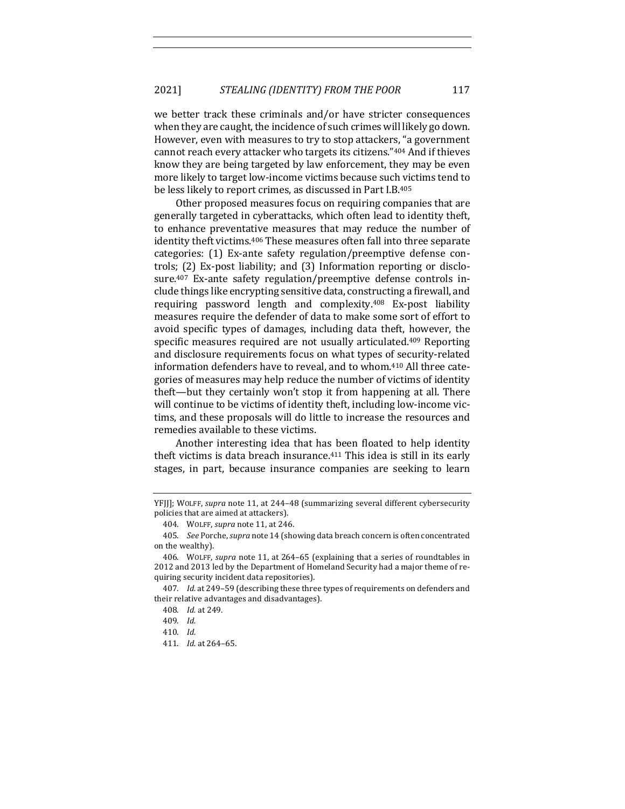we better track these criminals and/or have stricter consequences when they are caught, the incidence of such crimes will likely go down. However, even with measures to try to stop attackers, "a government cannot reach every attacker who targets its citizens."404 And if thieves know they are being targeted by law enforcement, they may be even more likely to target low-income victims because such victims tend to be less likely to report crimes, as discussed in Part I.B.<sup>405</sup>

Other proposed measures focus on requiring companies that are generally targeted in cyberattacks, which often lead to identity theft, to enhance preventative measures that may reduce the number of identity theft victims.<sup>406</sup> These measures often fall into three separate categories: (1) Ex-ante safety regulation/preemptive defense controls;  $(2)$  Ex-post liability; and  $(3)$  Information reporting or disclosure.<sup>407</sup> Ex-ante safety regulation/preemptive defense controls include things like encrypting sensitive data, constructing a firewall, and requiring password length and complexity.<sup>408</sup> Ex-post liability measures require the defender of data to make some sort of effort to avoid specific types of damages, including data theft, however, the specific measures required are not usually articulated.<sup>409</sup> Reporting and disclosure requirements focus on what types of security-related information defenders have to reveal, and to whom.<sup>410</sup> All three categories of measures may help reduce the number of victims of identity theft—but they certainly won't stop it from happening at all. There will continue to be victims of identity theft, including low-income victims, and these proposals will do little to increase the resources and remedies available to these victims.

Another interesting idea that has been floated to help identity theft victims is data breach insurance. $411$  This idea is still in its early stages, in part, because insurance companies are seeking to learn

YFJJ]; WOLFF, *supra* note 11, at 244-48 (summarizing several different cybersecurity policies that are aimed at attackers).

<sup>404.</sup> WOLFF, *supra* note 11, at 246.

<sup>405.</sup> *See* Porche, *supra* note 14 (showing data breach concern is often concentrated on the wealthy).

<sup>406.</sup> WOLFF, *supra* note 11, at 264-65 (explaining that a series of roundtables in 2012 and 2013 led by the Department of Homeland Security had a major theme of requiring security incident data repositories).

<sup>407.</sup> *Id.* at 249-59 (describing these three types of requirements on defenders and their relative advantages and disadvantages).

<sup>408.</sup> *Id.* at 249.

<sup>409.</sup> *Id.*

<sup>410.</sup> *Id.*

<sup>411.</sup> *Id.* at 264–65.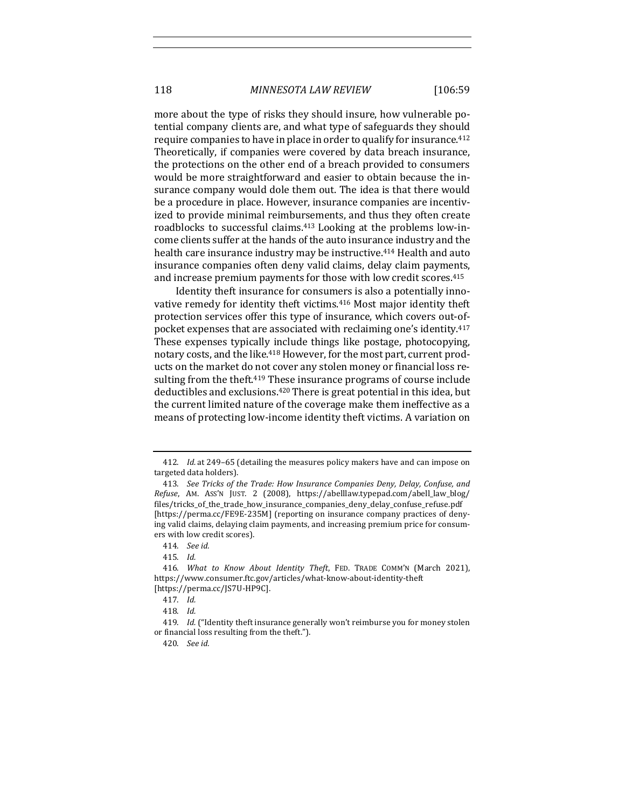more about the type of risks they should insure, how vulnerable potential company clients are, and what type of safeguards they should require companies to have in place in order to qualify for insurance.<sup>412</sup> Theoretically, if companies were covered by data breach insurance, the protections on the other end of a breach provided to consumers would be more straightforward and easier to obtain because the insurance company would dole them out. The idea is that there would be a procedure in place. However, insurance companies are incentivized to provide minimal reimbursements, and thus they often create roadblocks to successful claims.<sup>413</sup> Looking at the problems low-income clients suffer at the hands of the auto insurance industry and the health care insurance industry may be instructive.<sup>414</sup> Health and auto insurance companies often deny valid claims, delay claim payments, and increase premium payments for those with low credit scores.<sup>415</sup>

Identity theft insurance for consumers is also a potentially innovative remedy for identity theft victims.<sup>416</sup> Most major identity theft protection services offer this type of insurance, which covers out-ofpocket expenses that are associated with reclaiming one's identity.<sup>417</sup> These expenses typically include things like postage, photocopying, notary costs, and the like.<sup>418</sup> However, for the most part, current products on the market do not cover any stolen money or financial loss resulting from the theft.<sup>419</sup> These insurance programs of course include deductibles and exclusions.<sup>420</sup> There is great potential in this idea, but the current limited nature of the coverage make them ineffective as a means of protecting low-income identity theft victims. A variation on

<sup>412.</sup> *Id.* at 249-65 (detailing the measures policy makers have and can impose on targeted data holders).

<sup>413.</sup> See Tricks of the Trade: How Insurance Companies Deny, Delay, Confuse, and *Refuse*, AM. ASS'N JUST. 2 (2008), https://abelllaw.typepad.com/abell\_law\_blog/ files/tricks\_of\_the\_trade\_how\_insurance\_companies\_deny\_delay\_confuse\_refuse.pdf [https://perma.cc/FE9E-235M] (reporting on insurance company practices of denying valid claims, delaying claim payments, and increasing premium price for consumers with low credit scores).

<sup>414.</sup> *See id.*

<sup>415.</sup> *Id.*

<sup>416.</sup> What to Know About Identity Theft, FED. TRADE COMM'N (March 2021), https://www.consumer.ftc.gov/articles/what-know-about-identity-theft [https://perma.cc/JS7U-HP9C].

<sup>417.</sup> *Id.*

<sup>418.</sup> *Id.*

<sup>419.</sup> *Id.* ("Identity theft insurance generally won't reimburse you for money stolen or financial loss resulting from the theft.").

<sup>420.</sup> *See id.*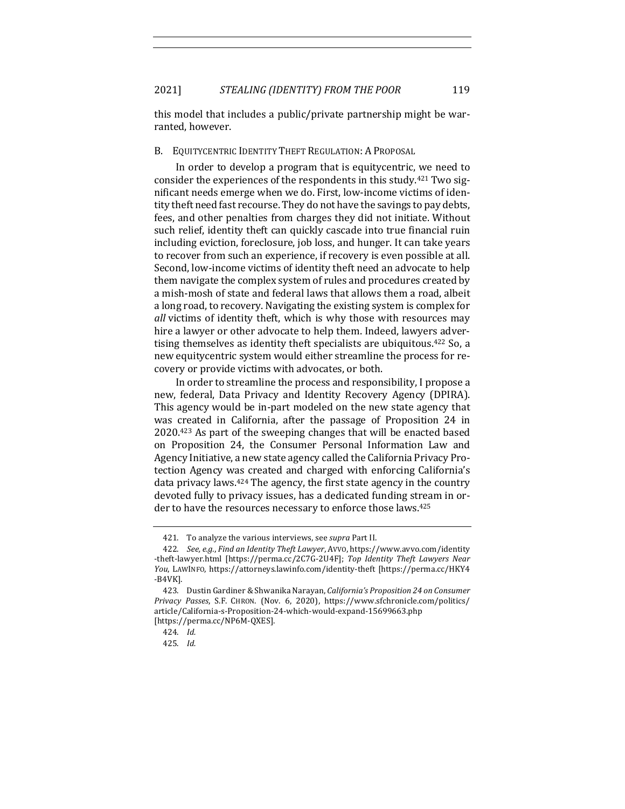this model that includes a public/private partnership might be warranted, however.

# B. EQUITYCENTRIC IDENTITY THEFT REGULATION: A PROPOSAL

In order to develop a program that is equitycentric, we need to consider the experiences of the respondents in this study.<sup>421</sup> Two significant needs emerge when we do. First, low-income victims of identity theft need fast recourse. They do not have the savings to pay debts, fees, and other penalties from charges they did not initiate. Without such relief, identity theft can quickly cascade into true financial ruin including eviction, foreclosure, job loss, and hunger. It can take years to recover from such an experience, if recovery is even possible at all. Second, low-income victims of identity theft need an advocate to help them navigate the complex system of rules and procedures created by a mish-mosh of state and federal laws that allows them a road, albeit a long road, to recovery. Navigating the existing system is complex for *all* victims of identity theft, which is why those with resources may hire a lawyer or other advocate to help them. Indeed, lawyers advertising themselves as identity theft specialists are ubiquitous.<sup>422</sup> So, a new equitycentric system would either streamline the process for recovery or provide victims with advocates, or both.

In order to streamline the process and responsibility, I propose a new, federal, Data Privacy and Identity Recovery Agency (DPIRA). This agency would be in-part modeled on the new state agency that was created in California, after the passage of Proposition 24 in  $2020.^{423}$  As part of the sweeping changes that will be enacted based on Proposition 24, the Consumer Personal Information Law and Agency Initiative, a new state agency called the California Privacy Protection Agency was created and charged with enforcing California's data privacy laws. $424$  The agency, the first state agency in the country devoted fully to privacy issues, has a dedicated funding stream in order to have the resources necessary to enforce those laws.<sup>425</sup>

<sup>421.</sup> To analyze the various interviews, see *supra* Part II.

<sup>422.</sup> *See, e.g., Find an Identity Theft Lawyer*, Avvo, https://www.avvo.com/identity -theft-lawyer.html [https://perma.cc/2C7G-2U4F]; *Top Identity Theft Lawyers Near You*, LAWINFO, https://attorneys.lawinfo.com/identity-theft [https://perma.cc/HKY4 -B4VK].

<sup>423.</sup> Dustin Gardiner & Shwanika Narayan, *California's Proposition 24 on Consumer Privacy Passes*, S.F. CHRON. (Nov. 6, 2020), https://www.sfchronicle.com/politics/ article/California-s-Proposition-24-which-would-expand-15699663.php [https://perma.cc/NP6M-QXES].

<sup>424.</sup> *Id.*

<sup>425.</sup> *Id.*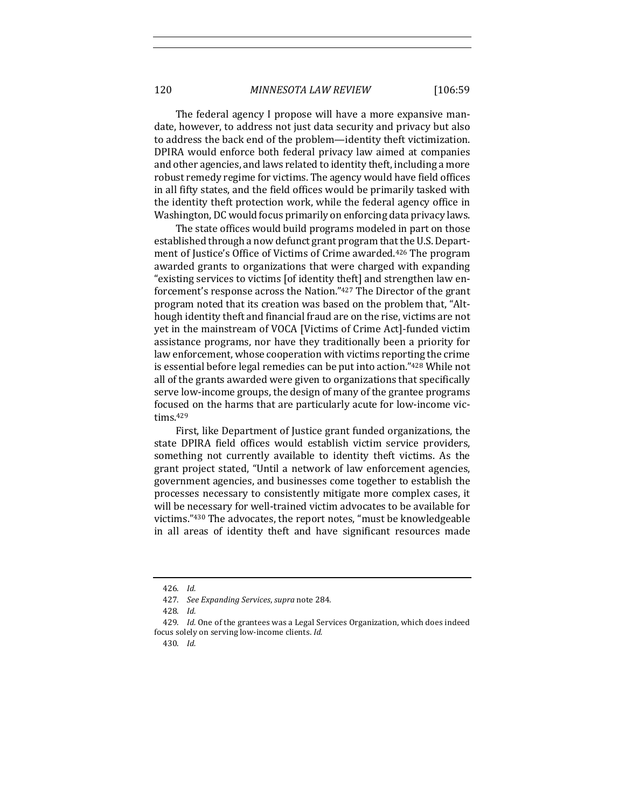120 *MINNESOTA LAW REVIEW* [106:59

The federal agency I propose will have a more expansive mandate, however, to address not just data security and privacy but also to address the back end of the problem—identity theft victimization. DPIRA would enforce both federal privacy law aimed at companies and other agencies, and laws related to identity theft, including a more robust remedy regime for victims. The agency would have field offices in all fifty states, and the field offices would be primarily tasked with the identity theft protection work, while the federal agency office in Washington, DC would focus primarily on enforcing data privacy laws.

The state offices would build programs modeled in part on those established through a now defunct grant program that the U.S. Department of Justice's Office of Victims of Crime awarded.<sup>426</sup> The program awarded grants to organizations that were charged with expanding "existing services to victims [of identity theft] and strengthen law enforcement's response across the Nation."427 The Director of the grant program noted that its creation was based on the problem that, "Although identity theft and financial fraud are on the rise, victims are not yet in the mainstream of VOCA [Victims of Crime Act]-funded victim assistance programs, nor have they traditionally been a priority for law enforcement, whose cooperation with victims reporting the crime is essential before legal remedies can be put into action."<sup>428</sup> While not all of the grants awarded were given to organizations that specifically serve low-income groups, the design of many of the grantee programs focused on the harms that are particularly acute for low-income victims.429

First, like Department of Justice grant funded organizations, the state DPIRA field offices would establish victim service providers, something not currently available to identity theft victims. As the grant project stated, "Until a network of law enforcement agencies, government agencies, and businesses come together to establish the processes necessary to consistently mitigate more complex cases, it will be necessary for well-trained victim advocates to be available for victims."430 The advocates, the report notes, "must be knowledgeable in all areas of identity theft and have significant resources made

<sup>426.</sup> *Id.*

<sup>427.</sup> *See Expanding Services*, *supra* note 284.

<sup>428.</sup> *Id.*

<sup>429.</sup> *Id.* One of the grantees was a Legal Services Organization, which does indeed focus solely on serving low-income clients. Id.

<sup>430.</sup> *Id.*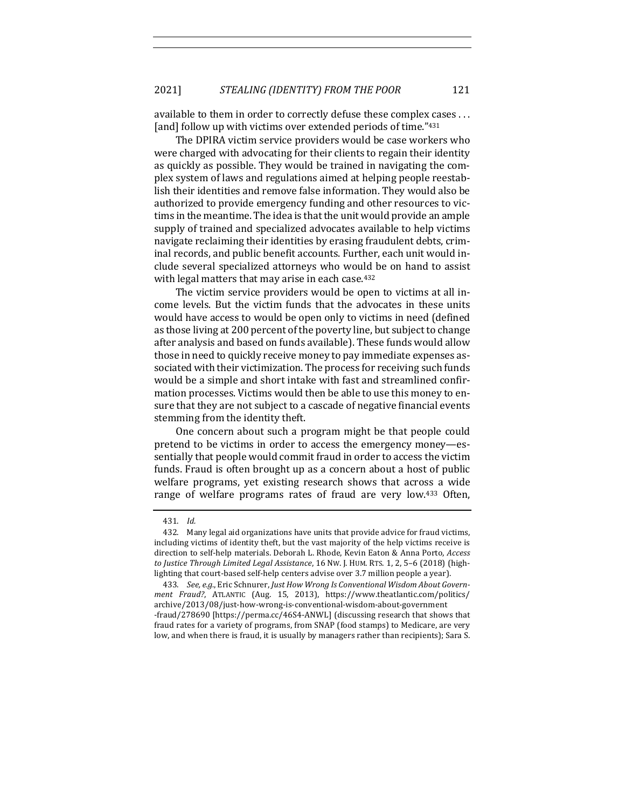available to them in order to correctly defuse these complex cases ... [and] follow up with victims over extended periods of time."431

The DPIRA victim service providers would be case workers who were charged with advocating for their clients to regain their identity as quickly as possible. They would be trained in navigating the complex system of laws and regulations aimed at helping people reestablish their identities and remove false information. They would also be authorized to provide emergency funding and other resources to victims in the meantime. The idea is that the unit would provide an ample supply of trained and specialized advocates available to help victims navigate reclaiming their identities by erasing fraudulent debts, criminal records, and public benefit accounts. Further, each unit would include several specialized attorneys who would be on hand to assist with legal matters that may arise in each case.<sup>432</sup>

The victim service providers would be open to victims at all income levels. But the victim funds that the advocates in these units would have access to would be open only to victims in need (defined as those living at 200 percent of the poverty line, but subject to change after analysis and based on funds available). These funds would allow those in need to quickly receive money to pay immediate expenses associated with their victimization. The process for receiving such funds would be a simple and short intake with fast and streamlined confirmation processes. Victims would then be able to use this money to ensure that they are not subject to a cascade of negative financial events stemming from the identity theft.

One concern about such a program might be that people could pretend to be victims in order to access the emergency money—essentially that people would commit fraud in order to access the victim funds. Fraud is often brought up as a concern about a host of public welfare programs, yet existing research shows that across a wide range of welfare programs rates of fraud are very low.<sup>433</sup> Often,

<sup>431.</sup> *Id.*

<sup>432.</sup> Many legal aid organizations have units that provide advice for fraud victims, including victims of identity theft, but the vast majority of the help victims receive is direction to self-help materials. Deborah L. Rhode, Kevin Eaton & Anna Porto, *Access to Justice Through Limited Legal Assistance*, 16 NW. J. HUM. RTS. 1, 2, 5-6 (2018) (highlighting that court-based self-help centers advise over 3.7 million people a year).

<sup>433.</sup> See, e.g., Eric Schnurer, Just How Wrong Is Conventional Wisdom About Govern*ment Fraud?*, ATLANTIC (Aug. 15, 2013), https://www.theatlantic.com/politics/ archive/2013/08/just-how-wrong-is-conventional-wisdom-about-government -fraud/278690 [https://perma.cc/46S4-ANWL] (discussing research that shows that fraud rates for a variety of programs, from SNAP (food stamps) to Medicare, are very low, and when there is fraud, it is usually by managers rather than recipients); Sara S.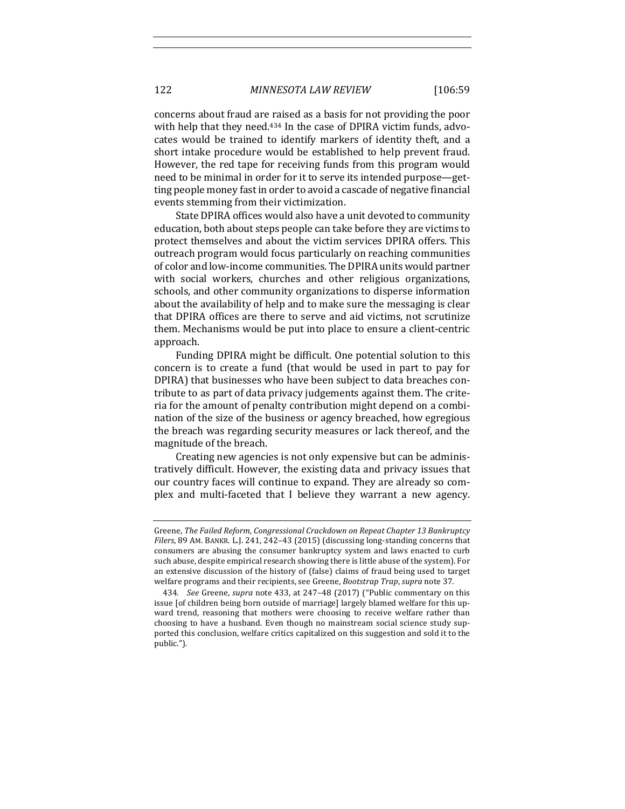concerns about fraud are raised as a basis for not providing the poor with help that they need.<sup>434</sup> In the case of DPIRA victim funds, advocates would be trained to identify markers of identity theft, and a short intake procedure would be established to help prevent fraud. However, the red tape for receiving funds from this program would need to be minimal in order for it to serve its intended purpose—getting people money fast in order to avoid a cascade of negative financial events stemming from their victimization.

State DPIRA offices would also have a unit devoted to community education, both about steps people can take before they are victims to protect themselves and about the victim services DPIRA offers. This outreach program would focus particularly on reaching communities of color and low-income communities. The DPIRA units would partner with social workers, churches and other religious organizations, schools, and other community organizations to disperse information about the availability of help and to make sure the messaging is clear that DPIRA offices are there to serve and aid victims, not scrutinize them. Mechanisms would be put into place to ensure a client-centric approach. 

Funding DPIRA might be difficult. One potential solution to this concern is to create a fund (that would be used in part to pay for DPIRA) that businesses who have been subject to data breaches contribute to as part of data privacy judgements against them. The criteria for the amount of penalty contribution might depend on a combination of the size of the business or agency breached, how egregious the breach was regarding security measures or lack thereof, and the magnitude of the breach.

Creating new agencies is not only expensive but can be administratively difficult. However, the existing data and privacy issues that our country faces will continue to expand. They are already so complex and multi-faceted that I believe they warrant a new agency.

Greene, *The Failed Reform, Congressional Crackdown on Repeat Chapter 13 Bankruptcy* Filers, 89 AM. BANKR. L.J. 241, 242-43 (2015) (discussing long-standing concerns that consumers are abusing the consumer bankruptcy system and laws enacted to curb such abuse, despite empirical research showing there is little abuse of the system). For an extensive discussion of the history of (false) claims of fraud being used to target welfare programs and their recipients, see Greene, *Bootstrap Trap*, *supra* note 37.

<sup>434.</sup> *See* Greene, *supra* note 433, at 247-48 (2017) ("Public commentary on this issue [of children being born outside of marriage] largely blamed welfare for this upward trend, reasoning that mothers were choosing to receive welfare rather than choosing to have a husband. Even though no mainstream social science study supported this conclusion, welfare critics capitalized on this suggestion and sold it to the public.").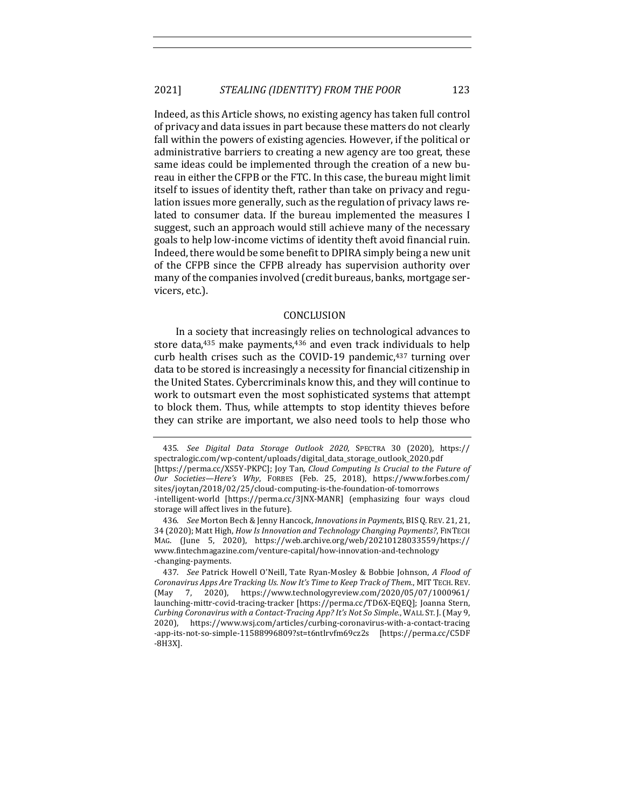Indeed, as this Article shows, no existing agency has taken full control of privacy and data issues in part because these matters do not clearly fall within the powers of existing agencies. However, if the political or administrative barriers to creating a new agency are too great, these same ideas could be implemented through the creation of a new bureau in either the CFPB or the FTC. In this case, the bureau might limit itself to issues of identity theft, rather than take on privacy and regulation issues more generally, such as the regulation of privacy laws related to consumer data. If the bureau implemented the measures I suggest, such an approach would still achieve many of the necessary goals to help low-income victims of identity theft avoid financial ruin. Indeed, there would be some benefit to DPIRA simply being a new unit of the CFPB since the CFPB already has supervision authority over many of the companies involved (credit bureaus, banks, mortgage servicers, etc.).

#### CONCLUSION

In a society that increasingly relies on technological advances to store data, $435$  make payments, $436$  and even track individuals to help curb health crises such as the COVID-19 pandemic, $437$  turning over data to be stored is increasingly a necessity for financial citizenship in the United States. Cybercriminals know this, and they will continue to work to outsmart even the most sophisticated systems that attempt to block them. Thus, while attempts to stop identity thieves before they can strike are important, we also need tools to help those who

<sup>435.</sup> *See Digital Data Storage Outlook 2020*, SPECTRA 30 (2020), https:// spectralogic.com/wp-content/uploads/digital\_data\_storage\_outlook\_2020.pdf [https://perma.cc/XS5Y-PKPC]; Joy Tan, *Cloud Computing Is Crucial to the Future of Our Societies—Here's Why*, FORBES (Feb. 25, 2018), https://www.forbes.com/ sites/joytan/2018/02/25/cloud-computing-is-the-foundation-of-tomorrows -intelligent-world [https://perma.cc/3JNX-MANR] (emphasizing four ways cloud storage will affect lives in the future).

<sup>436.</sup> *See* Morton Bech & Jenny Hancock, *Innovations in Payments*, BISQ.REV. 21, 21, 34 (2020); Matt High, *How Is Innovation and Technology Changing Payments?*, FINTECH MAG. (June 5, 2020), https://web.archive.org/web/20210128033559/https:// www.fintechmagazine.com/venture-capital/how-innovation-and-technology -changing-payments.

<sup>437.</sup> *See Patrick Howell O'Neill, Tate Ryan-Mosley & Bobbie Johnson, A Flood of Coronavirus Apps Are Tracking Us. Now It's Time to Keep Track of Them.*, MIT TECH. REV. (May 7, 2020), https://www.technologyreview.com/2020/05/07/1000961/ launching-mittr-covid-tracing-tracker [https://perma.cc/TD6X-EQEQ]; Joanna Stern, *Curbing Coronavirus with a Contact-Tracing App? It's Not So Simple.*, WALL ST. J.(May 9, 2020), https://www.wsj.com/articles/curbing-coronavirus-with-a-contact-tracing -app-its-not-so-simple-11588996809?st=t6ntlrvfm69cz2s [https://perma.cc/C5DF -8H3X].